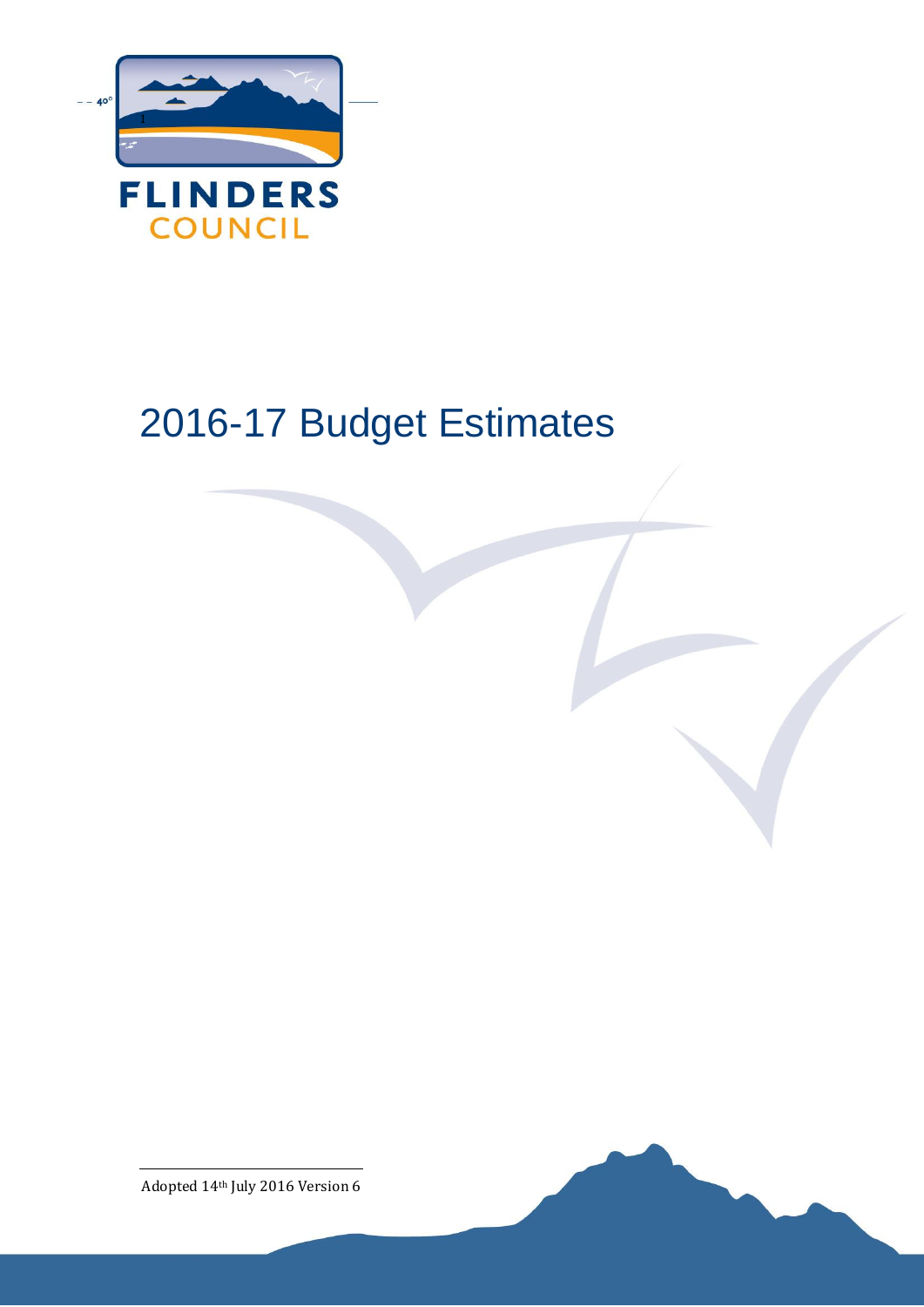

# 2016-17 Budget Estimates

Adopted 14th July 2016 Version 6

l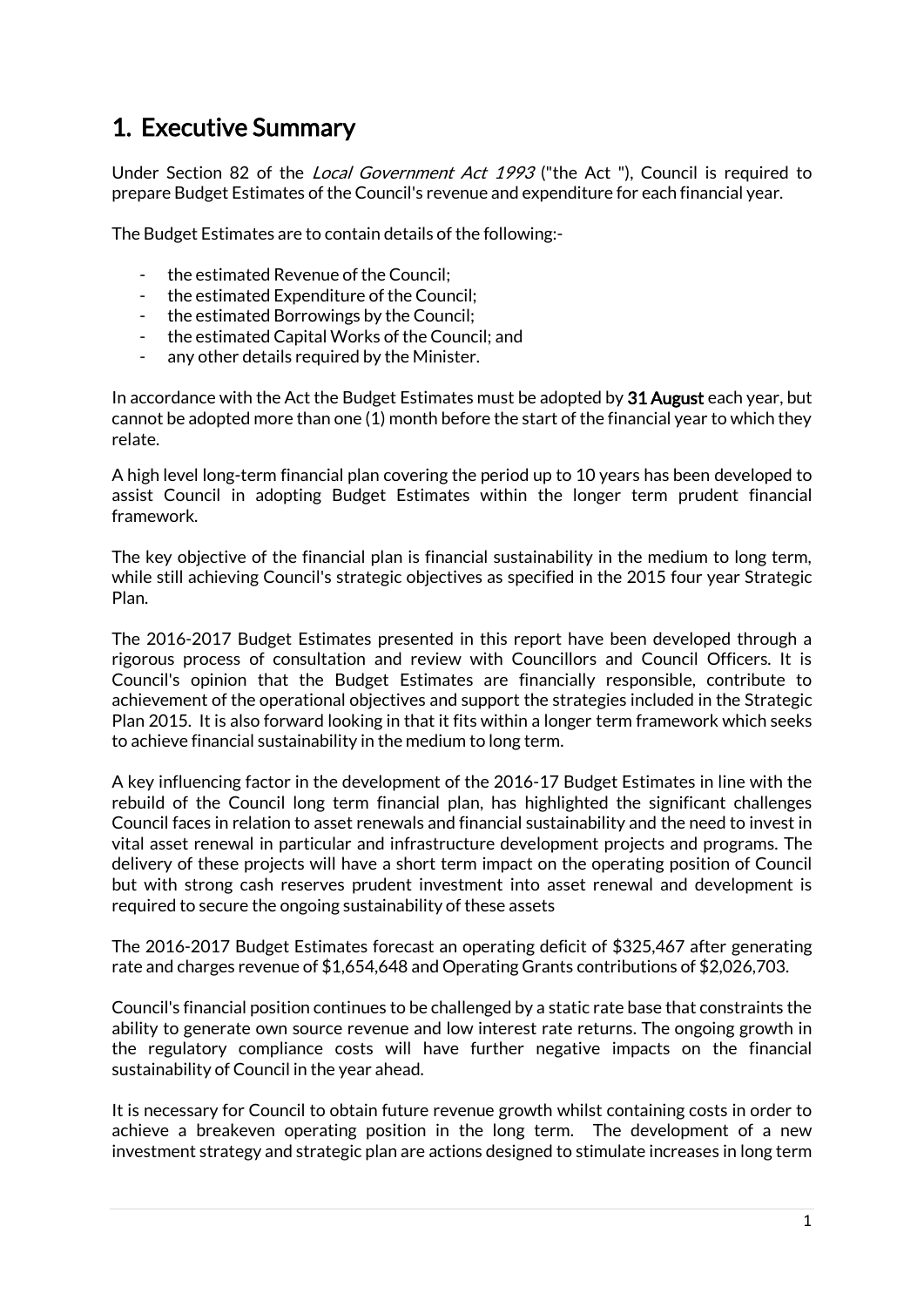## 1. Executive Summary

Under Section 82 of the *Local Government Act 1993* ("the Act "), Council is required to prepare Budget Estimates of the Council's revenue and expenditure for each financial year.

The Budget Estimates are to contain details of the following:-

- the estimated Revenue of the Council:
- the estimated Expenditure of the Council;
- the estimated Borrowings by the Council;
- the estimated Capital Works of the Council; and
- any other details required by the Minister.

In accordance with the Act the Budget Estimates must be adopted by 31 August each year, but cannot be adopted more than one (1) month before the start of the financial year to which they relate.

A high level long-term financial plan covering the period up to 10 years has been developed to assist Council in adopting Budget Estimates within the longer term prudent financial framework.

The key objective of the financial plan is financial sustainability in the medium to long term, while still achieving Council's strategic objectives as specified in the 2015 four year Strategic Plan.

The 2016-2017 Budget Estimates presented in this report have been developed through a rigorous process of consultation and review with Councillors and Council Officers. It is Council's opinion that the Budget Estimates are financially responsible, contribute to achievement of the operational objectives and support the strategies included in the Strategic Plan 2015. It is also forward looking in that it fits within a longer term framework which seeks to achieve financial sustainability in the medium to long term.

A key influencing factor in the development of the 2016-17 Budget Estimates in line with the rebuild of the Council long term financial plan, has highlighted the significant challenges Council faces in relation to asset renewals and financial sustainability and the need to invest in vital asset renewal in particular and infrastructure development projects and programs. The delivery of these projects will have a short term impact on the operating position of Council but with strong cash reserves prudent investment into asset renewal and development is required to secure the ongoing sustainability of these assets

The 2016-2017 Budget Estimates forecast an operating deficit of \$325,467 after generating rate and charges revenue of \$1,654,648 and Operating Grants contributions of \$2,026,703.

Council's financial position continues to be challenged by a static rate base that constraints the ability to generate own source revenue and low interest rate returns. The ongoing growth in the regulatory compliance costs will have further negative impacts on the financial sustainability of Council in the year ahead.

It is necessary for Council to obtain future revenue growth whilst containing costs in order to achieve a breakeven operating position in the long term. The development of a new investment strategy and strategic plan are actions designed to stimulate increases in long term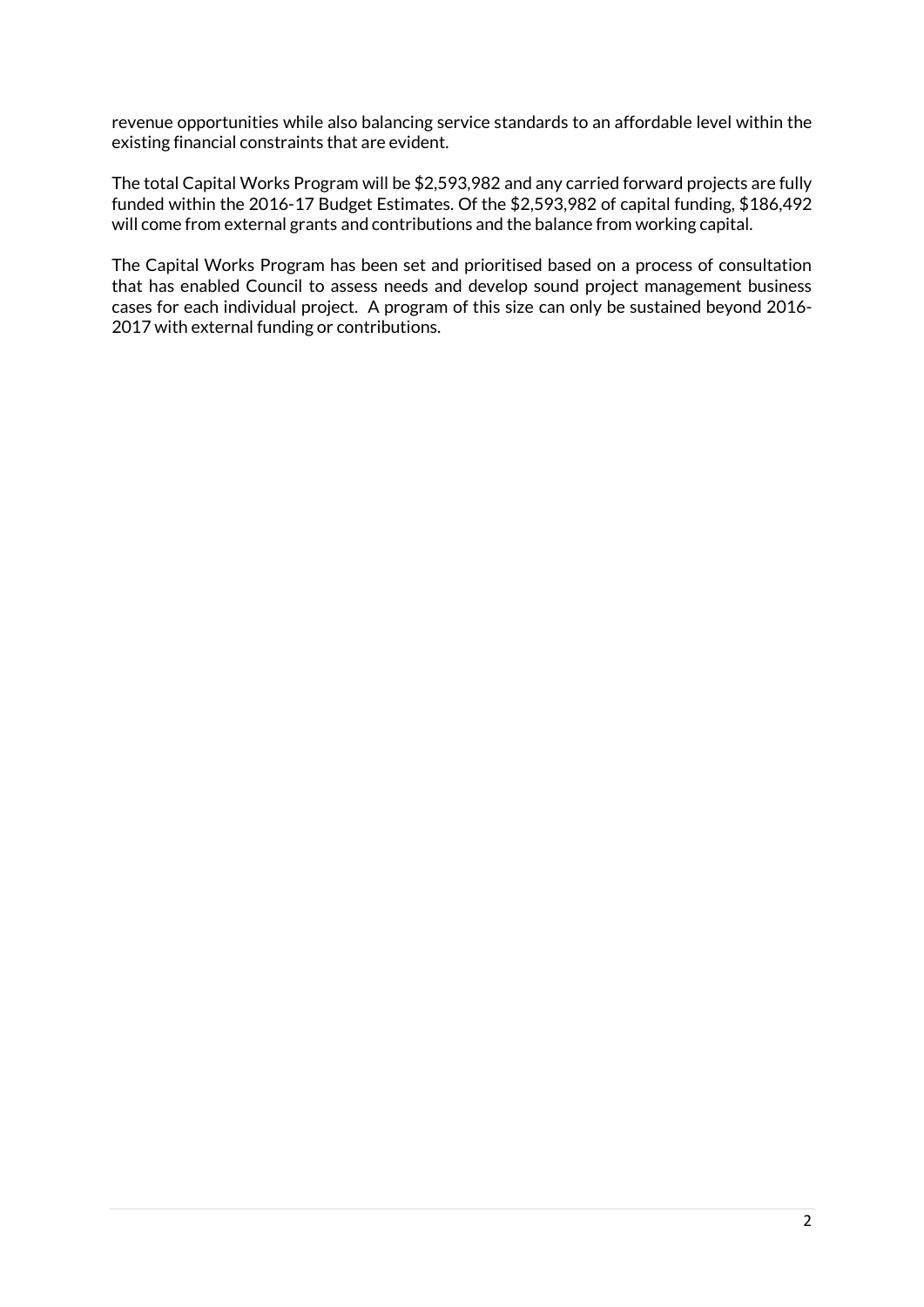revenue opportunities while also balancing service standards to an affordable level within the existing financial constraints that are evident.

The total Capital Works Program will be \$2,593,982 and any carried forward projects are fully funded within the 2016-17 Budget Estimates. Of the \$2,593,982 of capital funding, \$186,492 will come from external grants and contributions and the balance from working capital.

The Capital Works Program has been set and prioritised based on a process of consultation that has enabled Council to assess needs and develop sound project management business cases for each individual project. A program of this size can only be sustained beyond 2016- 2017 with external funding or contributions.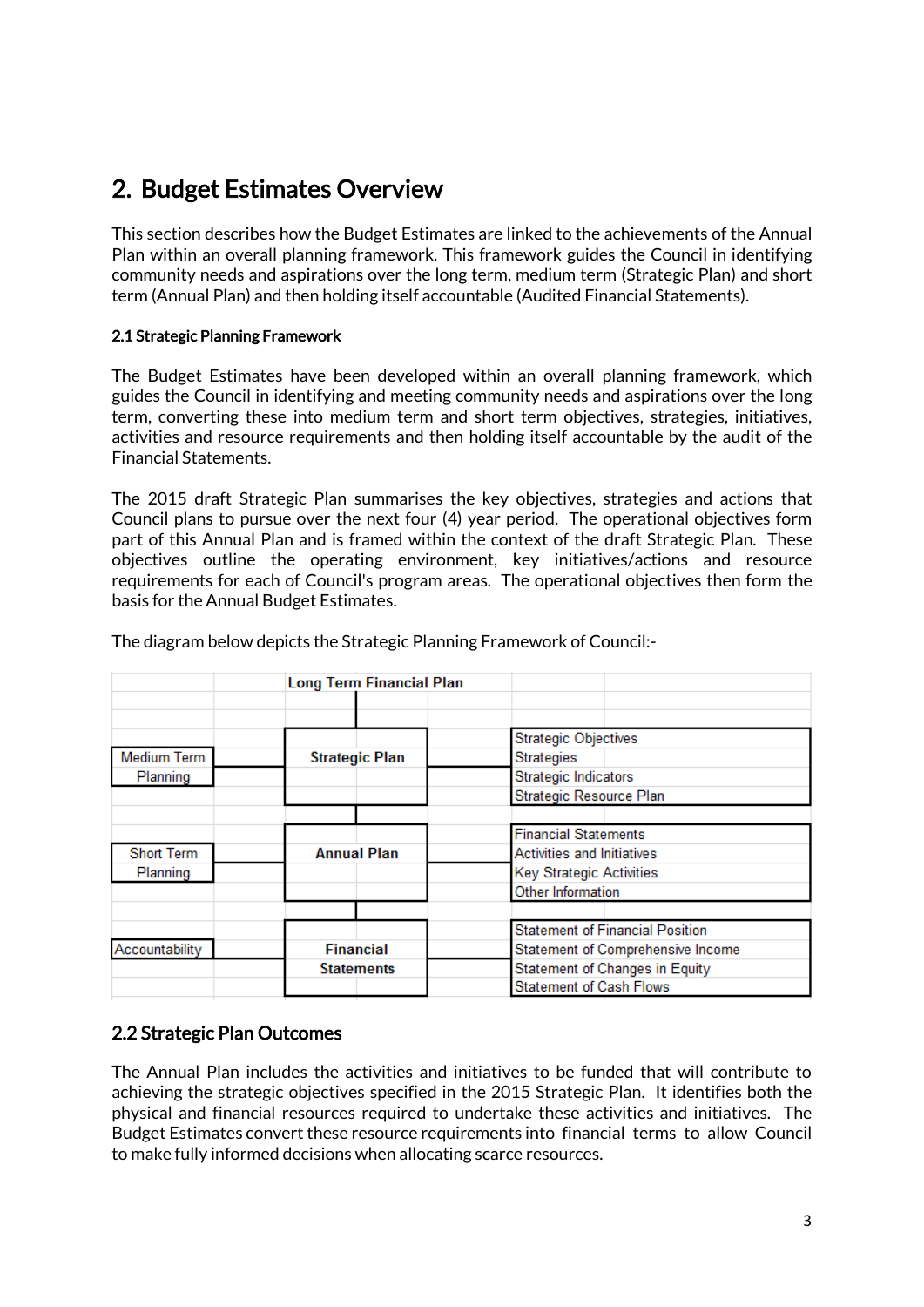## 2. Budget Estimates Overview

This section describes how the Budget Estimates are linked to the achievements of the Annual Plan within an overall planning framework. This framework guides the Council in identifying community needs and aspirations over the long term, medium term (Strategic Plan) and short term (Annual Plan) and then holding itself accountable (Audited Financial Statements).

### 2.1 Strategic Planning Framework

The Budget Estimates have been developed within an overall planning framework, which guides the Council in identifying and meeting community needs and aspirations over the long term, converting these into medium term and short term objectives, strategies, initiatives, activities and resource requirements and then holding itself accountable by the audit of the Financial Statements.

The 2015 draft Strategic Plan summarises the key objectives, strategies and actions that Council plans to pursue over the next four (4) year period. The operational objectives form part of this Annual Plan and is framed within the context of the draft Strategic Plan. These objectives outline the operating environment, key initiatives/actions and resource requirements for each of Council's program areas. The operational objectives then form the basis for the Annual Budget Estimates.

|                   | <b>Long Term Financial Plan</b> |                                        |
|-------------------|---------------------------------|----------------------------------------|
|                   |                                 |                                        |
|                   |                                 | <b>Strategic Objectives</b>            |
| Medium Term       | <b>Strategic Plan</b>           | Strategies                             |
| Planning          |                                 | Strategic Indicators                   |
|                   |                                 | Strategic Resource Plan                |
|                   |                                 |                                        |
|                   |                                 | <b>Financial Statements</b>            |
| <b>Short Term</b> | <b>Annual Plan</b>              | Activities and Initiatives             |
| Planning          |                                 | Key Strategic Activities               |
|                   |                                 | Other Information                      |
|                   |                                 |                                        |
|                   |                                 | <b>Statement of Financial Position</b> |
| Accountability    | <b>Financial</b>                | Statement of Comprehensive Income      |
|                   | <b>Statements</b>               | Statement of Changes in Equity         |
|                   |                                 | <b>Statement of Cash Flows</b>         |

The diagram below depicts the Strategic Planning Framework of Council:-

## 2.2 Strategic Plan Outcomes

The Annual Plan includes the activities and initiatives to be funded that will contribute to achieving the strategic objectives specified in the 2015 Strategic Plan. It identifies both the physical and financial resources required to undertake these activities and initiatives. The Budget Estimates convert these resource requirements into financial terms to allow Council to make fully informed decisions when allocating scarce resources.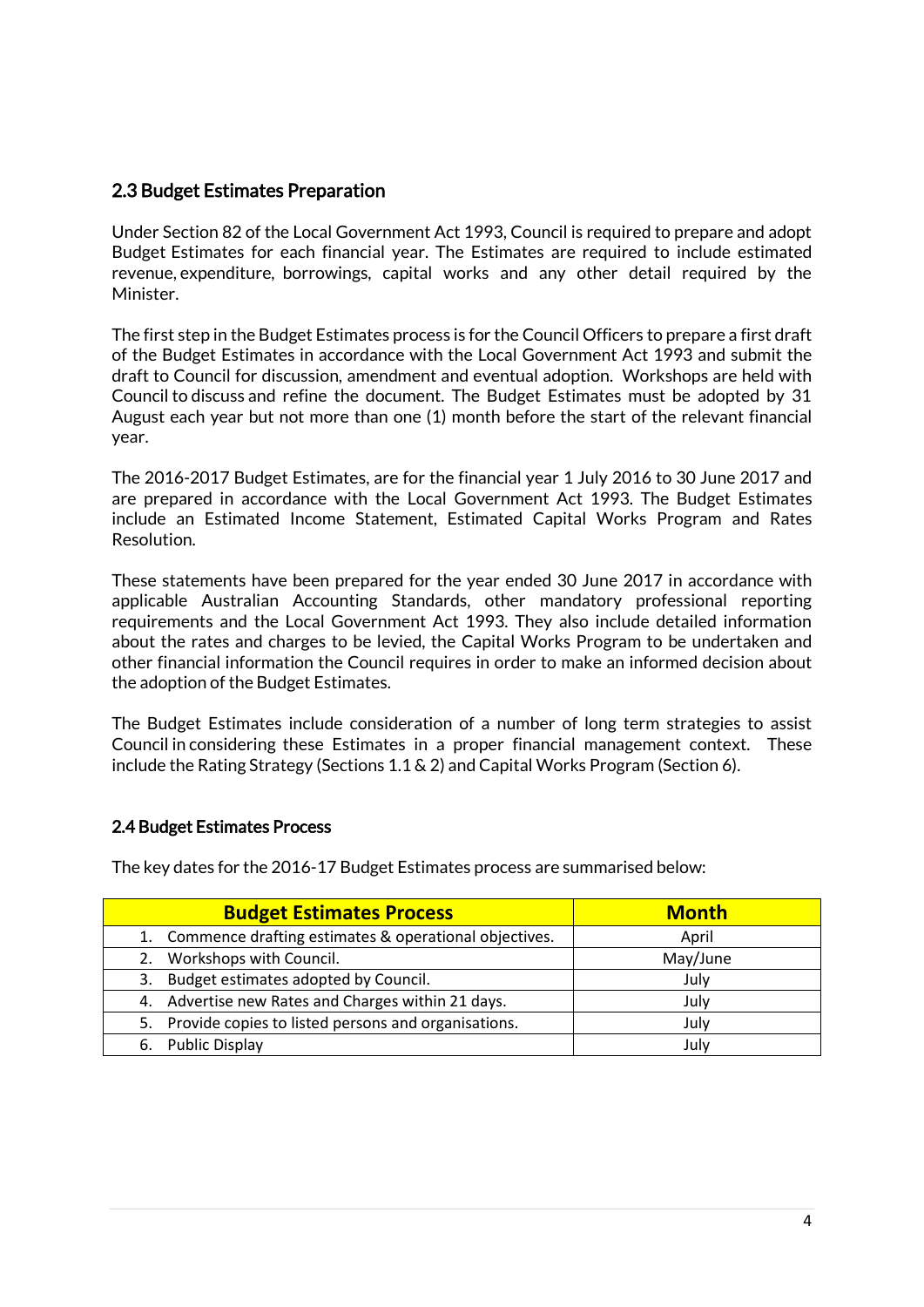## 2.3 Budget Estimates Preparation

Under Section 82 of the Local Government Act 1993, Council is required to prepare and adopt Budget Estimates for each financial year. The Estimates are required to include estimated revenue, expenditure, borrowings, capital works and any other detail required by the Minister.

The first step in the Budget Estimates process is for the Council Officers to prepare a first draft of the Budget Estimates in accordance with the Local Government Act 1993 and submit the draft to Council for discussion, amendment and eventual adoption. Workshops are held with Council to discuss and refine the document. The Budget Estimates must be adopted by 31 August each year but not more than one (1) month before the start of the relevant financial year.

The 2016-2017 Budget Estimates, are for the financial year 1 July 2016 to 30 June 2017 and are prepared in accordance with the Local Government Act 1993. The Budget Estimates include an Estimated Income Statement, Estimated Capital Works Program and Rates Resolution.

These statements have been prepared for the year ended 30 June 2017 in accordance with applicable Australian Accounting Standards, other mandatory professional reporting requirements and the Local Government Act 1993. They also include detailed information about the rates and charges to be levied, the Capital Works Program to be undertaken and other financial information the Council requires in order to make an informed decision about the adoption of the Budget Estimates.

The Budget Estimates include consideration of a number of long term strategies to assist Council in considering these Estimates in a proper financial management context. These include the Rating Strategy (Sections 1.1 & 2) and Capital Works Program (Section 6).

### 2.4 Budget Estimates Process

The key dates for the 2016-17 Budget Estimates process are summarised below:

| <b>Budget Estimates Process</b>                          | <b>Month</b> |
|----------------------------------------------------------|--------------|
| 1. Commence drafting estimates & operational objectives. | April        |
| 2. Workshops with Council.                               | May/June     |
| Budget estimates adopted by Council.<br>3.               | July         |
| 4. Advertise new Rates and Charges within 21 days.       | July         |
| 5. Provide copies to listed persons and organisations.   | July         |
| <b>Public Display</b><br>6.                              | July         |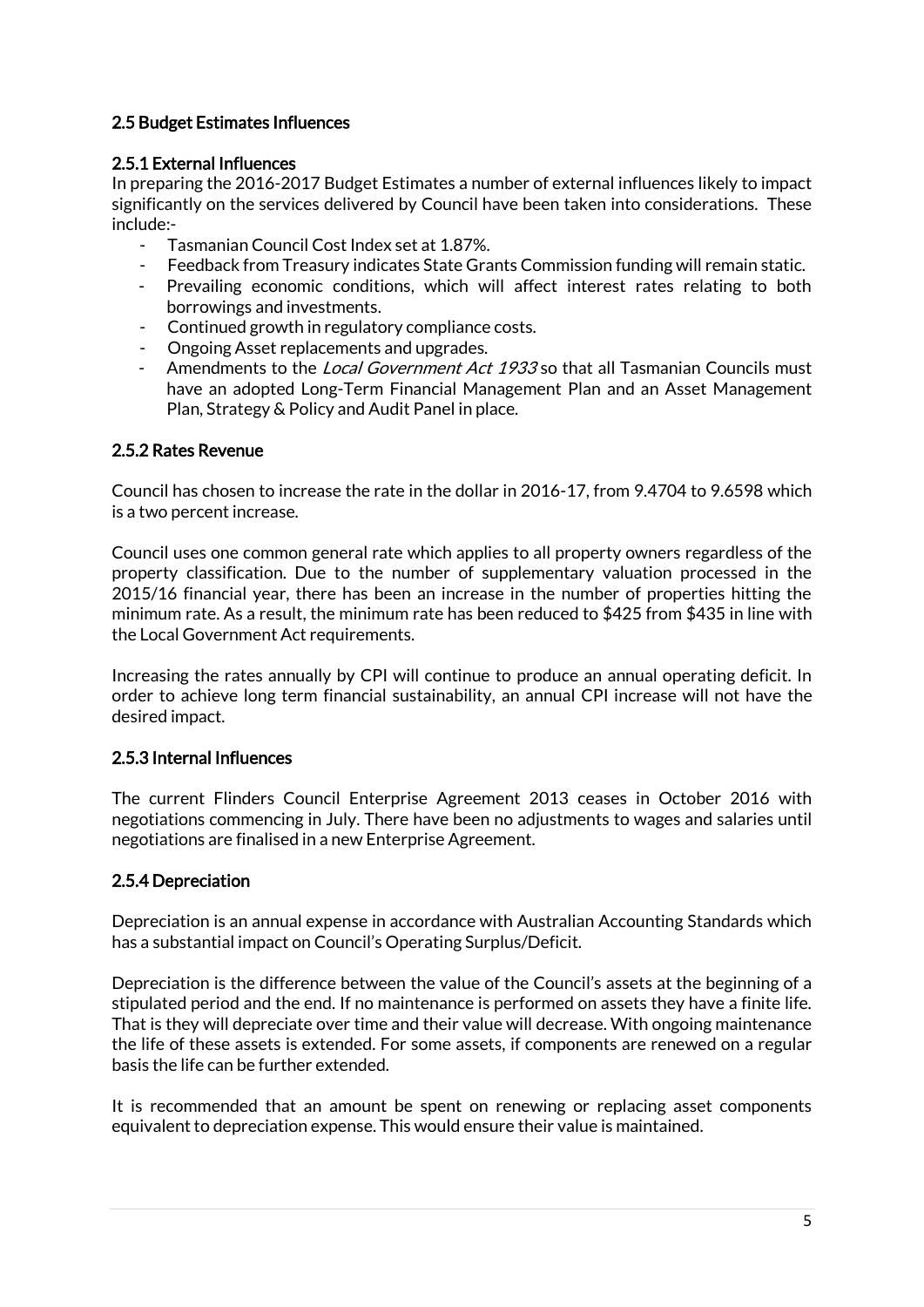## 2.5 Budget Estimates Influences

### 2.5.1 External Influences

In preparing the 2016-2017 Budget Estimates a number of external influences likely to impact significantly on the services delivered by Council have been taken into considerations. These include:-

- Tasmanian Council Cost Index set at 1.87%.
- Feedback from Treasury indicates State Grants Commission funding will remain static.
- Prevailing economic conditions, which will affect interest rates relating to both borrowings and investments.
- Continued growth in regulatory compliance costs.
- Ongoing Asset replacements and upgrades.
- Amendments to the *Local Government Act 1933* so that all Tasmanian Councils must have an adopted Long-Term Financial Management Plan and an Asset Management Plan, Strategy & Policy and Audit Panel in place.

### 2.5.2 Rates Revenue

Council has chosen to increase the rate in the dollar in 2016-17, from 9.4704 to 9.6598 which is a two percent increase.

Council uses one common general rate which applies to all property owners regardless of the property classification. Due to the number of supplementary valuation processed in the 2015/16 financial year, there has been an increase in the number of properties hitting the minimum rate. As a result, the minimum rate has been reduced to \$425 from \$435 in line with the Local Government Act requirements.

Increasing the rates annually by CPI will continue to produce an annual operating deficit. In order to achieve long term financial sustainability, an annual CPI increase will not have the desired impact.

## 2.5.3 Internal Influences

The current Flinders Council Enterprise Agreement 2013 ceases in October 2016 with negotiations commencing in July. There have been no adjustments to wages and salaries until negotiations are finalised in a new Enterprise Agreement.

## 2.5.4 Depreciation

Depreciation is an annual expense in accordance with Australian Accounting Standards which has a substantial impact on Council's Operating Surplus/Deficit.

Depreciation is the difference between the value of the Council's assets at the beginning of a stipulated period and the end. If no maintenance is performed on assets they have a finite life. That is they will depreciate over time and their value will decrease. With ongoing maintenance the life of these assets is extended. For some assets, if components are renewed on a regular basis the life can be further extended.

It is recommended that an amount be spent on renewing or replacing asset components equivalent to depreciation expense. This would ensure their value is maintained.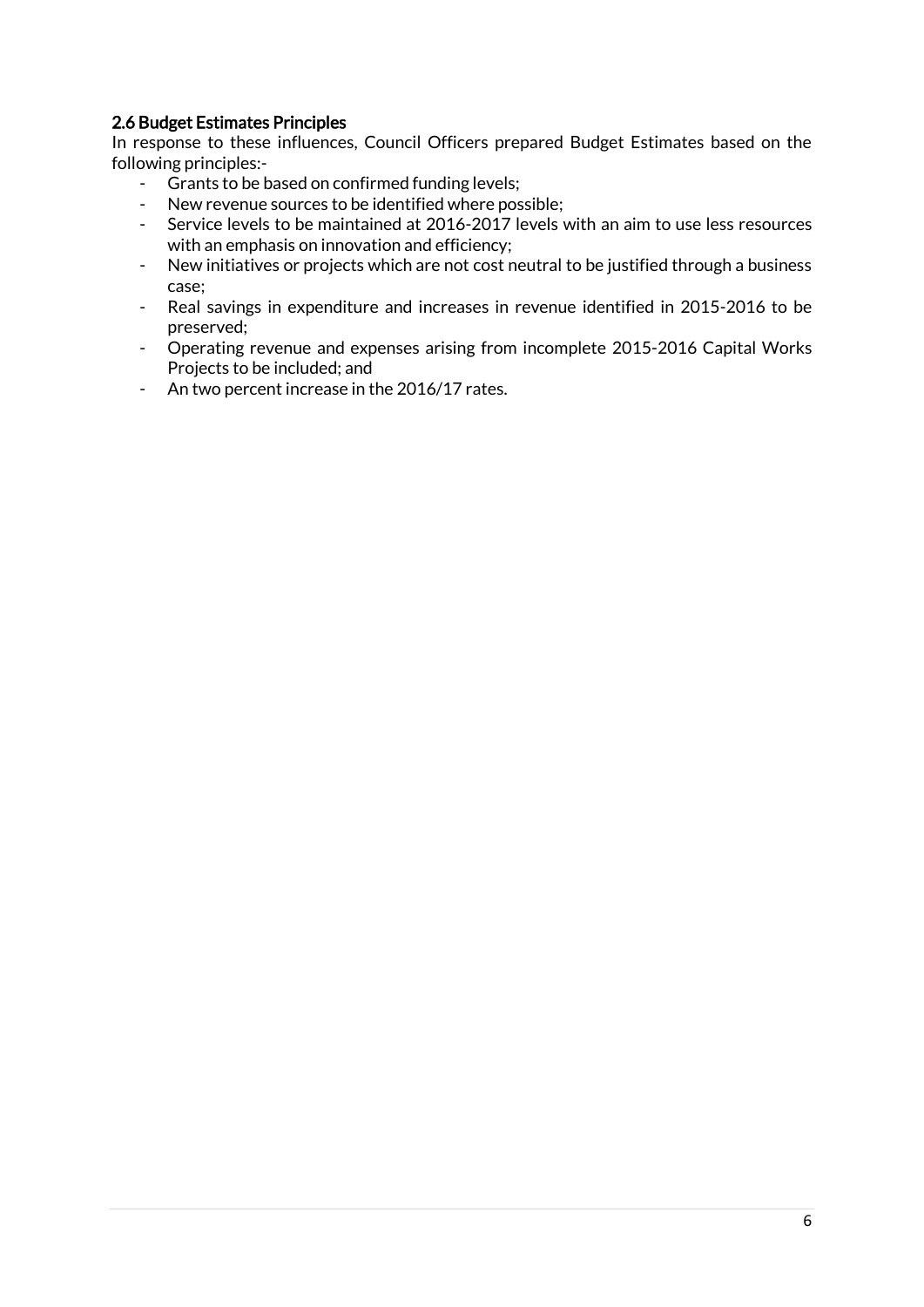## 2.6 Budget Estimates Principles

In response to these influences, Council Officers prepared Budget Estimates based on the following principles:-

- Grants to be based on confirmed funding levels;
- New revenue sources to be identified where possible;
- Service levels to be maintained at 2016-2017 levels with an aim to use less resources with an emphasis on innovation and efficiency;
- New initiatives or projects which are not cost neutral to be justified through a business case;
- Real savings in expenditure and increases in revenue identified in 2015-2016 to be preserved;
- Operating revenue and expenses arising from incomplete 2015-2016 Capital Works Projects to be included; and
- An two percent increase in the 2016/17 rates.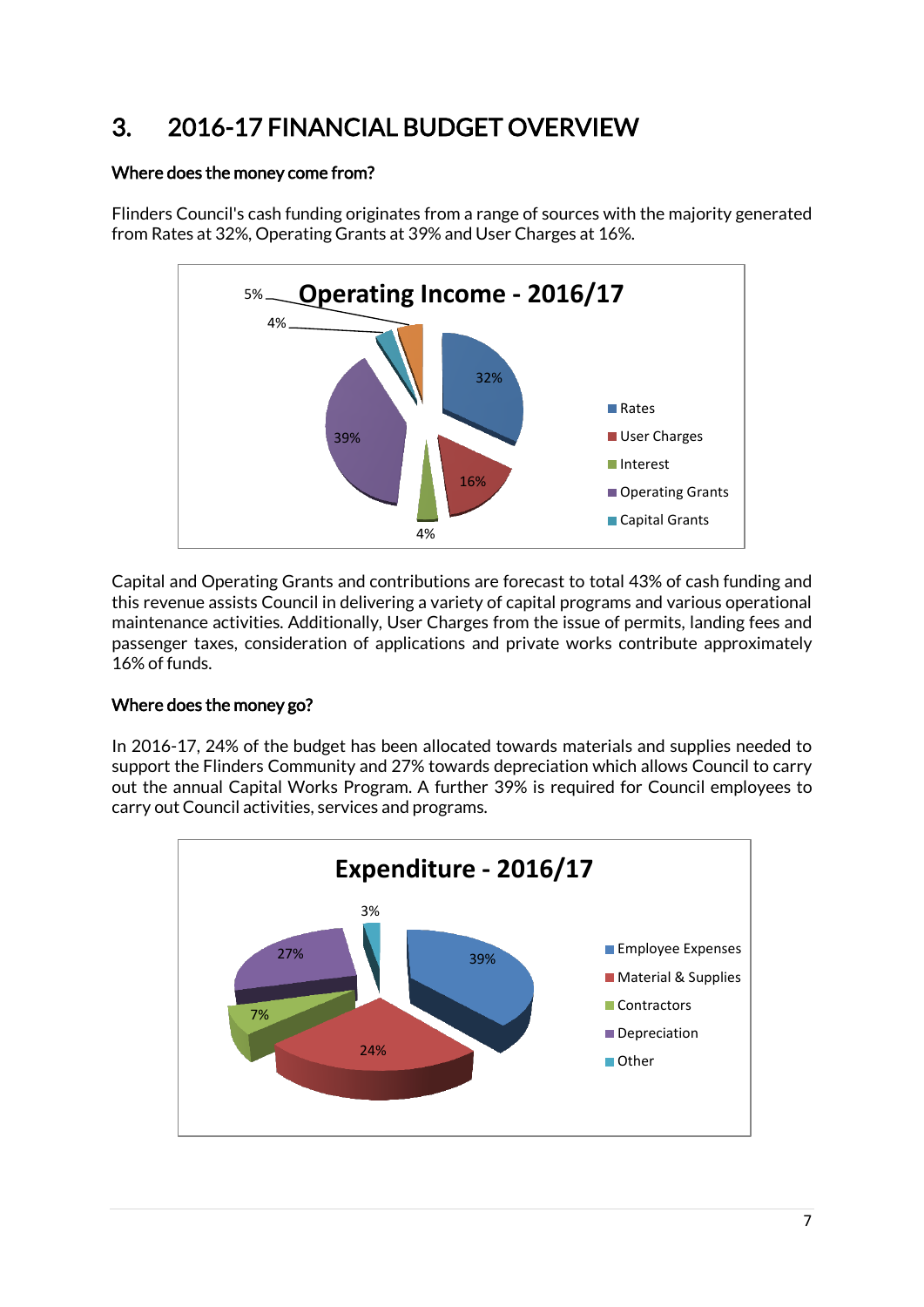## 3. 2016-17 FINANCIAL BUDGET OVERVIEW

### Where does the money come from?

Flinders Council's cash funding originates from a range of sources with the majority generated from Rates at 32%, Operating Grants at 39% and User Charges at 16%.



Capital and Operating Grants and contributions are forecast to total 43% of cash funding and this revenue assists Council in delivering a variety of capital programs and various operational maintenance activities. Additionally, User Charges from the issue of permits, landing fees and passenger taxes, consideration of applications and private works contribute approximately 16% of funds.

## Where does the money go?

In 2016-17, 24% of the budget has been allocated towards materials and supplies needed to support the Flinders Community and 27% towards depreciation which allows Council to carry out the annual Capital Works Program. A further 39% is required for Council employees to carry out Council activities, services and programs.

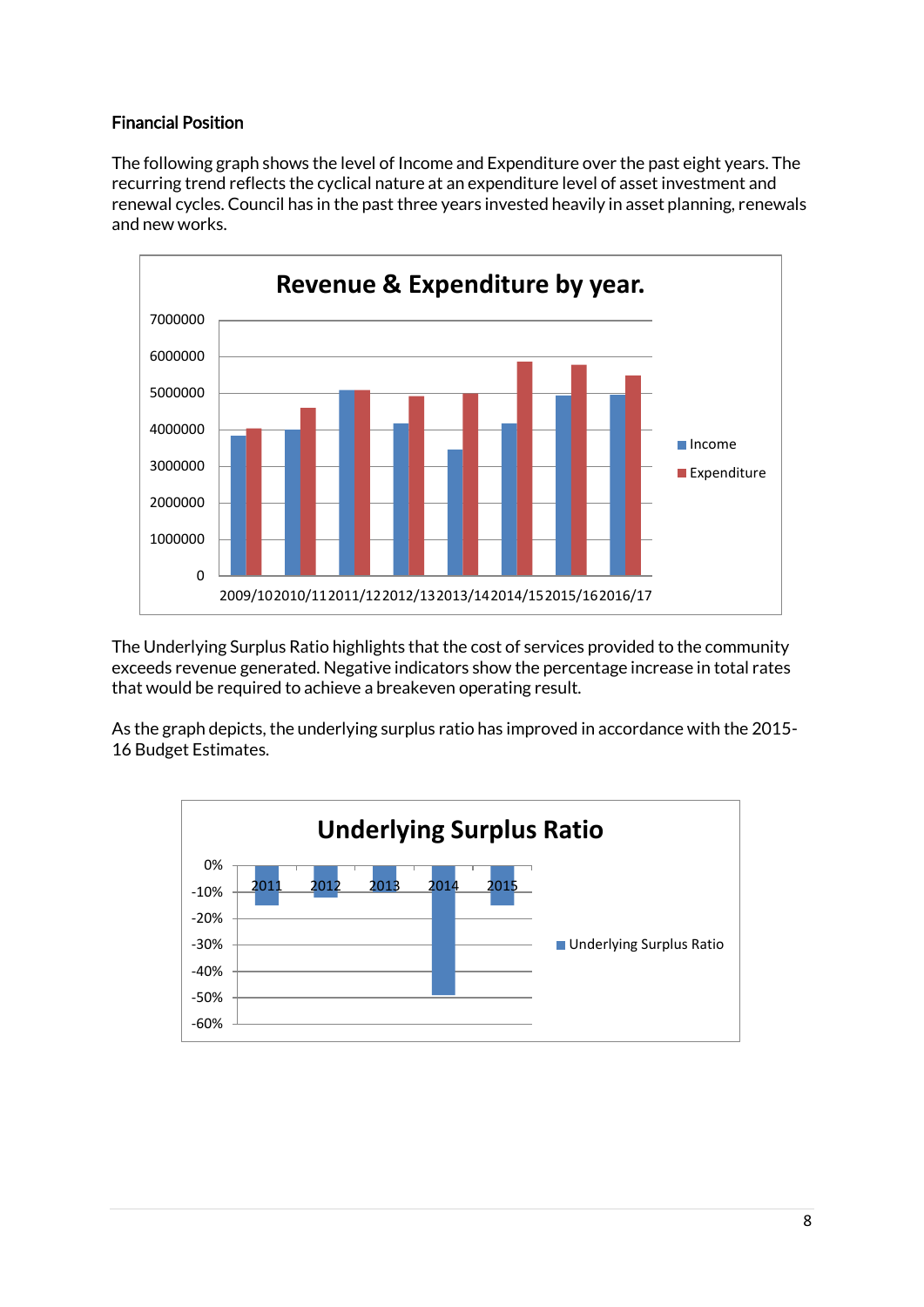## Financial Position

The following graph shows the level of Income and Expenditure over the past eight years. The recurring trend reflects the cyclical nature at an expenditure level of asset investment and renewal cycles. Council has in the past three years invested heavily in asset planning, renewals and new works.



The Underlying Surplus Ratio highlights that the cost of services provided to the community exceeds revenue generated. Negative indicators show the percentage increase in total rates that would be required to achieve a breakeven operating result.

As the graph depicts, the underlying surplus ratio has improved in accordance with the 2015- 16 Budget Estimates.

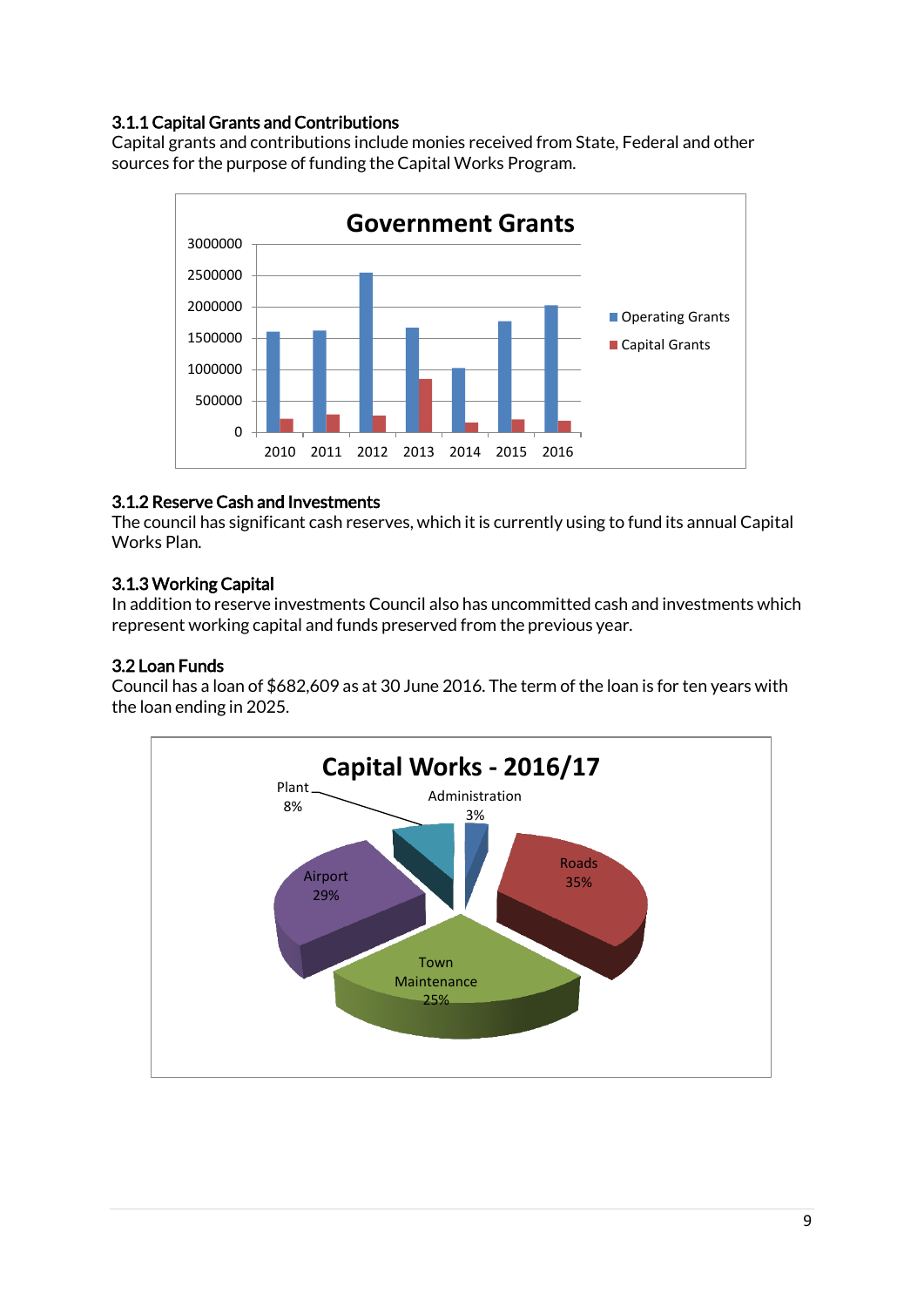## 3.1.1 Capital Grants and Contributions

Capital grants and contributions include monies received from State, Federal and other sources for the purpose of funding the Capital Works Program.



### 3.1.2 Reserve Cash and Investments

The council has significant cash reserves, which it is currently using to fund its annual Capital Works Plan.

### 3.1.3 Working Capital

In addition to reserve investments Council also has uncommitted cash and investments which represent working capital and funds preserved from the previous year.

## 3.2 Loan Funds

Council has a loan of \$682,609 as at 30 June 2016. The term of the loan is for ten years with the loan ending in 2025.

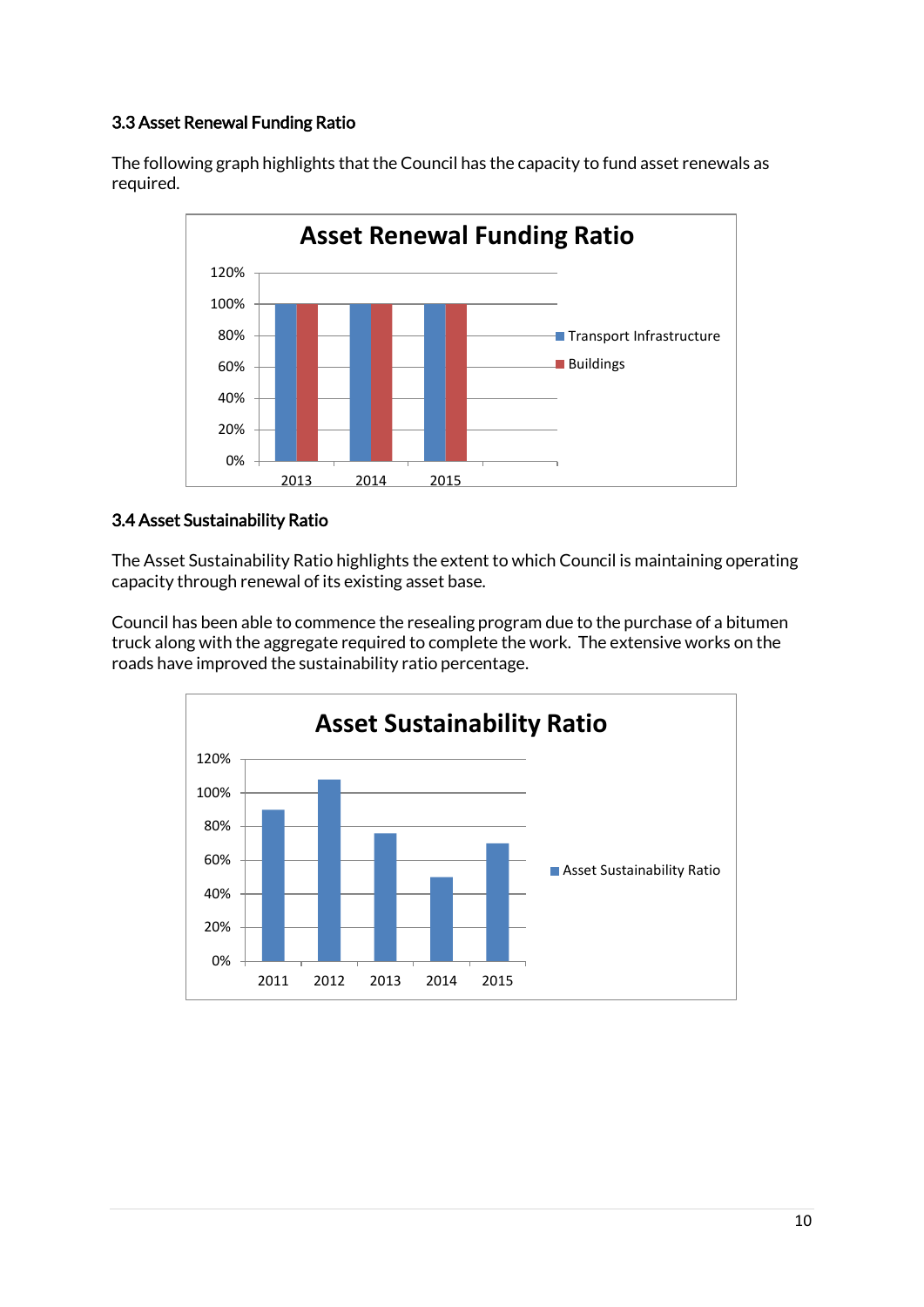## 3.3 Asset Renewal Funding Ratio

The following graph highlights that the Council has the capacity to fund asset renewals as required.



### 3.4 Asset Sustainability Ratio

The Asset Sustainability Ratio highlights the extent to which Council is maintaining operating capacity through renewal of its existing asset base.

Council has been able to commence the resealing program due to the purchase of a bitumen truck along with the aggregate required to complete the work. The extensive works on the roads have improved the sustainability ratio percentage.

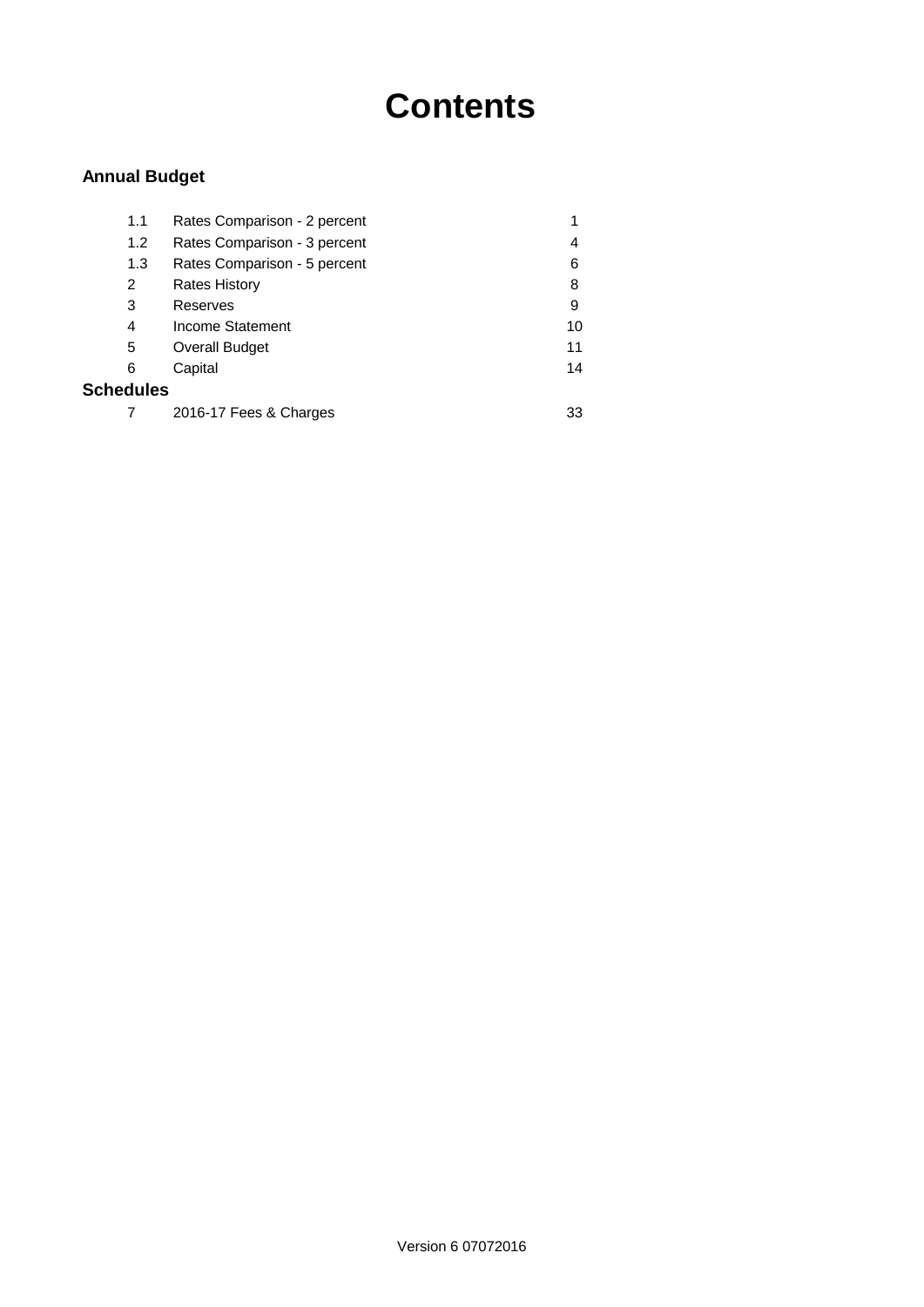# **Contents**

### **Annual Budget**

| 1.1              | Rates Comparison - 2 percent |    |
|------------------|------------------------------|----|
| 1.2              | Rates Comparison - 3 percent | 4  |
| 1.3              | Rates Comparison - 5 percent | 6  |
| 2                | <b>Rates History</b>         | 8  |
| 3                | Reserves                     | 9  |
| 4                | Income Statement             | 10 |
| 5                | Overall Budget               | 11 |
| 6                | Capital                      | 14 |
| <b>Schedules</b> |                              |    |
|                  | 2016-17 Fees & Charges       | 33 |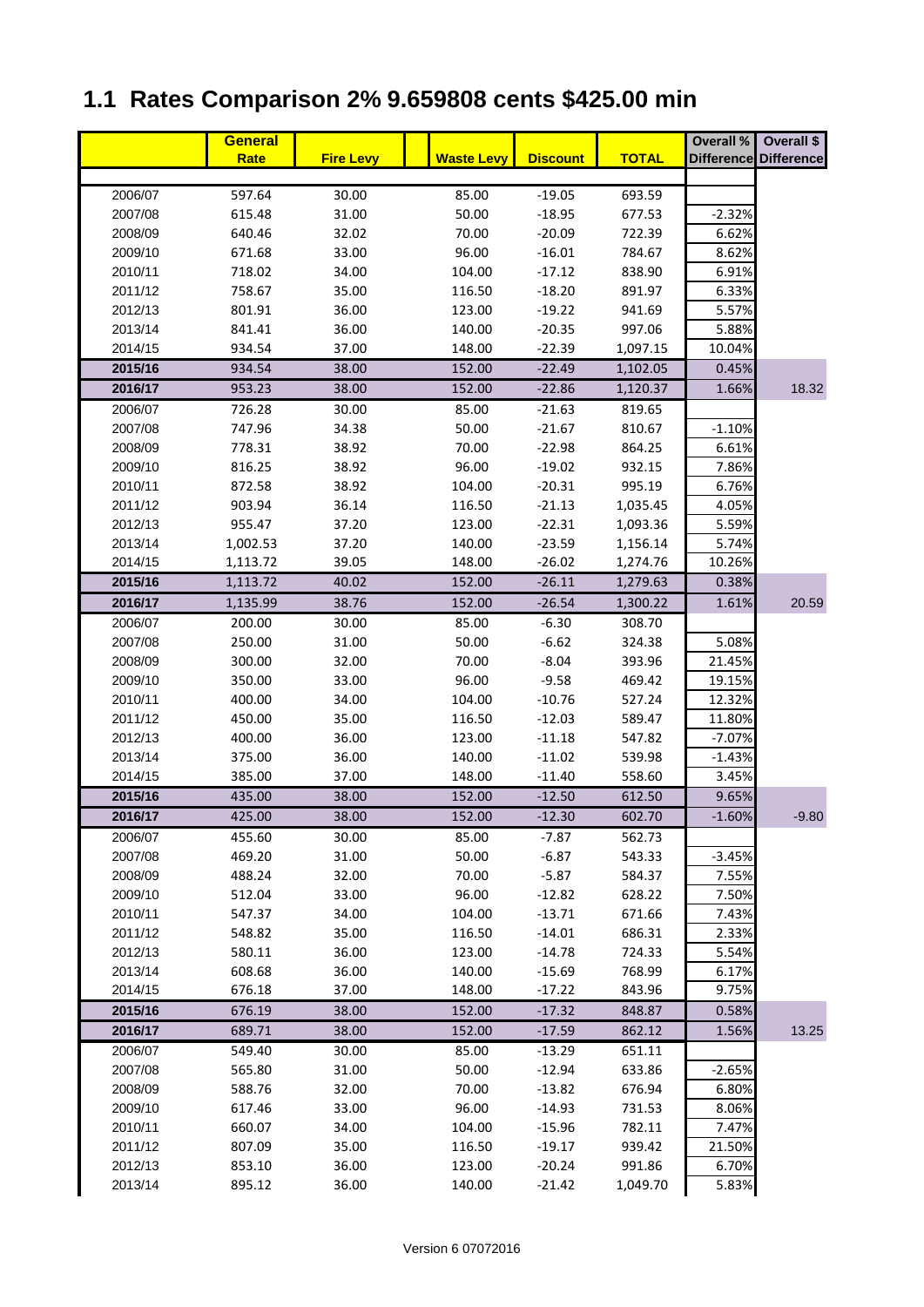## **1.1 Rates Comparison 2% 9.659808 cents \$425.00 min**

|                    | <b>General</b>   |                  |                   |                      |                  | <b>Overall %</b>   | Overall \$            |
|--------------------|------------------|------------------|-------------------|----------------------|------------------|--------------------|-----------------------|
|                    | Rate             | <b>Fire Levy</b> | <b>Waste Levy</b> | <b>Discount</b>      | <b>TOTAL</b>     |                    | Difference Difference |
|                    |                  |                  |                   |                      |                  |                    |                       |
| 2006/07            | 597.64           | 30.00            | 85.00             | $-19.05$             | 693.59           |                    |                       |
| 2007/08            | 615.48           | 31.00            | 50.00             | $-18.95$             | 677.53           | $-2.32%$           |                       |
| 2008/09            | 640.46           | 32.02            | 70.00             | $-20.09$             | 722.39           | 6.62%              |                       |
| 2009/10            | 671.68           | 33.00            | 96.00             | $-16.01$             | 784.67           | 8.62%              |                       |
| 2010/11            | 718.02           | 34.00            | 104.00            | $-17.12$             | 838.90           | 6.91%              |                       |
| 2011/12            | 758.67           | 35.00            | 116.50            | $-18.20$             | 891.97           | 6.33%              |                       |
| 2012/13            | 801.91           | 36.00            | 123.00            | $-19.22$             | 941.69           | 5.57%              |                       |
| 2013/14            | 841.41           | 36.00            | 140.00            | $-20.35$             | 997.06           | 5.88%              |                       |
| 2014/15            | 934.54           | 37.00            | 148.00            | $-22.39$             | 1,097.15         | 10.04%             |                       |
| 2015/16            | 934.54           | 38.00            | 152.00            | $-22.49$             | 1,102.05         | 0.45%              |                       |
| 2016/17            | 953.23           | 38.00            | 152.00            | $-22.86$             | 1,120.37         | 1.66%              | 18.32                 |
| 2006/07            | 726.28           | 30.00            | 85.00             | $-21.63$             | 819.65           |                    |                       |
| 2007/08            | 747.96           | 34.38            | 50.00             | $-21.67$             | 810.67           | $-1.10%$           |                       |
| 2008/09            | 778.31           | 38.92            | 70.00             | $-22.98$             | 864.25           | 6.61%              |                       |
| 2009/10            | 816.25           | 38.92            | 96.00             | $-19.02$             | 932.15           | 7.86%              |                       |
| 2010/11            | 872.58           | 38.92            | 104.00            | $-20.31$             | 995.19           | 6.76%              |                       |
| 2011/12            | 903.94           | 36.14            | 116.50            | $-21.13$             | 1,035.45         | 4.05%              |                       |
| 2012/13            | 955.47           | 37.20            | 123.00            | $-22.31$             | 1,093.36         | 5.59%              |                       |
| 2013/14            | 1,002.53         | 37.20            | 140.00            | $-23.59$             | 1,156.14         | 5.74%              |                       |
| 2014/15            | 1,113.72         | 39.05            | 148.00            | $-26.02$             | 1,274.76         | 10.26%             |                       |
| 2015/16            | 1,113.72         | 40.02            | 152.00            | $-26.11$             | 1,279.63         | 0.38%              |                       |
| 2016/17            | 1,135.99         | 38.76            | 152.00            | $-26.54$             | 1,300.22         | 1.61%              | 20.59                 |
| 2006/07            | 200.00           | 30.00            | 85.00             | $-6.30$              | 308.70           |                    |                       |
| 2007/08            | 250.00           | 31.00            | 50.00             | $-6.62$              | 324.38           | 5.08%              |                       |
| 2008/09            | 300.00           | 32.00            | 70.00             | $-8.04$              | 393.96           | 21.45%             |                       |
| 2009/10            | 350.00           | 33.00            | 96.00             | $-9.58$              | 469.42           | 19.15%             |                       |
| 2010/11            | 400.00           | 34.00            | 104.00            | $-10.76$             | 527.24           | 12.32%             |                       |
| 2011/12            | 450.00           | 35.00<br>36.00   | 116.50            | $-12.03$             | 589.47           | 11.80%<br>$-7.07%$ |                       |
| 2012/13            | 400.00           | 36.00            | 123.00            | $-11.18$             | 547.82           |                    |                       |
| 2013/14<br>2014/15 | 375.00<br>385.00 | 37.00            | 140.00<br>148.00  | $-11.02$<br>$-11.40$ | 539.98<br>558.60 | $-1.43%$<br>3.45%  |                       |
| 2015/16            | 435.00           | 38.00            | 152.00            | $-12.50$             | 612.50           | 9.65%              |                       |
| 2016/17            | 425.00           | 38.00            | 152.00            | $-12.30$             | 602.70           | $-1.60%$           | $-9.80$               |
| 2006/07            | 455.60           |                  | 85.00             | $-7.87$              |                  |                    |                       |
| 2007/08            | 469.20           | 30.00<br>31.00   | 50.00             | $-6.87$              | 562.73<br>543.33 | $-3.45%$           |                       |
| 2008/09            | 488.24           | 32.00            | 70.00             | $-5.87$              | 584.37           | 7.55%              |                       |
| 2009/10            | 512.04           | 33.00            | 96.00             | $-12.82$             | 628.22           | 7.50%              |                       |
| 2010/11            | 547.37           | 34.00            | 104.00            | $-13.71$             | 671.66           | 7.43%              |                       |
| 2011/12            | 548.82           | 35.00            | 116.50            | $-14.01$             | 686.31           | 2.33%              |                       |
| 2012/13            | 580.11           | 36.00            | 123.00            | $-14.78$             | 724.33           | 5.54%              |                       |
| 2013/14            | 608.68           | 36.00            | 140.00            | $-15.69$             | 768.99           | 6.17%              |                       |
| 2014/15            | 676.18           | 37.00            | 148.00            | $-17.22$             | 843.96           | 9.75%              |                       |
| 2015/16            | 676.19           | 38.00            | 152.00            | $-17.32$             | 848.87           | 0.58%              |                       |
| 2016/17            | 689.71           | 38.00            | 152.00            | $-17.59$             | 862.12           | 1.56%              | 13.25                 |
| 2006/07            | 549.40           | 30.00            | 85.00             | $-13.29$             | 651.11           |                    |                       |
| 2007/08            | 565.80           | 31.00            | 50.00             | $-12.94$             | 633.86           | $-2.65%$           |                       |
| 2008/09            | 588.76           | 32.00            | 70.00             | $-13.82$             | 676.94           | 6.80%              |                       |
| 2009/10            | 617.46           | 33.00            | 96.00             | $-14.93$             | 731.53           | 8.06%              |                       |
| 2010/11            | 660.07           | 34.00            | 104.00            | $-15.96$             | 782.11           | 7.47%              |                       |
| 2011/12            | 807.09           | 35.00            | 116.50            | $-19.17$             | 939.42           | 21.50%             |                       |
| 2012/13            | 853.10           | 36.00            | 123.00            | $-20.24$             | 991.86           | 6.70%              |                       |
| 2013/14            | 895.12           | 36.00            | 140.00            | $-21.42$             | 1,049.70         | 5.83%              |                       |
|                    |                  |                  |                   |                      |                  |                    |                       |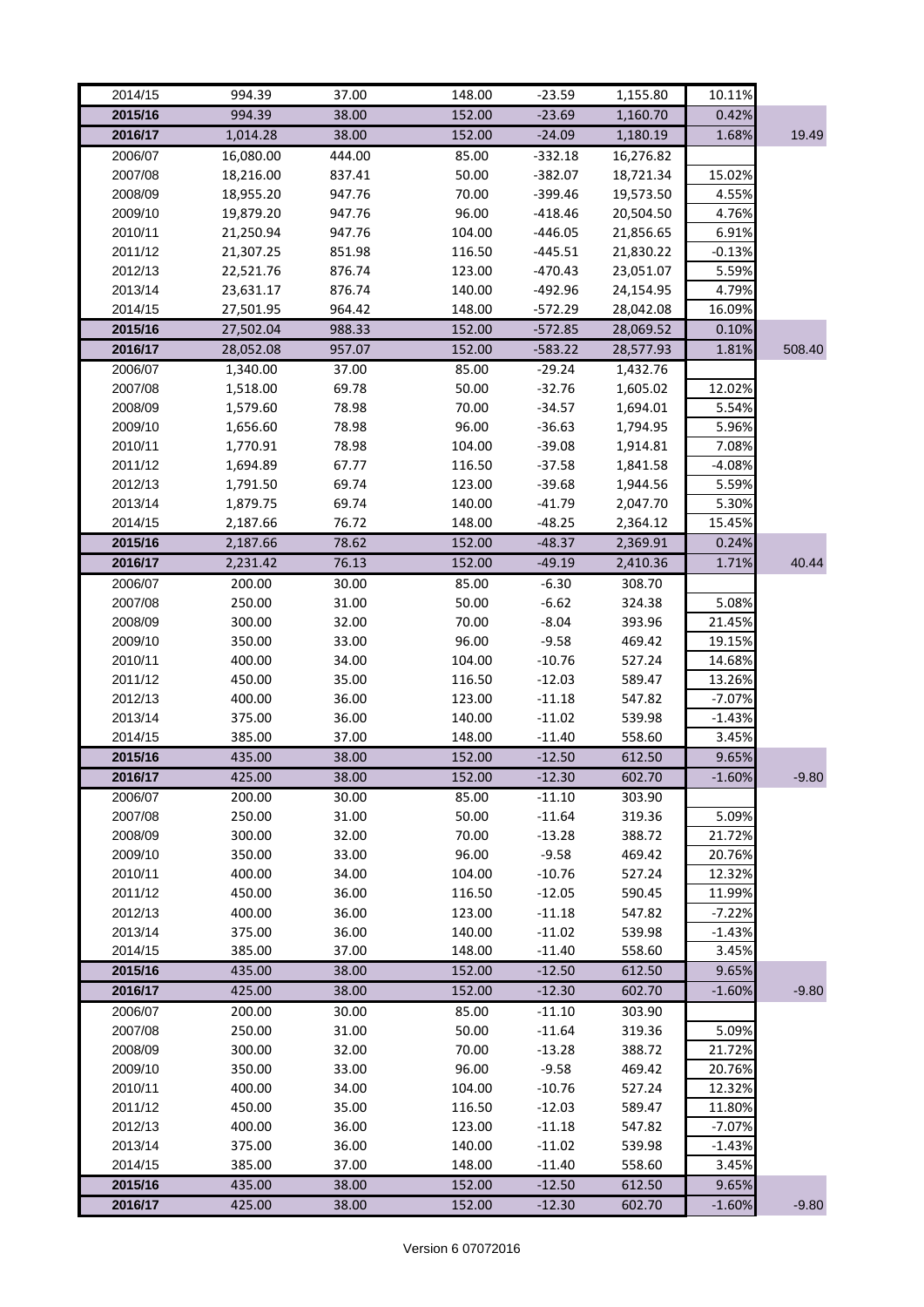| 2014/15            | 994.39           | 37.00          | 148.00         | $-23.59$             | 1,155.80         | 10.11%          |         |
|--------------------|------------------|----------------|----------------|----------------------|------------------|-----------------|---------|
| 2015/16            | 994.39           | 38.00          | 152.00         | $-23.69$             | 1,160.70         | 0.42%           |         |
| 2016/17            | 1,014.28         | 38.00          | 152.00         | $-24.09$             | 1,180.19         | 1.68%           | 19.49   |
| 2006/07            | 16,080.00        | 444.00         | 85.00          | $-332.18$            | 16,276.82        |                 |         |
| 2007/08            | 18,216.00        | 837.41         | 50.00          | $-382.07$            | 18,721.34        | 15.02%          |         |
| 2008/09            | 18,955.20        | 947.76         | 70.00          | $-399.46$            | 19,573.50        | 4.55%           |         |
| 2009/10            | 19,879.20        | 947.76         | 96.00          | $-418.46$            | 20,504.50        | 4.76%           |         |
| 2010/11            | 21,250.94        | 947.76         | 104.00         | $-446.05$            | 21,856.65        | 6.91%           |         |
| 2011/12            | 21,307.25        | 851.98         | 116.50         | $-445.51$            | 21,830.22        | $-0.13%$        |         |
| 2012/13            | 22,521.76        | 876.74         | 123.00         | $-470.43$            | 23,051.07        | 5.59%           |         |
| 2013/14            | 23,631.17        | 876.74         | 140.00         | $-492.96$            | 24,154.95        | 4.79%           |         |
| 2014/15            | 27,501.95        | 964.42         | 148.00         | $-572.29$            | 28,042.08        | 16.09%          |         |
| 2015/16            | 27,502.04        | 988.33         | 152.00         | $-572.85$            | 28,069.52        | 0.10%           |         |
| 2016/17            | 28,052.08        | 957.07         | 152.00         | $-583.22$            | 28,577.93        | 1.81%           | 508.40  |
| 2006/07            | 1,340.00         | 37.00          | 85.00          | $-29.24$             | 1,432.76         |                 |         |
| 2007/08            | 1,518.00         | 69.78          | 50.00          | $-32.76$             | 1,605.02         | 12.02%          |         |
| 2008/09            | 1,579.60         | 78.98          | 70.00          | $-34.57$             | 1,694.01         | 5.54%           |         |
| 2009/10            | 1,656.60         | 78.98          | 96.00          | $-36.63$             | 1,794.95         | 5.96%           |         |
| 2010/11            | 1,770.91         | 78.98          | 104.00         | $-39.08$             | 1,914.81         | 7.08%           |         |
| 2011/12            | 1,694.89         | 67.77          | 116.50         | $-37.58$             | 1,841.58         | $-4.08%$        |         |
| 2012/13            | 1,791.50         | 69.74          | 123.00         | $-39.68$             | 1,944.56         | 5.59%           |         |
| 2013/14            | 1,879.75         | 69.74          | 140.00         | $-41.79$             | 2,047.70         | 5.30%           |         |
| 2014/15            | 2,187.66         | 76.72          | 148.00         | $-48.25$             | 2,364.12         | 15.45%          |         |
| 2015/16            | 2,187.66         | 78.62          | 152.00         | $-48.37$             | 2,369.91         | 0.24%           |         |
| 2016/17            | 2,231.42         | 76.13          | 152.00         | $-49.19$             | 2,410.36         | 1.71%           | 40.44   |
| 2006/07            | 200.00           | 30.00          | 85.00          | $-6.30$              | 308.70           |                 |         |
| 2007/08            | 250.00           | 31.00          | 50.00          | $-6.62$              | 324.38           | 5.08%           |         |
| 2008/09            | 300.00           | 32.00          | 70.00          | $-8.04$              | 393.96           | 21.45%          |         |
| 2009/10            | 350.00           | 33.00          | 96.00          | $-9.58$              | 469.42           | 19.15%          |         |
| 2010/11            | 400.00           | 34.00          | 104.00         | $-10.76$             | 527.24           | 14.68%          |         |
| 2011/12            | 450.00           | 35.00          | 116.50         | $-12.03$             | 589.47           | 13.26%          |         |
| 2012/13            | 400.00           | 36.00          | 123.00         | $-11.18$             | 547.82           | $-7.07%$        |         |
| 2013/14            | 375.00           | 36.00          | 140.00         | $-11.02$             | 539.98           | $-1.43%$        |         |
| 2014/15            | 385.00           | 37.00          | 148.00         | $-11.40$             | 558.60           | 3.45%           |         |
| 2015/16            | 435.00           | 38.00          | 152.00         | $-12.50$             | 612.50           | 9.65%           |         |
| 2016/17            | 425.00           | 38.00          | 152.00         | $-12.30$             | 602.70           | $-1.60%$        | $-9.80$ |
| 2006/07            | 200.00           | 30.00          | 85.00          | $-11.10$             | 303.90           |                 |         |
| 2007/08<br>2008/09 | 250.00<br>300.00 | 31.00<br>32.00 | 50.00<br>70.00 | $-11.64$<br>$-13.28$ | 319.36<br>388.72 | 5.09%<br>21.72% |         |
| 2009/10            | 350.00           | 33.00          | 96.00          | $-9.58$              | 469.42           | 20.76%          |         |
| 2010/11            | 400.00           | 34.00          | 104.00         | $-10.76$             | 527.24           | 12.32%          |         |
| 2011/12            | 450.00           | 36.00          | 116.50         | $-12.05$             | 590.45           | 11.99%          |         |
| 2012/13            | 400.00           | 36.00          | 123.00         | $-11.18$             | 547.82           | $-7.22%$        |         |
| 2013/14            | 375.00           | 36.00          | 140.00         | $-11.02$             | 539.98           | $-1.43%$        |         |
| 2014/15            | 385.00           | 37.00          | 148.00         | $-11.40$             | 558.60           | 3.45%           |         |
| 2015/16            | 435.00           | 38.00          | 152.00         | $-12.50$             | 612.50           | 9.65%           |         |
| 2016/17            | 425.00           | 38.00          | 152.00         | $-12.30$             | 602.70           | $-1.60%$        | $-9.80$ |
| 2006/07            | 200.00           | 30.00          | 85.00          | $-11.10$             | 303.90           |                 |         |
| 2007/08            | 250.00           | 31.00          | 50.00          | $-11.64$             | 319.36           | 5.09%           |         |
| 2008/09            | 300.00           | 32.00          | 70.00          | $-13.28$             | 388.72           | 21.72%          |         |
| 2009/10            | 350.00           | 33.00          | 96.00          | $-9.58$              | 469.42           | 20.76%          |         |
| 2010/11            | 400.00           | 34.00          | 104.00         | $-10.76$             | 527.24           | 12.32%          |         |
| 2011/12            | 450.00           | 35.00          | 116.50         | $-12.03$             | 589.47           | 11.80%          |         |
| 2012/13            | 400.00           | 36.00          | 123.00         | $-11.18$             | 547.82           | $-7.07%$        |         |
| 2013/14            | 375.00           | 36.00          | 140.00         | $-11.02$             | 539.98           | $-1.43%$        |         |
| 2014/15            | 385.00           | 37.00          | 148.00         | $-11.40$             | 558.60           | 3.45%           |         |
| 2015/16            | 435.00           | 38.00          | 152.00         | $-12.50$             | 612.50           | 9.65%           |         |
| 2016/17            | 425.00           | 38.00          | 152.00         | $-12.30$             | 602.70           | $-1.60%$        | $-9.80$ |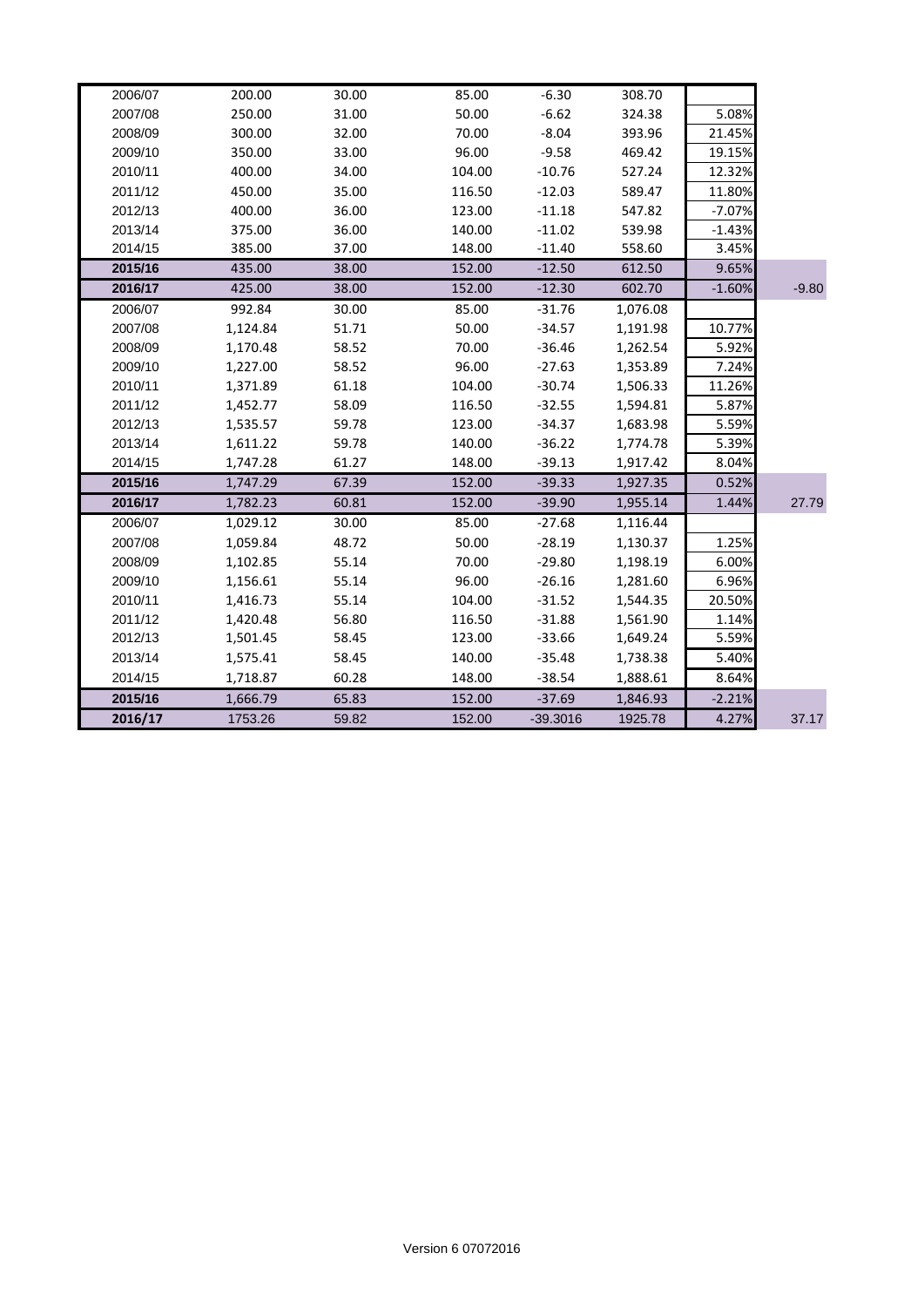| 2006/07 | 200.00   | 30.00 | 85.00  | $-6.30$    | 308.70   |          |         |
|---------|----------|-------|--------|------------|----------|----------|---------|
| 2007/08 | 250.00   | 31.00 | 50.00  | $-6.62$    | 324.38   | 5.08%    |         |
| 2008/09 | 300.00   | 32.00 | 70.00  | $-8.04$    | 393.96   | 21.45%   |         |
| 2009/10 | 350.00   | 33.00 | 96.00  | $-9.58$    | 469.42   | 19.15%   |         |
| 2010/11 | 400.00   | 34.00 | 104.00 | $-10.76$   | 527.24   | 12.32%   |         |
| 2011/12 | 450.00   | 35.00 | 116.50 | $-12.03$   | 589.47   | 11.80%   |         |
| 2012/13 | 400.00   | 36.00 | 123.00 | $-11.18$   | 547.82   | $-7.07%$ |         |
| 2013/14 | 375.00   | 36.00 | 140.00 | $-11.02$   | 539.98   | $-1.43%$ |         |
| 2014/15 | 385.00   | 37.00 | 148.00 | $-11.40$   | 558.60   | 3.45%    |         |
| 2015/16 | 435.00   | 38.00 | 152.00 | $-12.50$   | 612.50   | 9.65%    |         |
| 2016/17 | 425.00   | 38.00 | 152.00 | $-12.30$   | 602.70   | $-1.60%$ | $-9.80$ |
| 2006/07 | 992.84   | 30.00 | 85.00  | $-31.76$   | 1,076.08 |          |         |
| 2007/08 | 1,124.84 | 51.71 | 50.00  | $-34.57$   | 1,191.98 | 10.77%   |         |
| 2008/09 | 1,170.48 | 58.52 | 70.00  | $-36.46$   | 1,262.54 | 5.92%    |         |
| 2009/10 | 1,227.00 | 58.52 | 96.00  | $-27.63$   | 1,353.89 | 7.24%    |         |
| 2010/11 | 1,371.89 | 61.18 | 104.00 | $-30.74$   | 1,506.33 | 11.26%   |         |
| 2011/12 | 1,452.77 | 58.09 | 116.50 | $-32.55$   | 1,594.81 | 5.87%    |         |
| 2012/13 | 1,535.57 | 59.78 | 123.00 | $-34.37$   | 1,683.98 | 5.59%    |         |
| 2013/14 | 1,611.22 | 59.78 | 140.00 | $-36.22$   | 1,774.78 | 5.39%    |         |
| 2014/15 | 1,747.28 | 61.27 | 148.00 | $-39.13$   | 1,917.42 | 8.04%    |         |
| 2015/16 | 1,747.29 | 67.39 | 152.00 | $-39.33$   | 1,927.35 | 0.52%    |         |
| 2016/17 | 1,782.23 | 60.81 | 152.00 | $-39.90$   | 1,955.14 | 1.44%    | 27.79   |
| 2006/07 | 1,029.12 | 30.00 | 85.00  | $-27.68$   | 1,116.44 |          |         |
| 2007/08 | 1,059.84 | 48.72 | 50.00  | $-28.19$   | 1,130.37 | 1.25%    |         |
| 2008/09 | 1,102.85 | 55.14 | 70.00  | $-29.80$   | 1,198.19 | 6.00%    |         |
| 2009/10 | 1,156.61 | 55.14 | 96.00  | $-26.16$   | 1,281.60 | 6.96%    |         |
| 2010/11 | 1,416.73 | 55.14 | 104.00 | $-31.52$   | 1,544.35 | 20.50%   |         |
| 2011/12 | 1,420.48 | 56.80 | 116.50 | $-31.88$   | 1,561.90 | 1.14%    |         |
| 2012/13 | 1,501.45 | 58.45 | 123.00 | $-33.66$   | 1,649.24 | 5.59%    |         |
| 2013/14 | 1,575.41 | 58.45 | 140.00 | $-35.48$   | 1,738.38 | 5.40%    |         |
| 2014/15 | 1,718.87 | 60.28 | 148.00 | $-38.54$   | 1,888.61 | 8.64%    |         |
| 2015/16 | 1,666.79 | 65.83 | 152.00 | $-37.69$   | 1,846.93 | $-2.21%$ |         |
| 2016/17 | 1753.26  | 59.82 | 152.00 | $-39.3016$ | 1925.78  | 4.27%    | 37.17   |
|         |          |       |        |            |          |          |         |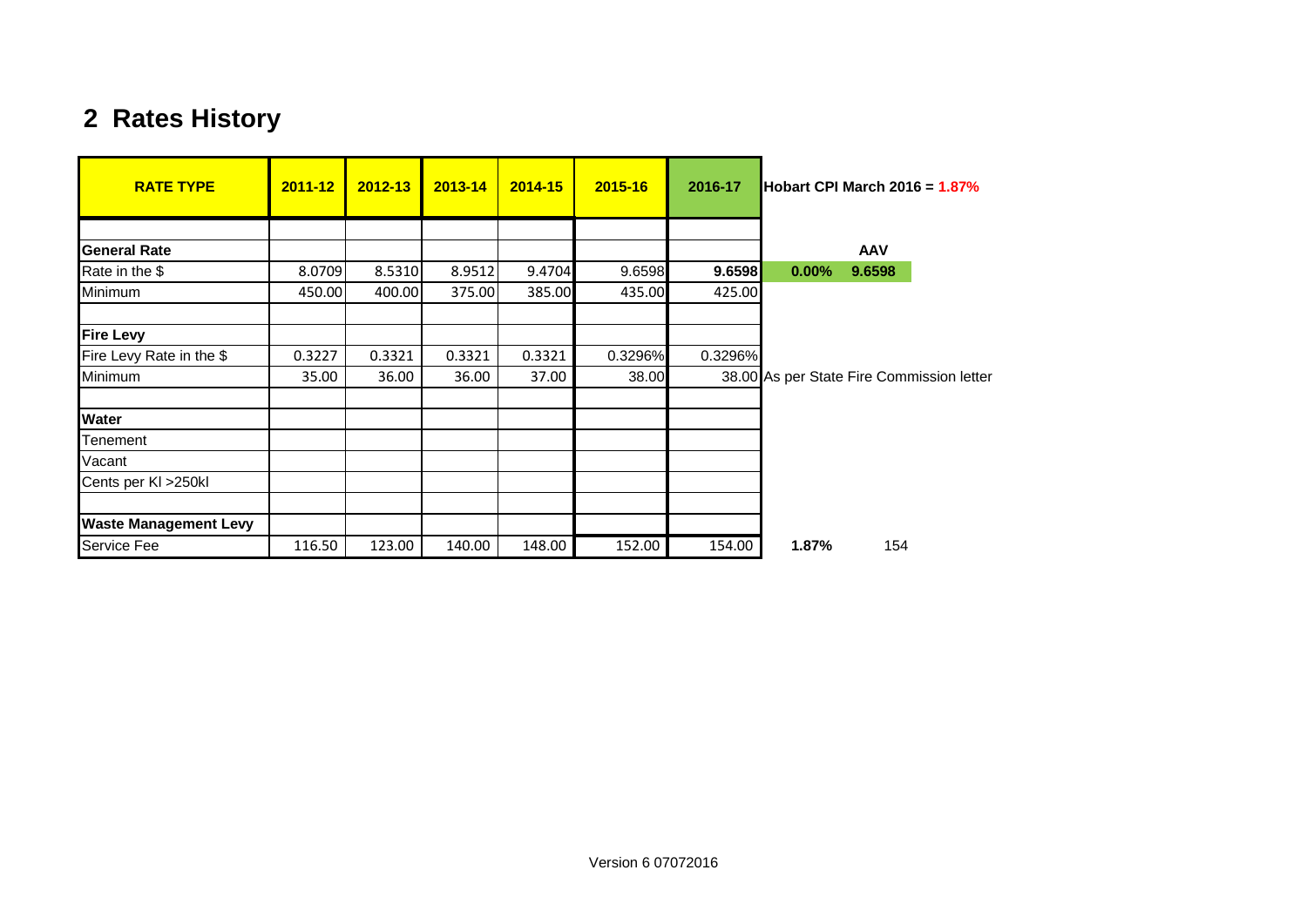## **2 Rates History**

| <b>RATE TYPE</b>             | $2011 - 12$ | $2012 - 13$ | $2013 - 14$ | 2014-15 | 2015-16 | 2016-17 | <b>Hobart CPI March 2016 = 1.87%</b>      |
|------------------------------|-------------|-------------|-------------|---------|---------|---------|-------------------------------------------|
|                              |             |             |             |         |         |         |                                           |
| <b>General Rate</b>          |             |             |             |         |         |         | <b>AAV</b>                                |
| Rate in the \$               | 8.0709      | 8.5310      | 8.9512      | 9.4704  | 9.6598  | 9.6598  | $0.00\%$<br>9.6598                        |
| Minimum                      | 450.00      | 400.00      | 375.00      | 385.00  | 435.00  | 425.00  |                                           |
| <b>Fire Levy</b>             |             |             |             |         |         |         |                                           |
| Fire Levy Rate in the \$     | 0.3227      | 0.3321      | 0.3321      | 0.3321  | 0.3296% | 0.3296% |                                           |
| Minimum                      | 35.00       | 36.00       | 36.00       | 37.00   | 38.00   |         | 38.00 As per State Fire Commission letter |
| <b>Water</b>                 |             |             |             |         |         |         |                                           |
| Tenement                     |             |             |             |         |         |         |                                           |
| Vacant                       |             |             |             |         |         |         |                                           |
| Cents per KI > 250kl         |             |             |             |         |         |         |                                           |
| <b>Waste Management Levy</b> |             |             |             |         |         |         |                                           |
| Service Fee                  | 116.50      | 123.00      | 140.00      | 148.00  | 152.00  | 154.00  | 1.87%<br>154                              |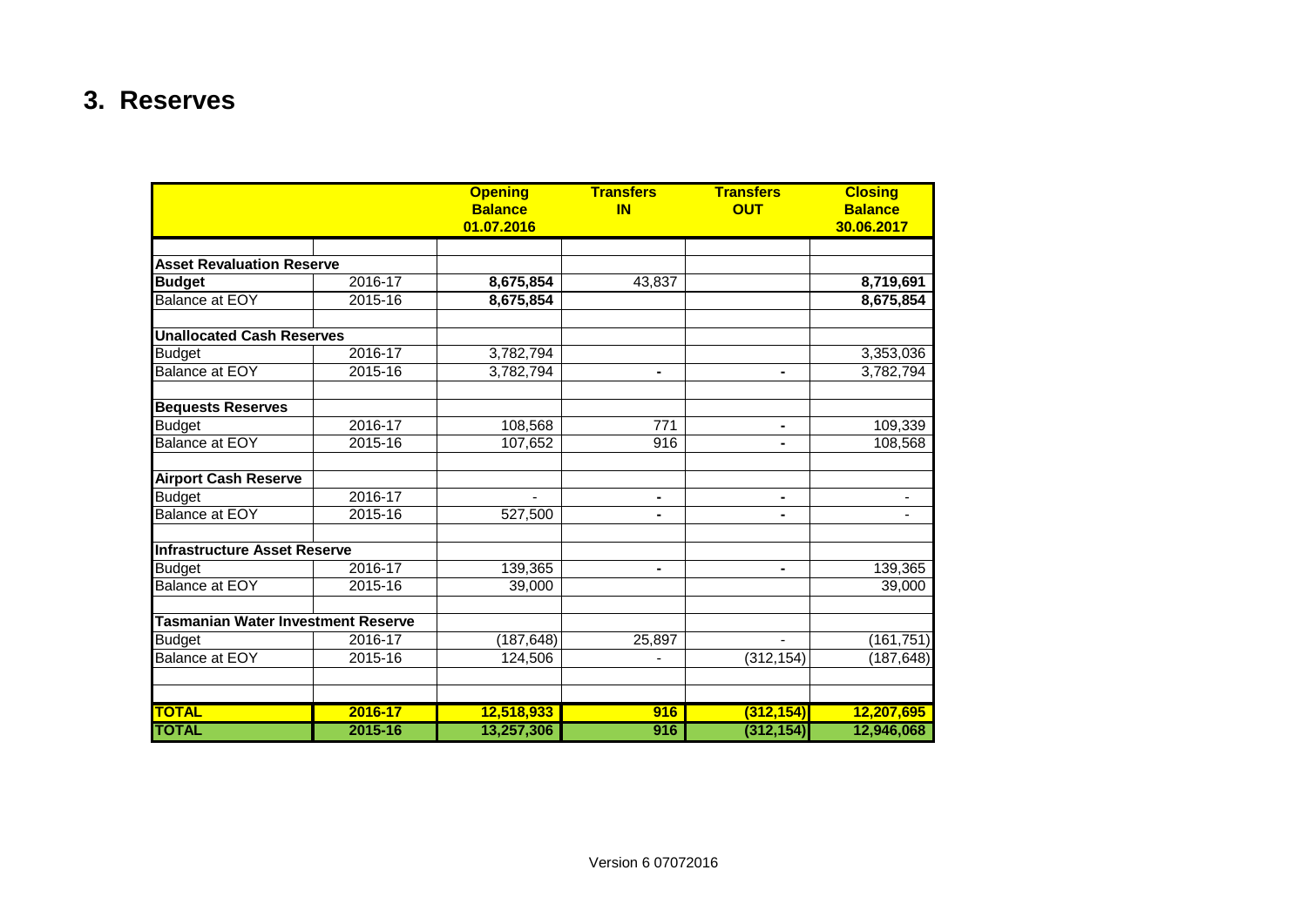## **3. Reserves**

|                                           |         | <b>Opening</b><br><b>Balance</b><br>01.07.2016 | <b>Transfers</b><br><b>IN</b> | <b>Transfers</b><br><b>OUT</b> | <b>Closing</b><br><b>Balance</b><br>30.06.2017 |
|-------------------------------------------|---------|------------------------------------------------|-------------------------------|--------------------------------|------------------------------------------------|
|                                           |         |                                                |                               |                                |                                                |
| <b>Asset Revaluation Reserve</b>          |         |                                                |                               |                                |                                                |
| <b>Budget</b>                             | 2016-17 | 8,675,854                                      | 43,837                        |                                | 8,719,691                                      |
| <b>Balance at EOY</b>                     | 2015-16 | 8,675,854                                      |                               |                                | 8,675,854                                      |
| <b>Unallocated Cash Reserves</b>          |         |                                                |                               |                                |                                                |
| <b>Budget</b>                             | 2016-17 | 3,782,794                                      |                               |                                | 3,353,036                                      |
| <b>Balance at EOY</b>                     | 2015-16 | 3,782,794                                      | ٠                             | ۰                              | 3,782,794                                      |
| <b>Bequests Reserves</b>                  |         |                                                |                               |                                |                                                |
| <b>Budget</b>                             | 2016-17 | 108,568                                        | 771                           | ۰                              | 109,339                                        |
| <b>Balance at EOY</b>                     | 2015-16 | 107,652                                        | 916                           |                                | 108,568                                        |
| <b>Airport Cash Reserve</b>               |         |                                                |                               |                                |                                                |
| <b>Budget</b>                             | 2016-17 |                                                | ۰                             |                                |                                                |
| <b>Balance at EOY</b>                     | 2015-16 | 527,500                                        | ۰                             | ۰                              |                                                |
| <b>Infrastructure Asset Reserve</b>       |         |                                                |                               |                                |                                                |
| <b>Budget</b>                             | 2016-17 | 139,365                                        | ٠                             | ۰                              | 139,365                                        |
| <b>Balance at EOY</b>                     | 2015-16 | 39,000                                         |                               |                                | 39,000                                         |
| <b>Tasmanian Water Investment Reserve</b> |         |                                                |                               |                                |                                                |
| <b>Budget</b>                             | 2016-17 | (187, 648)                                     | 25,897                        |                                | (161, 751)                                     |
| <b>Balance at EOY</b>                     | 2015-16 | 124,506                                        |                               | (312, 154)                     | (187, 648)                                     |
| <b>TOTAL</b>                              | 2016-17 |                                                |                               |                                |                                                |
|                                           |         | 12,518,933                                     | 916                           | (312, 154)                     | 12,207,695                                     |
| <b>TOTAL</b>                              | 2015-16 | 13,257,306                                     | 916                           | (312, 154)                     | 12,946,068                                     |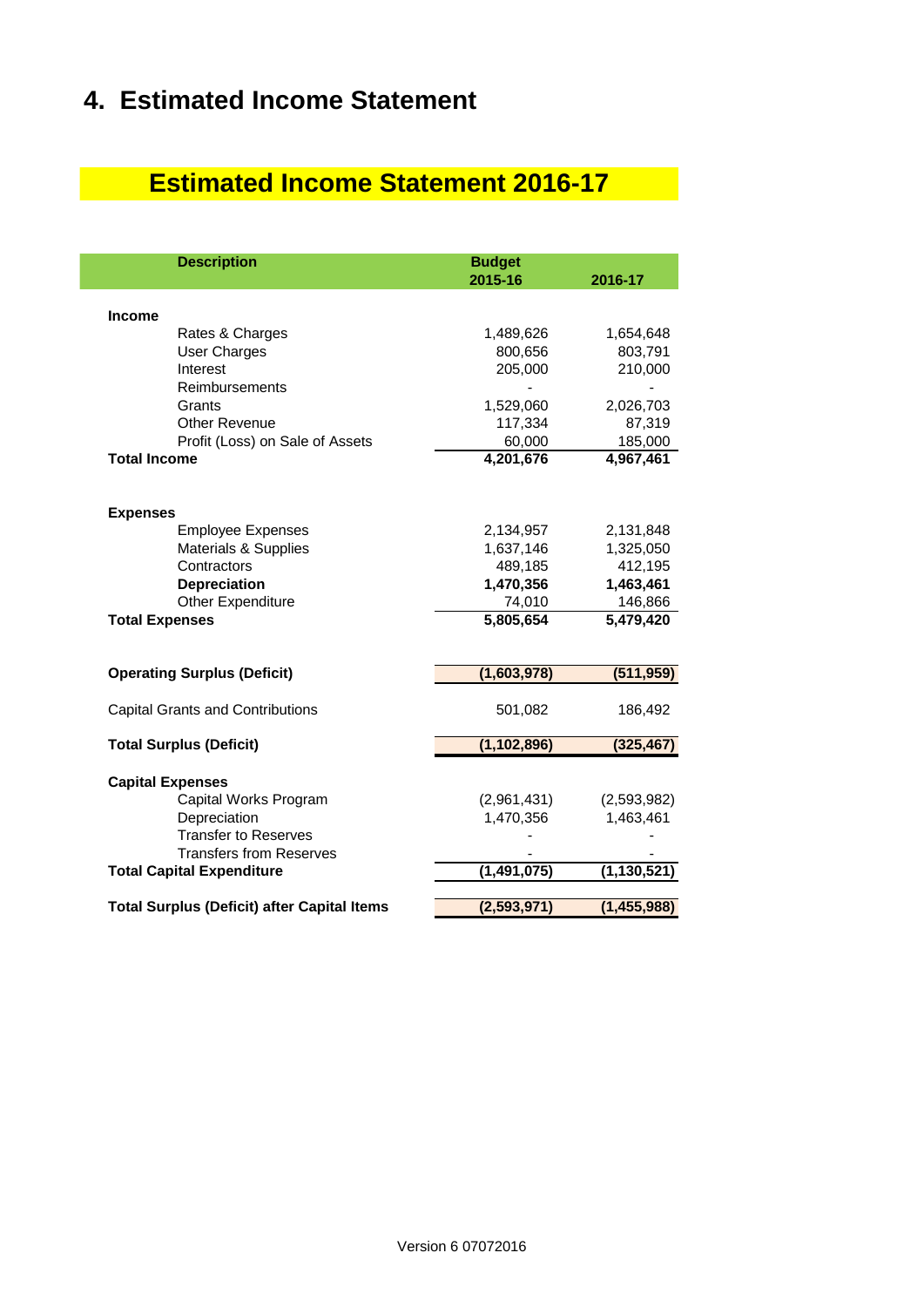## **4. Estimated Income Statement**

## **Estimated Income Statement 2016-17**

| <b>Description</b>                                          | <b>Budget</b><br>2015-16 | 2016-17                |
|-------------------------------------------------------------|--------------------------|------------------------|
| <b>Income</b>                                               |                          |                        |
| Rates & Charges                                             | 1,489,626                | 1,654,648              |
| <b>User Charges</b>                                         | 800,656                  | 803,791                |
| Interest                                                    | 205,000                  | 210,000                |
| Reimbursements                                              |                          |                        |
| Grants                                                      | 1,529,060                | 2,026,703              |
| Other Revenue                                               | 117,334                  | 87,319                 |
| Profit (Loss) on Sale of Assets                             | 60,000                   | 185,000                |
| <b>Total Income</b>                                         | 4,201,676                | 4,967,461              |
|                                                             |                          |                        |
| <b>Expenses</b>                                             |                          |                        |
| <b>Employee Expenses</b><br><b>Materials &amp; Supplies</b> | 2,134,957<br>1,637,146   | 2,131,848<br>1,325,050 |
| Contractors                                                 | 489,185                  | 412,195                |
| <b>Depreciation</b>                                         | 1,470,356                | 1,463,461              |
| <b>Other Expenditure</b>                                    | 74,010                   | 146,866                |
| <b>Total Expenses</b>                                       | 5,805,654                | 5,479,420              |
|                                                             |                          |                        |
| <b>Operating Surplus (Deficit)</b>                          | (1,603,978)              | (511, 959)             |
| <b>Capital Grants and Contributions</b>                     | 501,082                  | 186,492                |
| <b>Total Surplus (Deficit)</b>                              | (1, 102, 896)            | (325, 467)             |
| <b>Capital Expenses</b>                                     |                          |                        |
| Capital Works Program                                       | (2,961,431)              | (2,593,982)            |
| Depreciation                                                | 1,470,356                | 1,463,461              |
| <b>Transfer to Reserves</b>                                 |                          |                        |
| <b>Transfers from Reserves</b>                              |                          |                        |
| <b>Total Capital Expenditure</b>                            | (1, 491, 075)            | (1, 130, 521)          |
| <b>Total Surplus (Deficit) after Capital Items</b>          | (2,593,971)              | (1, 455, 988)          |
|                                                             |                          |                        |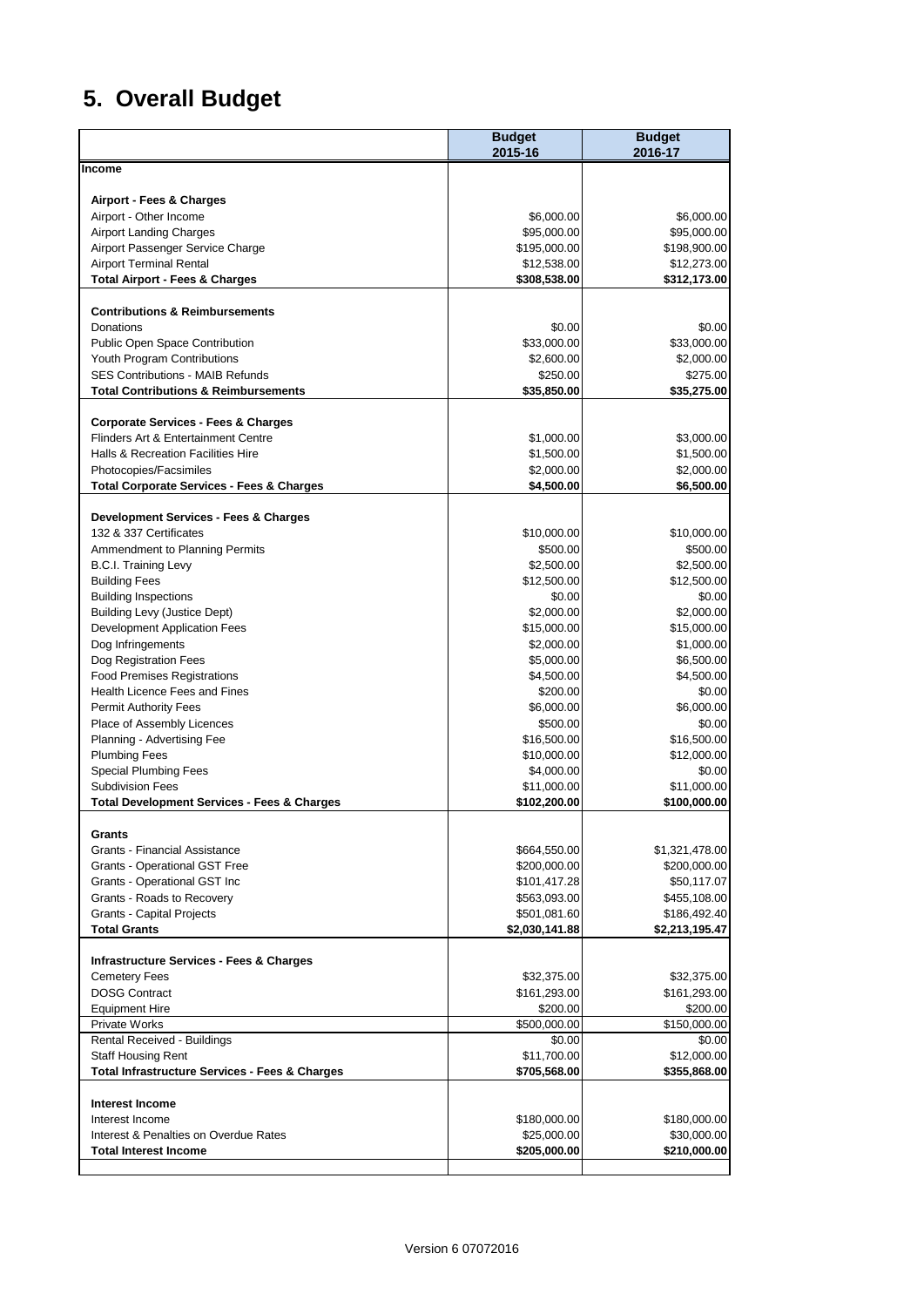## **5. Overall Budget**

|                                                                             | <b>Budget</b><br>2015-16    | <b>Budget</b><br>2016-17    |
|-----------------------------------------------------------------------------|-----------------------------|-----------------------------|
| Income                                                                      |                             |                             |
| Airport - Fees & Charges                                                    |                             |                             |
| Airport - Other Income                                                      | \$6,000.00                  | \$6,000.00                  |
| <b>Airport Landing Charges</b>                                              | \$95,000.00                 | \$95,000.00                 |
| Airport Passenger Service Charge                                            | \$195,000.00                | \$198,900.00                |
| <b>Airport Terminal Rental</b>                                              | \$12,538.00                 | \$12,273.00                 |
| <b>Total Airport - Fees &amp; Charges</b>                                   | \$308,538.00                | \$312,173.00                |
| <b>Contributions &amp; Reimbursements</b>                                   |                             |                             |
| Donations                                                                   | \$0.00                      | \$0.00                      |
| Public Open Space Contribution                                              | \$33,000.00                 | \$33,000.00                 |
| Youth Program Contributions                                                 | \$2,600.00                  | \$2,000.00                  |
| <b>SES Contributions - MAIB Refunds</b>                                     | \$250.00                    | \$275.00                    |
| <b>Total Contributions &amp; Reimbursements</b>                             | \$35,850.00                 | \$35,275.00                 |
| <b>Corporate Services - Fees &amp; Charges</b>                              |                             |                             |
| Flinders Art & Entertainment Centre                                         | \$1,000.00                  | \$3,000.00                  |
| Halls & Recreation Facilities Hire                                          | \$1,500.00                  | \$1,500.00                  |
| Photocopies/Facsimiles                                                      | \$2,000.00                  | \$2,000.00                  |
| <b>Total Corporate Services - Fees &amp; Charges</b>                        | \$4,500.00                  | \$6,500.00                  |
| Development Services - Fees & Charges                                       |                             |                             |
| 132 & 337 Certificates                                                      | \$10,000.00                 | \$10,000.00                 |
| Ammendment to Planning Permits                                              | \$500.00                    | \$500.00                    |
| <b>B.C.I. Training Levy</b>                                                 | \$2,500.00                  | \$2,500.00                  |
| <b>Building Fees</b>                                                        | \$12,500.00                 | \$12,500.00                 |
| <b>Building Inspections</b>                                                 | \$0.00                      | \$0.00                      |
| <b>Building Levy (Justice Dept)</b>                                         | \$2,000.00                  | \$2,000.00                  |
| <b>Development Application Fees</b>                                         | \$15,000.00                 | \$15,000.00                 |
| Dog Infringements                                                           | \$2,000.00                  | \$1,000.00                  |
| Dog Registration Fees<br><b>Food Premises Registrations</b>                 | \$5,000.00<br>\$4,500.00    | \$6,500.00<br>\$4,500.00    |
| Health Licence Fees and Fines                                               | \$200.00                    | \$0.00                      |
| <b>Permit Authority Fees</b>                                                | \$6,000.00                  | \$6,000.00                  |
| Place of Assembly Licences                                                  | \$500.00                    | \$0.00                      |
| Planning - Advertising Fee                                                  | \$16,500.00                 | \$16,500.00                 |
| <b>Plumbing Fees</b>                                                        | \$10,000.00                 | \$12,000.00                 |
| <b>Special Plumbing Fees</b>                                                | \$4,000.00                  | \$0.00                      |
| <b>Subdivision Fees</b>                                                     | \$11,000.00                 | \$11,000.00                 |
| <b>Total Development Services - Fees &amp; Charges</b>                      | \$102,200.00                | \$100,000.00                |
| Grants                                                                      |                             |                             |
| Grants - Financial Assistance                                               | \$664,550.00                | \$1,321,478.00              |
| Grants - Operational GST Free                                               | \$200,000.00                | \$200,000.00                |
| Grants - Operational GST Inc                                                | \$101,417.28                | \$50,117.07                 |
| Grants - Roads to Recovery                                                  | \$563,093.00                | \$455,108.00                |
| Grants - Capital Projects                                                   | \$501,081.60                | \$186,492.40                |
| <b>Total Grants</b>                                                         | \$2,030,141.88              | \$2,213,195.47              |
| <b>Infrastructure Services - Fees &amp; Charges</b>                         |                             |                             |
| <b>Cemetery Fees</b>                                                        | \$32,375.00                 | \$32,375.00                 |
| <b>DOSG Contract</b>                                                        | \$161,293.00                | \$161,293.00                |
| <b>Equipment Hire</b>                                                       | \$200.00                    | \$200.00                    |
| <b>Private Works</b>                                                        | \$500,000.00                | \$150,000.00                |
| Rental Received - Buildings                                                 | \$0.00                      | \$0.00                      |
| <b>Staff Housing Rent</b><br>Total Infrastructure Services - Fees & Charges | \$11,700.00<br>\$705,568.00 | \$12,000.00<br>\$355,868.00 |
|                                                                             |                             |                             |
| Interest Income                                                             |                             |                             |
| Interest Income                                                             | \$180,000.00                | \$180,000.00                |
| Interest & Penalties on Overdue Rates<br><b>Total Interest Income</b>       | \$25,000.00<br>\$205,000.00 | \$30,000.00<br>\$210,000.00 |
|                                                                             |                             |                             |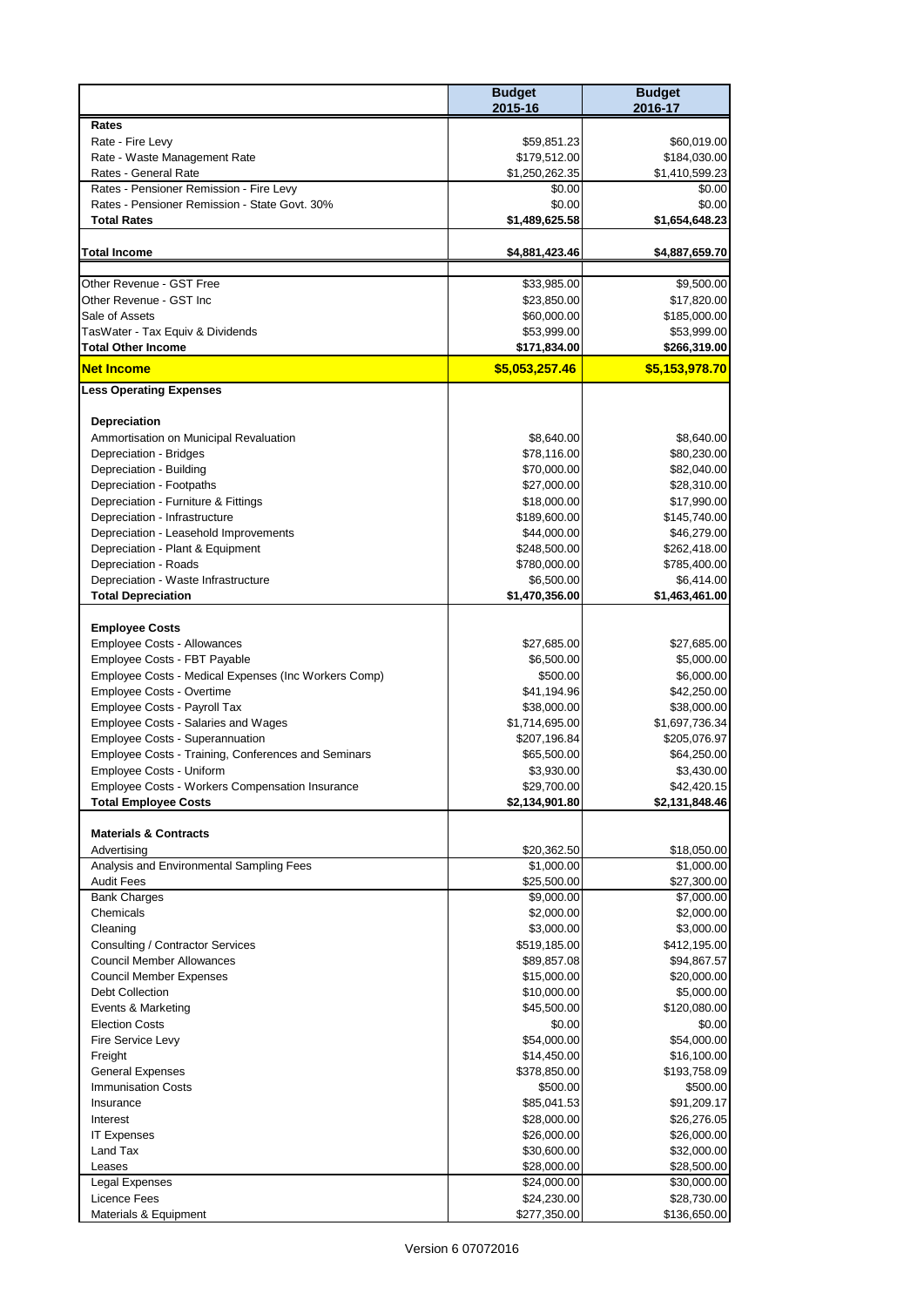|                                                                            | <b>Budget</b><br>2015-16      | <b>Budget</b><br>2016-17      |
|----------------------------------------------------------------------------|-------------------------------|-------------------------------|
| Rates                                                                      |                               |                               |
| Rate - Fire Levy                                                           | \$59,851.23                   | \$60,019.00                   |
| Rate - Waste Management Rate                                               | \$179,512.00                  | \$184,030.00                  |
| Rates - General Rate                                                       | \$1,250,262.35                | \$1,410,599.23                |
| Rates - Pensioner Remission - Fire Levy                                    | \$0.00                        | \$0.00                        |
| Rates - Pensioner Remission - State Govt. 30%<br><b>Total Rates</b>        | \$0.00<br>\$1,489,625.58      | \$0.00<br>\$1,654,648.23      |
|                                                                            |                               |                               |
| <b>Total Income</b>                                                        | \$4,881,423.46                | \$4,887,659.70                |
| Other Revenue - GST Free                                                   |                               |                               |
| Other Revenue - GST Inc                                                    | \$33,985.00<br>\$23,850.00    | \$9,500.00<br>\$17,820.00     |
| Sale of Assets                                                             | \$60,000.00                   | \$185,000.00                  |
| TasWater - Tax Equiv & Dividends                                           | \$53,999.00                   | \$53,999.00                   |
| <b>Total Other Income</b>                                                  | \$171,834.00                  | \$266,319.00                  |
| <b>Net Income</b>                                                          | \$5,053,257.46                | \$5,153,978.70                |
| <b>Less Operating Expenses</b>                                             |                               |                               |
| Depreciation                                                               |                               |                               |
| Ammortisation on Municipal Revaluation                                     | \$8,640.00                    | \$8,640.00                    |
| Depreciation - Bridges                                                     | \$78,116.00                   | \$80,230.00                   |
| Depreciation - Building                                                    | \$70,000.00                   | \$82,040.00                   |
| Depreciation - Footpaths                                                   | \$27,000.00                   | \$28,310.00                   |
| Depreciation - Furniture & Fittings                                        | \$18,000.00                   | \$17,990.00                   |
| Depreciation - Infrastructure                                              | \$189,600.00                  | \$145,740.00                  |
| Depreciation - Leasehold Improvements<br>Depreciation - Plant & Equipment  | \$44,000.00<br>\$248,500.00   | \$46,279.00<br>\$262,418.00   |
| Depreciation - Roads                                                       | \$780,000.00                  | \$785,400.00                  |
| Depreciation - Waste Infrastructure                                        | \$6,500.00                    | \$6,414.00                    |
| <b>Total Depreciation</b>                                                  | \$1,470,356.00                | \$1,463,461.00                |
| <b>Employee Costs</b>                                                      |                               |                               |
| <b>Employee Costs - Allowances</b>                                         | \$27,685.00                   | \$27,685.00                   |
| Employee Costs - FBT Payable                                               | \$6,500.00                    | \$5,000.00                    |
| Employee Costs - Medical Expenses (Inc Workers Comp)                       | \$500.00                      | \$6,000.00                    |
| Employee Costs - Overtime                                                  | \$41,194.96                   | \$42,250.00                   |
| Employee Costs - Payroll Tax<br><b>Employee Costs - Salaries and Wages</b> | \$38,000.00<br>\$1,714,695.00 | \$38,000.00<br>\$1,697,736.34 |
| Employee Costs - Superannuation                                            | \$207,196.84                  | \$205,076.97                  |
| Employee Costs - Training, Conferences and Seminars                        | \$65,500.00                   | \$64,250.00                   |
| Employee Costs - Uniform                                                   | \$3,930.00                    | \$3,430.00                    |
| Employee Costs - Workers Compensation Insurance                            | \$29,700.00                   | \$42,420.15                   |
| <b>Total Employee Costs</b>                                                | \$2,134,901.80                | \$2,131,848.46                |
| <b>Materials &amp; Contracts</b>                                           |                               |                               |
| Advertising                                                                | \$20,362.50                   | \$18,050.00                   |
| Analysis and Environmental Sampling Fees                                   | \$1,000.00                    | \$1,000.00                    |
| <b>Audit Fees</b><br><b>Bank Charges</b>                                   | \$25,500.00<br>\$9,000.00     | \$27,300.00<br>\$7,000.00     |
| Chemicals                                                                  | \$2,000.00                    | \$2,000.00                    |
| Cleaning                                                                   | \$3,000.00                    | \$3,000.00                    |
| Consulting / Contractor Services                                           | \$519,185.00                  | \$412,195.00                  |
| <b>Council Member Allowances</b>                                           | \$89,857.08                   | \$94,867.57                   |
| <b>Council Member Expenses</b>                                             | \$15,000.00                   | \$20,000.00                   |
| <b>Debt Collection</b>                                                     | \$10,000.00                   | \$5,000.00                    |
| Events & Marketing<br><b>Election Costs</b>                                | \$45,500.00<br>\$0.00         | \$120,080.00<br>\$0.00        |
| Fire Service Levy                                                          | \$54,000.00                   | \$54,000.00                   |
| Freight                                                                    | \$14,450.00                   | \$16,100.00                   |
| <b>General Expenses</b>                                                    | \$378,850.00                  | \$193,758.09                  |
| <b>Immunisation Costs</b>                                                  | \$500.00                      | \$500.00                      |
| Insurance                                                                  | \$85,041.53                   | \$91,209.17                   |
| Interest                                                                   | \$28,000.00                   | \$26,276.05                   |
| <b>IT Expenses</b>                                                         | \$26,000.00                   | \$26,000.00                   |
| Land Tax<br>Leases                                                         | \$30,600.00<br>\$28,000.00    | \$32,000.00<br>\$28,500.00    |
| <b>Legal Expenses</b>                                                      | \$24,000.00                   | \$30,000.00                   |
| <b>Licence Fees</b>                                                        | \$24,230.00                   | \$28,730.00                   |
| Materials & Equipment                                                      | \$277,350.00                  | \$136,650.00                  |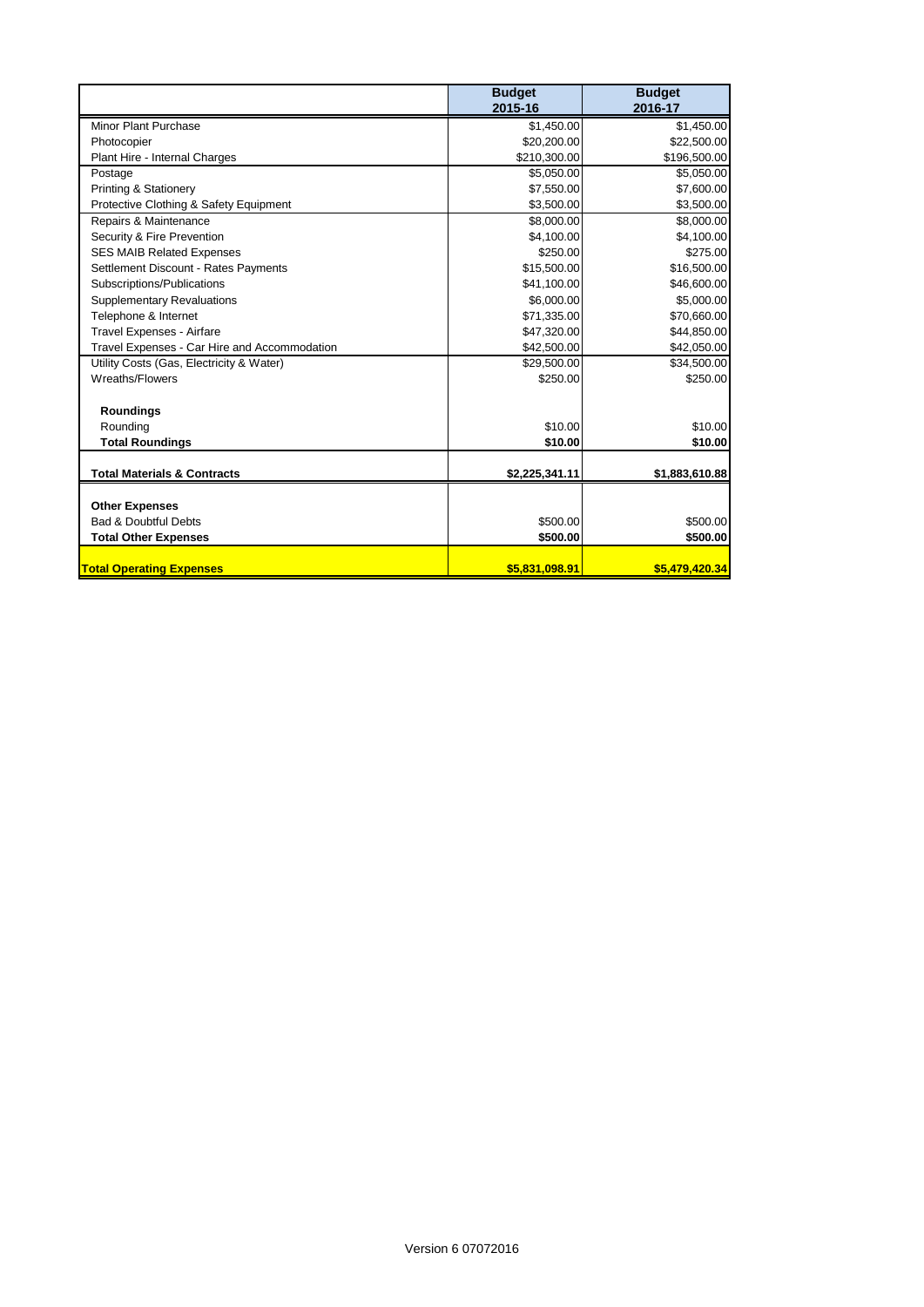|                                              | <b>Budget</b><br>2015-16 | <b>Budget</b><br>2016-17 |
|----------------------------------------------|--------------------------|--------------------------|
| Minor Plant Purchase                         | \$1,450.00               | \$1,450.00               |
| Photocopier                                  | \$20,200.00              | \$22,500.00              |
| Plant Hire - Internal Charges                | \$210,300.00             | \$196,500.00             |
| Postage                                      | \$5,050.00               | \$5,050.00               |
| <b>Printing &amp; Stationery</b>             | \$7,550.00               | \$7,600.00               |
| Protective Clothing & Safety Equipment       | \$3,500.00               | \$3,500.00               |
| Repairs & Maintenance                        | \$8,000.00               | \$8,000.00               |
| Security & Fire Prevention                   | \$4,100.00               | \$4,100.00               |
| <b>SES MAIB Related Expenses</b>             | \$250.00                 | \$275.00                 |
| Settlement Discount - Rates Payments         | \$15,500.00              | \$16,500.00              |
| Subscriptions/Publications                   | \$41,100.00              | \$46,600.00              |
| <b>Supplementary Revaluations</b>            | \$6,000.00               | \$5,000.00               |
| Telephone & Internet                         | \$71,335.00              | \$70,660.00              |
| Travel Expenses - Airfare                    | \$47,320.00              | \$44,850.00              |
| Travel Expenses - Car Hire and Accommodation | \$42,500.00              | \$42,050.00              |
| Utility Costs (Gas, Electricity & Water)     | \$29,500.00              | \$34,500.00              |
| Wreaths/Flowers                              | \$250.00                 | \$250.00                 |
| <b>Roundings</b>                             |                          |                          |
| Rounding                                     | \$10.00                  | \$10.00                  |
| <b>Total Roundings</b>                       | \$10.00                  | \$10.00                  |
| <b>Total Materials &amp; Contracts</b>       | \$2,225,341.11           | \$1,883,610.88           |
|                                              |                          |                          |
| <b>Other Expenses</b>                        |                          |                          |
| <b>Bad &amp; Doubtful Debts</b>              | \$500.00                 | \$500.00                 |
| <b>Total Other Expenses</b>                  | \$500.00                 | \$500.00                 |
| <b>Total Operating Expenses</b>              | \$5,831,098.91           | \$5,479,420.34           |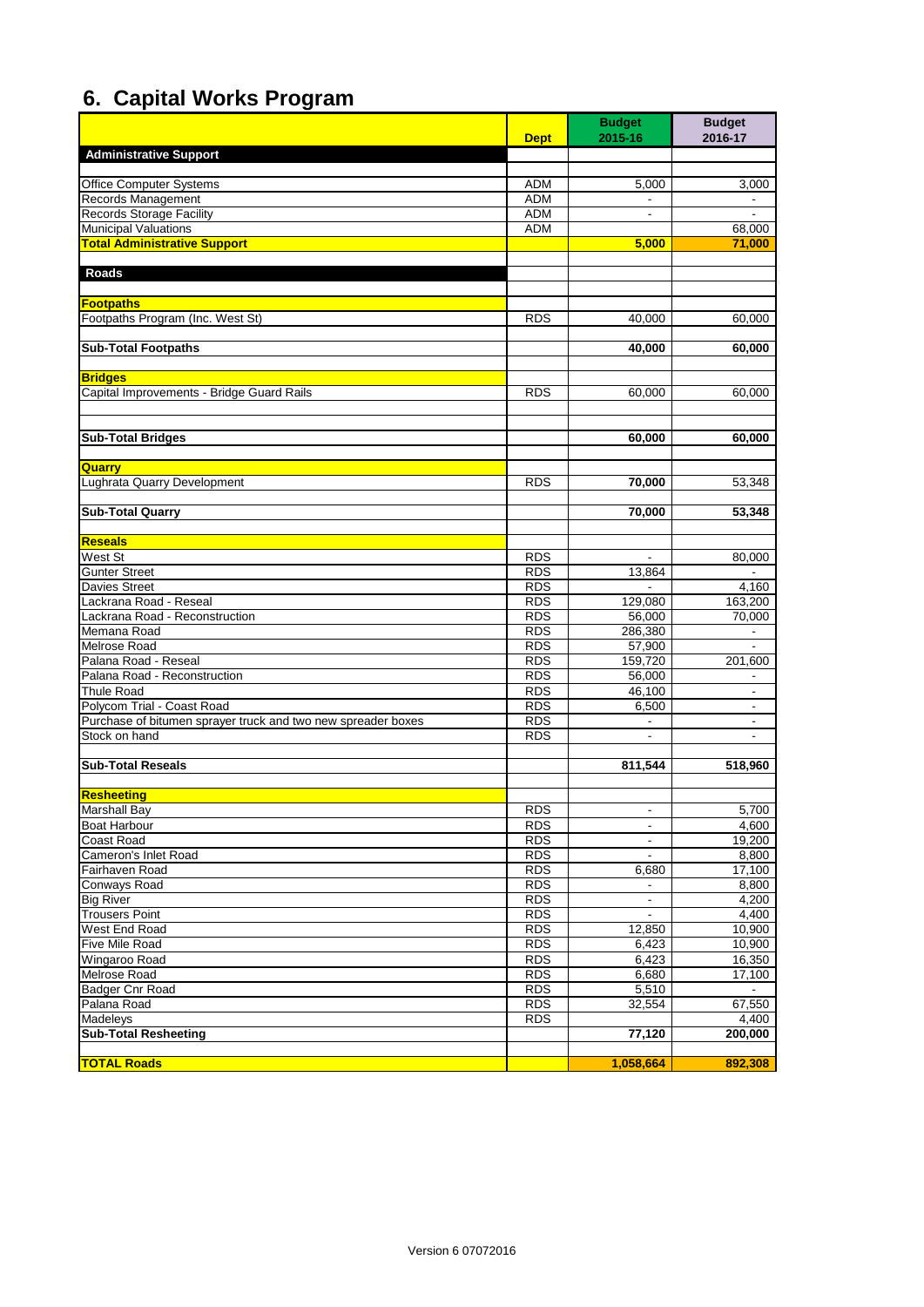## **6. Capital Works Program**

|                                                              | <b>Dept</b>              | <b>Budget</b><br>2015-16 | <b>Budget</b><br>2016-17 |
|--------------------------------------------------------------|--------------------------|--------------------------|--------------------------|
| <b>Administrative Support</b>                                |                          |                          |                          |
|                                                              |                          |                          |                          |
| <b>Office Computer Systems</b>                               | <b>ADM</b>               | 5,000                    | 3,000                    |
| Records Management                                           | <b>ADM</b><br><b>ADM</b> | $\overline{\phantom{a}}$ |                          |
| <b>Records Storage Facility</b><br>Municipal Valuations      | <b>ADM</b>               | $\blacksquare$           | 68,000                   |
| <b>Total Administrative Support</b>                          |                          | 5,000                    | 71,000                   |
|                                                              |                          |                          |                          |
| <b>Roads</b>                                                 |                          |                          |                          |
|                                                              |                          |                          |                          |
| <b>Footpaths</b>                                             |                          |                          |                          |
| Footpaths Program (Inc. West St)                             | <b>RDS</b>               | 40,000                   | 60,000                   |
| <b>Sub-Total Footpaths</b>                                   |                          | 40,000                   | 60,000                   |
|                                                              |                          |                          |                          |
| <b>Bridges</b>                                               |                          |                          |                          |
| Capital Improvements - Bridge Guard Rails                    | <b>RDS</b>               | 60,000                   | 60,000                   |
|                                                              |                          |                          |                          |
|                                                              |                          |                          |                          |
| <b>Sub-Total Bridges</b>                                     |                          | 60,000                   | 60,000                   |
| Quarry                                                       |                          |                          |                          |
| Lughrata Quarry Development                                  | <b>RDS</b>               | 70,000                   | 53,348                   |
|                                                              |                          |                          |                          |
| <b>Sub-Total Quarry</b>                                      |                          | 70.000                   | 53,348                   |
|                                                              |                          |                          |                          |
| <b>Reseals</b>                                               |                          |                          |                          |
| West St                                                      | <b>RDS</b>               |                          | 80,000                   |
| <b>Gunter Street</b>                                         | <b>RDS</b>               | 13,864                   |                          |
| Davies Street                                                | <b>RDS</b>               |                          | 4,160                    |
| Lackrana Road - Reseal                                       | <b>RDS</b>               | 129,080                  | 163,200                  |
| Lackrana Road - Reconstruction<br>Memana Road                | <b>RDS</b><br><b>RDS</b> | 56,000<br>286,380        | 70,000                   |
| Melrose Road                                                 | <b>RDS</b>               | 57,900                   |                          |
| Palana Road - Reseal                                         | <b>RDS</b>               | 159,720                  | 201,600                  |
| Palana Road - Reconstruction                                 | <b>RDS</b>               | 56,000                   |                          |
| <b>Thule Road</b>                                            | <b>RDS</b>               | 46,100                   | $\overline{\phantom{a}}$ |
| Polycom Trial - Coast Road                                   | <b>RDS</b>               | 6,500                    |                          |
| Purchase of bitumen sprayer truck and two new spreader boxes | <b>RDS</b>               | $\overline{\phantom{a}}$ | $\overline{\phantom{a}}$ |
| Stock on hand                                                | <b>RDS</b>               | $\blacksquare$           |                          |
|                                                              |                          |                          |                          |
| <b>Sub-Total Reseals</b>                                     |                          | 811,544                  | 518,960                  |
| Resheeting                                                   |                          |                          |                          |
| <b>Marshall Bay</b>                                          | <b>RDS</b>               | $\overline{\phantom{a}}$ | 5,700                    |
| <b>Boat Harbour</b>                                          | <b>RDS</b>               | $\blacksquare$           | 4,600                    |
| Coast Road                                                   | <b>RDS</b>               | $\blacksquare$           | 19,200                   |
| Cameron's Inlet Road                                         | <b>RDS</b>               |                          | 8,800                    |
| Fairhaven Road                                               | <b>RDS</b>               | 6,680                    | 17,100                   |
| Conways Road                                                 | <b>RDS</b>               | $\overline{\phantom{a}}$ | 8,800                    |
| <b>Big River</b>                                             | <b>RDS</b>               | ÷.                       | 4,200                    |
| <b>Trousers Point</b>                                        | <b>RDS</b>               | $\blacksquare$           | 4,400                    |
| West End Road                                                | <b>RDS</b>               | 12,850                   | 10,900                   |
| Five Mile Road<br>Wingaroo Road                              | <b>RDS</b><br><b>RDS</b> | 6,423<br>6,423           | 10,900<br>16,350         |
| Melrose Road                                                 | <b>RDS</b>               | 6,680                    | 17,100                   |
| Badger Cnr Road                                              | <b>RDS</b>               | 5,510                    |                          |
| Palana Road                                                  | <b>RDS</b>               | 32,554                   | 67,550                   |
| Madeleys                                                     | <b>RDS</b>               |                          | 4,400                    |
| <b>Sub-Total Resheeting</b>                                  |                          | 77,120                   | 200,000                  |
|                                                              |                          |                          |                          |
| <b>TOTAL Roads</b>                                           |                          | 1,058,664                | 892,308                  |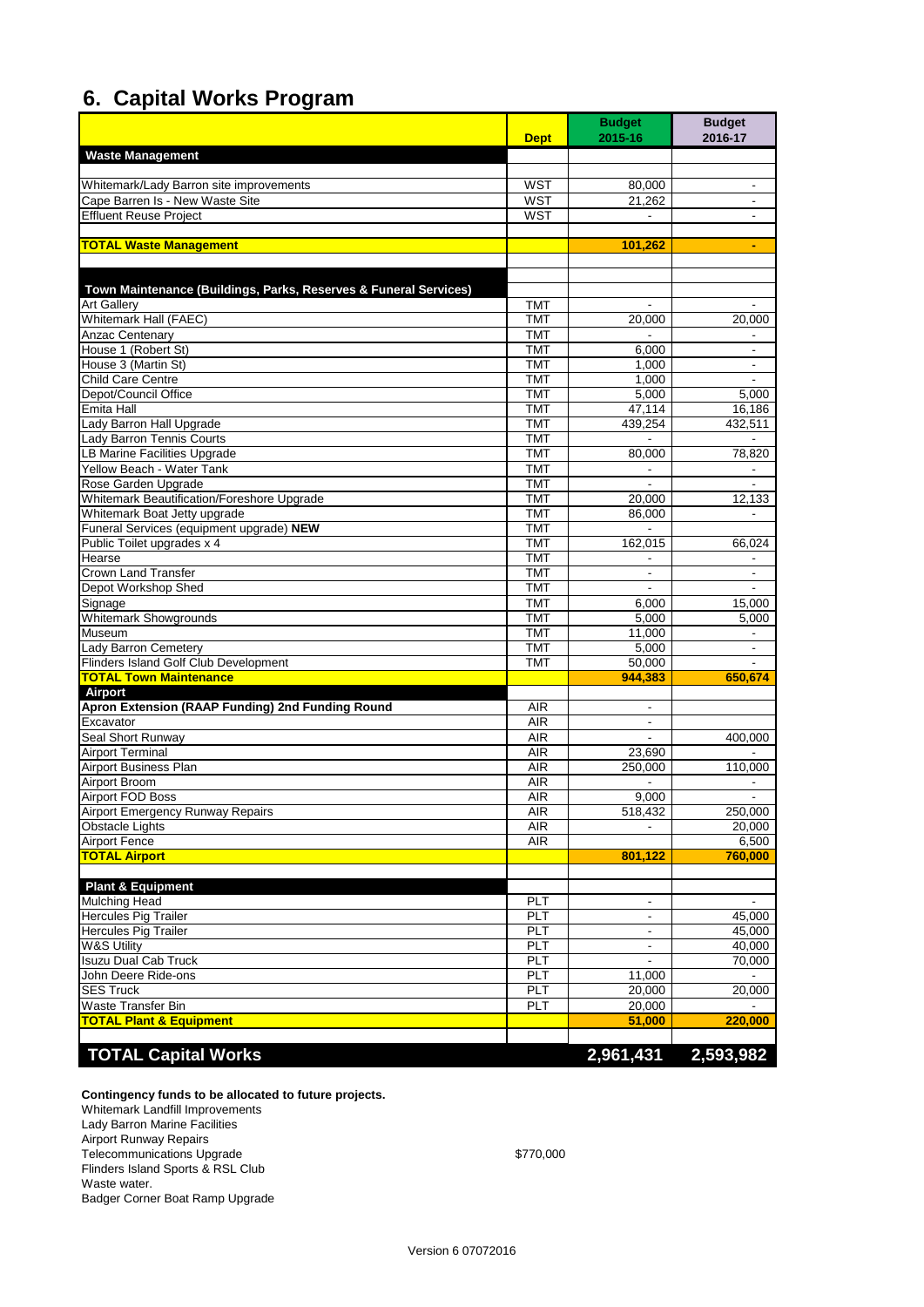## **6. Capital Works Program**

|                                                                                        | <b>Dept</b>      | <b>Budget</b><br>2015-16 | <b>Budget</b><br>2016-17 |
|----------------------------------------------------------------------------------------|------------------|--------------------------|--------------------------|
| <b>Waste Management</b>                                                                |                  |                          |                          |
|                                                                                        |                  |                          |                          |
| Whitemark/Lady Barron site improvements                                                | <b>WST</b>       | 80,000                   |                          |
| Cape Barren Is - New Waste Site                                                        | <b>WST</b>       | 21,262                   |                          |
| <b>Effluent Reuse Project</b>                                                          | <b>WST</b>       |                          |                          |
| <b>TOTAL Waste Management</b>                                                          |                  | 101,262                  | $\blacksquare$           |
|                                                                                        |                  |                          |                          |
|                                                                                        |                  |                          |                          |
| Town Maintenance (Buildings, Parks, Reserves & Funeral Services)<br><b>Art Gallery</b> | <b>TMT</b>       | $\blacksquare$           | $\blacksquare$           |
| Whitemark Hall (FAEC)                                                                  | <b>TMT</b>       | 20,000                   | 20,000                   |
| <b>Anzac Centenary</b>                                                                 | <b>TMT</b>       |                          |                          |
| House 1 (Robert St)                                                                    | <b>TMT</b>       | 6,000                    | $\overline{\phantom{a}}$ |
| House 3 (Martin St)                                                                    | <b>TMT</b>       | 1,000                    | $\overline{\phantom{a}}$ |
| <b>Child Care Centre</b>                                                               | <b>TMT</b>       | 1,000                    | $\overline{\phantom{a}}$ |
| Depot/Council Office                                                                   | <b>TMT</b>       | 5,000                    | 5,000                    |
| Emita Hall                                                                             | <b>TMT</b>       | 47,114                   | 16,186                   |
| Lady Barron Hall Upgrade                                                               | <b>TMT</b>       | 439,254                  | 432,511                  |
| Lady Barron Tennis Courts                                                              | <b>TMT</b>       |                          |                          |
| LB Marine Facilities Upgrade                                                           | <b>TMT</b>       | 80,000                   | 78,820                   |
| Yellow Beach - Water Tank                                                              | <b>TMT</b>       |                          | $\blacksquare$           |
| Rose Garden Upgrade                                                                    | <b>TMT</b>       |                          |                          |
| <b>Whitemark Beautification/Foreshore Upgrade</b>                                      | <b>TMT</b>       | 20,000                   | 12,133                   |
| Whitemark Boat Jetty upgrade                                                           | <b>TMT</b>       | 86,000                   |                          |
| Funeral Services (equipment upgrade) NEW                                               | <b>TMT</b>       |                          |                          |
| Public Toilet upgrades x 4                                                             | <b>TMT</b>       | 162,015                  | 66,024                   |
| Hearse                                                                                 | <b>TMT</b>       |                          |                          |
| <b>Crown Land Transfer</b>                                                             | <b>TMT</b>       |                          | $\overline{\phantom{a}}$ |
| Depot Workshop Shed                                                                    | <b>TMT</b>       |                          |                          |
| Signage                                                                                | <b>TMT</b>       | 6,000                    | 15,000                   |
| <b>Whitemark Showgrounds</b>                                                           | <b>TMT</b>       | 5,000                    | 5,000                    |
| Museum                                                                                 | <b>TMT</b>       | 11,000                   |                          |
| Lady Barron Cemetery                                                                   | <b>TMT</b>       | 5,000                    | $\overline{\phantom{a}}$ |
| Flinders Island Golf Club Development                                                  | <b>TMT</b>       | 50,000                   |                          |
| <b>TOTAL Town Maintenance</b>                                                          |                  | 944,383                  | 650,674                  |
| Airport                                                                                |                  |                          |                          |
| Apron Extension (RAAP Funding) 2nd Funding Round                                       | <b>AIR</b>       |                          |                          |
| Excavator                                                                              | <b>AIR</b>       |                          |                          |
| Seal Short Runway                                                                      | $\overline{AIR}$ |                          | 400,000                  |
| <b>Airport Terminal</b>                                                                | <b>AIR</b>       | 23,690                   |                          |
| <b>Airport Business Plan</b>                                                           | <b>AIR</b>       | 250.000                  | 110,000                  |
| Airport Broom                                                                          | <b>AIR</b>       |                          |                          |
| Airport FOD Boss                                                                       | <b>AIR</b>       | 9,000                    |                          |
| <b>Airport Emergency Runway Repairs</b>                                                | <b>AIR</b>       | 518,432                  | 250,000                  |
| <b>Obstacle Lights</b>                                                                 | <b>AIR</b>       |                          | 20,000                   |
| <b>Airport Fence</b>                                                                   | <b>AIR</b>       |                          | 6,500                    |
| <b>TOTAL Airport</b>                                                                   |                  | 801,122                  | 760,000                  |
|                                                                                        |                  |                          |                          |
| <b>Plant &amp; Equipment</b><br><b>Mulching Head</b>                                   | PLT              | $\blacksquare$           |                          |
| <b>Hercules Pig Trailer</b>                                                            | PLT              | $\overline{\phantom{a}}$ | 45,000                   |
| Hercules Pig Trailer                                                                   | PLT              |                          | 45,000                   |
| <b>W&amp;S Utility</b>                                                                 | PLT              | -                        | 40,000                   |
| <b>Isuzu Dual Cab Truck</b>                                                            | PLT              | $\overline{\phantom{a}}$ | 70,000                   |
| John Deere Ride-ons                                                                    | PLT              | 11,000                   |                          |
| <b>SES Truck</b>                                                                       | PLT              |                          |                          |
| Waste Transfer Bin                                                                     | PLT              | 20,000<br>20,000         | 20,000                   |
| <b>TOTAL Plant &amp; Equipment</b>                                                     |                  | 51,000                   | 220,000                  |
|                                                                                        |                  |                          |                          |
| <b>TOTAL Capital Works</b>                                                             |                  | 2,961,431                | 2,593,982                |
|                                                                                        |                  |                          |                          |

**Contingency funds to be allocated to future projects.**

Whitemark Landfill Improvements Lady Barron Marine Facilities Airport Runway Repairs Telecommunications Upgrade \$770,000 Flinders Island Sports & RSL Club Waste water. Badger Corner Boat Ramp Upgrade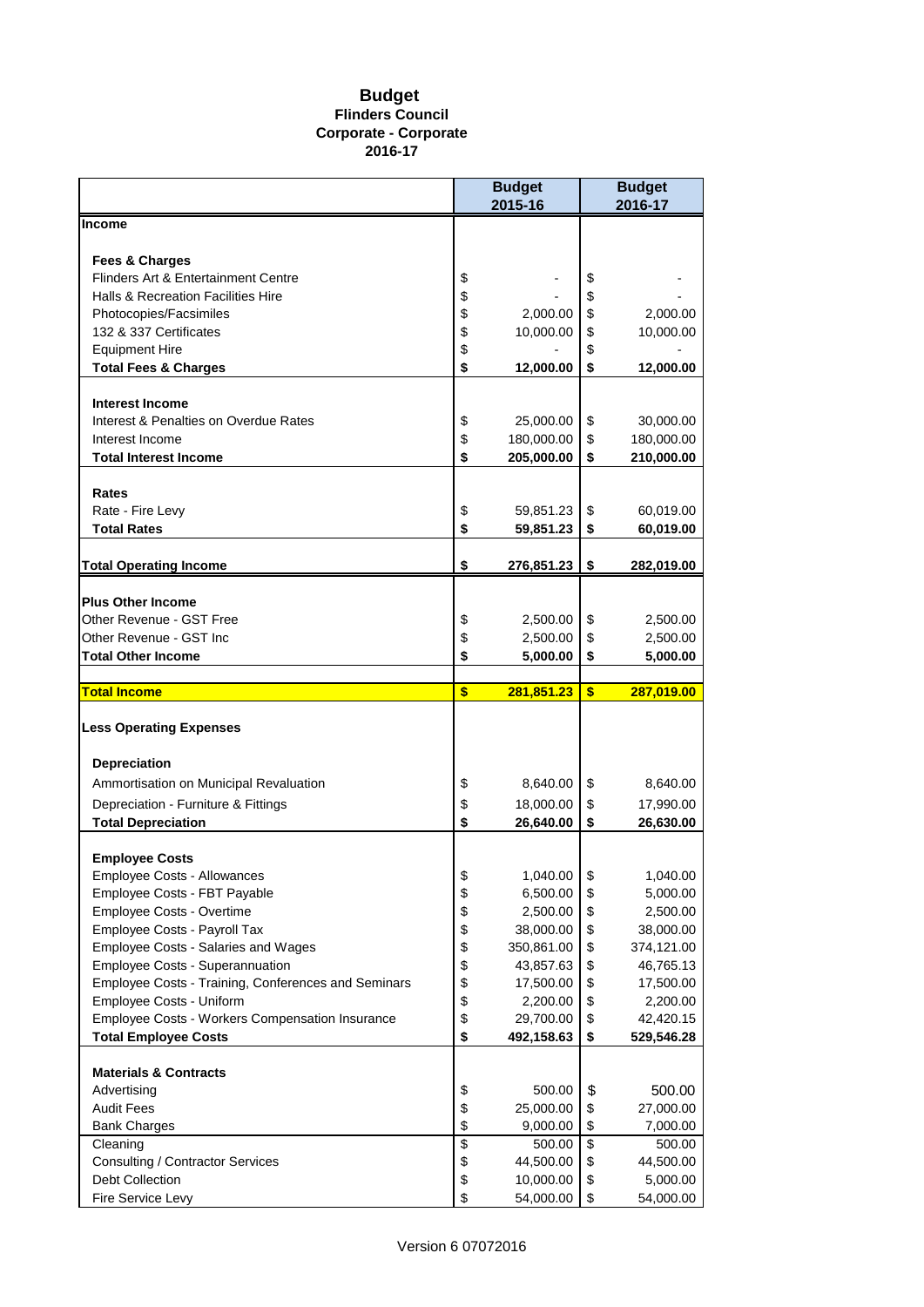#### **Budget Flinders Council Corporate - Corporate 2016-17**

|                                                      |          | <b>Budget</b> | <b>Budget</b> |            |  |
|------------------------------------------------------|----------|---------------|---------------|------------|--|
|                                                      |          | 2015-16       |               | 2016-17    |  |
| Income                                               |          |               |               |            |  |
| <b>Fees &amp; Charges</b>                            |          |               |               |            |  |
| Flinders Art & Entertainment Centre                  | \$       |               | \$            |            |  |
| <b>Halls &amp; Recreation Facilities Hire</b>        | \$       |               | \$            |            |  |
| Photocopies/Facsimiles                               | \$       | 2,000.00      | \$            | 2,000.00   |  |
| 132 & 337 Certificates                               | \$       | 10,000.00     | \$            | 10,000.00  |  |
| <b>Equipment Hire</b>                                | \$       |               | \$            |            |  |
| <b>Total Fees &amp; Charges</b>                      | \$       | 12,000.00     | \$            | 12,000.00  |  |
|                                                      |          |               |               |            |  |
| <b>Interest Income</b>                               |          |               |               |            |  |
| Interest & Penalties on Overdue Rates                | \$       | 25,000.00     | \$            | 30,000.00  |  |
| Interest Income<br><b>Total Interest Income</b>      | \$<br>\$ | 180,000.00    | \$<br>\$      | 180,000.00 |  |
|                                                      |          | 205,000.00    |               | 210,000.00 |  |
| Rates                                                |          |               |               |            |  |
| Rate - Fire Levy                                     | \$       | 59,851.23     | \$            | 60,019.00  |  |
| <b>Total Rates</b>                                   | \$       | 59,851.23     | \$            | 60,019.00  |  |
|                                                      |          |               |               |            |  |
| <b>Total Operating Income</b>                        | \$       | 276,851.23    | \$            | 282,019.00 |  |
|                                                      |          |               |               |            |  |
| <b>Plus Other Income</b><br>Other Revenue - GST Free | \$       | 2,500.00      | \$            | 2,500.00   |  |
| Other Revenue - GST Inc                              | \$       | 2,500.00      | \$            | 2,500.00   |  |
| <b>Total Other Income</b>                            | \$       | 5,000.00      | \$            | 5,000.00   |  |
|                                                      |          |               |               |            |  |
| <b>Total Income</b>                                  | \$       | 281,851.23    | \$            | 287,019.00 |  |
|                                                      |          |               |               |            |  |
| <b>Less Operating Expenses</b>                       |          |               |               |            |  |
| <b>Depreciation</b>                                  |          |               |               |            |  |
| Ammortisation on Municipal Revaluation               | \$       | 8,640.00      | \$            | 8,640.00   |  |
| Depreciation - Furniture & Fittings                  | \$       | 18,000.00     | \$            | 17,990.00  |  |
| <b>Total Depreciation</b>                            | \$       | 26,640.00     | \$            | 26,630.00  |  |
|                                                      |          |               |               |            |  |
| <b>Employee Costs</b>                                |          |               |               |            |  |
| <b>Employee Costs - Allowances</b>                   | \$       | 1,040.00      | \$            | 1,040.00   |  |
| Employee Costs - FBT Payable                         | \$       | 6,500.00      | \$            | 5,000.00   |  |
| Employee Costs - Overtime                            | \$       | 2,500.00      | \$            | 2,500.00   |  |
| Employee Costs - Payroll Tax                         | \$       | 38,000.00     | \$            | 38,000.00  |  |
| <b>Employee Costs - Salaries and Wages</b>           | \$       | 350,861.00    | \$            | 374,121.00 |  |
| Employee Costs - Superannuation                      | \$       | 43,857.63     | \$            | 46,765.13  |  |
| Employee Costs - Training, Conferences and Seminars  | \$       | 17,500.00     | \$            | 17,500.00  |  |
| Employee Costs - Uniform                             | \$       | 2,200.00      | \$            | 2,200.00   |  |
| Employee Costs - Workers Compensation Insurance      | \$       | 29,700.00     | \$            | 42,420.15  |  |
| <b>Total Employee Costs</b>                          | \$       | 492,158.63    | \$            | 529,546.28 |  |
| <b>Materials &amp; Contracts</b>                     |          |               |               |            |  |
| Advertising                                          | \$       | 500.00        | \$            | 500.00     |  |
| <b>Audit Fees</b>                                    | \$       | 25,000.00     | \$            | 27,000.00  |  |
| <b>Bank Charges</b>                                  | \$       | 9,000.00      | \$            | 7,000.00   |  |
| Cleaning                                             | \$       | 500.00        | \$            | 500.00     |  |
| <b>Consulting / Contractor Services</b>              | \$       | 44,500.00     | \$            | 44,500.00  |  |
| <b>Debt Collection</b>                               | \$       | 10,000.00     | \$            | 5,000.00   |  |
| Fire Service Levy                                    | \$       | 54,000.00     | \$            | 54,000.00  |  |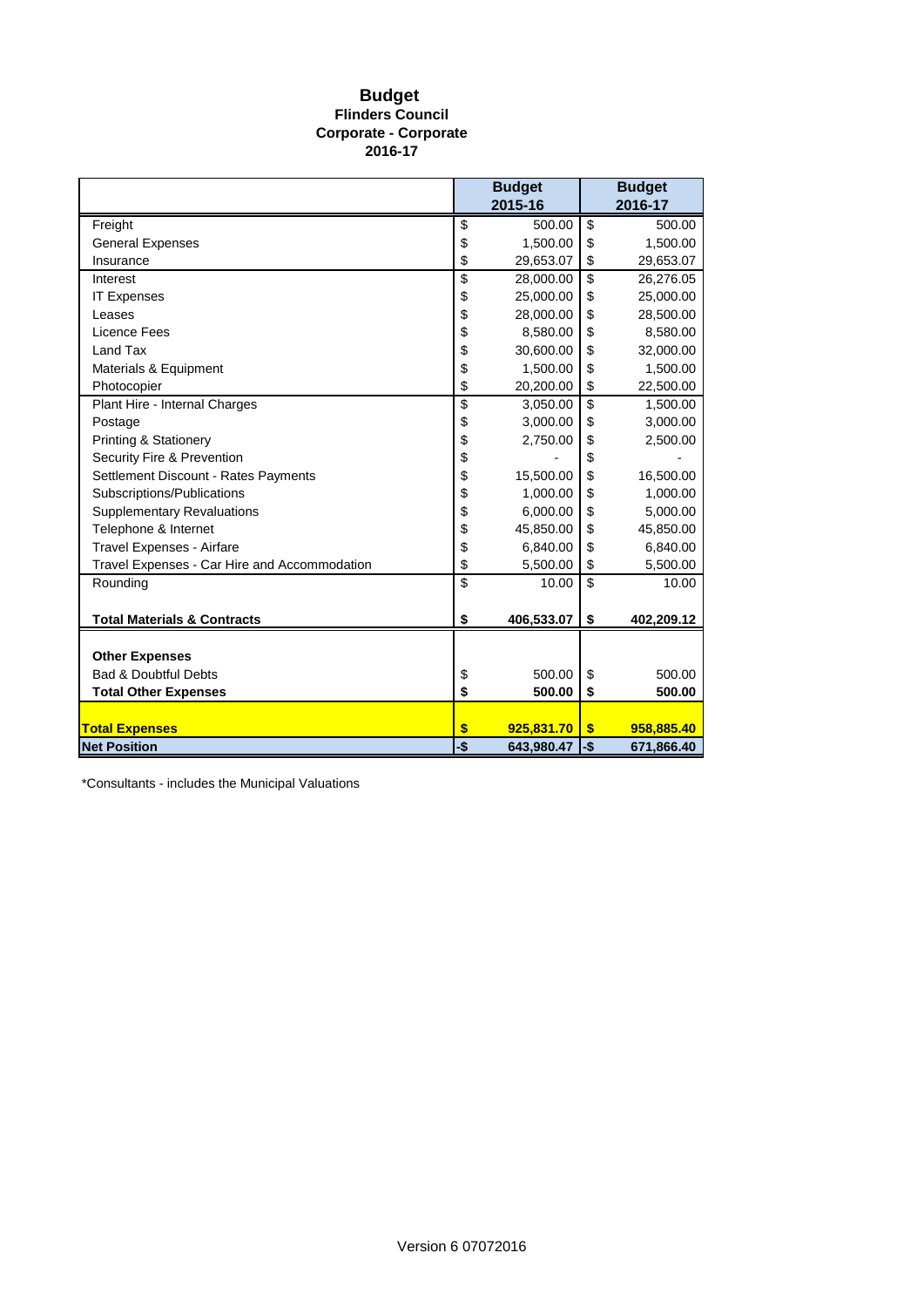#### **Budget Flinders Council Corporate - Corporate 2016-17**

|                                              |                 | <b>Budget</b><br>2015-16 |                 | <b>Budget</b><br>2016-17 |
|----------------------------------------------|-----------------|--------------------------|-----------------|--------------------------|
| Freight                                      | \$              | 500.00                   | \$              | 500.00                   |
| <b>General Expenses</b>                      | \$              | 1,500.00                 | \$              | 1,500.00                 |
| Insurance                                    | \$              | 29,653.07                | \$              | 29,653.07                |
| Interest                                     | $\overline{\$}$ | 28,000.00                | \$              | 26,276.05                |
| <b>IT Expenses</b>                           | \$              | 25,000.00                | \$              | 25,000.00                |
| Leases                                       | \$              | 28,000.00                | \$              | 28,500.00                |
| Licence Fees                                 | \$              | 8,580.00                 | \$              | 8,580.00                 |
| Land Tax                                     | \$              | 30,600.00                | \$              | 32,000.00                |
| Materials & Equipment                        | \$              | 1,500.00                 | \$              | 1,500.00                 |
| Photocopier                                  | \$              | 20,200.00                | \$              | 22,500.00                |
| Plant Hire - Internal Charges                | \$              | 3,050.00                 | \$              | 1,500.00                 |
| Postage                                      | \$              | 3,000.00                 | \$              | 3,000.00                 |
| <b>Printing &amp; Stationery</b>             | \$              | 2,750.00                 | \$              | 2,500.00                 |
| Security Fire & Prevention                   | \$              |                          | \$              |                          |
| Settlement Discount - Rates Payments         | \$              | 15,500.00                | \$              | 16,500.00                |
| Subscriptions/Publications                   | \$              | 1,000.00                 | \$              | 1,000.00                 |
| <b>Supplementary Revaluations</b>            | \$              | 6,000.00                 | \$              | 5,000.00                 |
| Telephone & Internet                         | \$              | 45,850.00                | \$              | 45,850.00                |
| Travel Expenses - Airfare                    | \$              | 6,840.00                 | \$              | 6,840.00                 |
| Travel Expenses - Car Hire and Accommodation | \$              | 5,500.00                 | \$              | 5,500.00                 |
| Rounding                                     | \$              | 10.00                    | $\overline{\$}$ | 10.00                    |
| <b>Total Materials &amp; Contracts</b>       | \$              | 406,533.07               | \$              | 402,209.12               |
|                                              |                 |                          |                 |                          |
| <b>Other Expenses</b>                        |                 |                          |                 |                          |
| <b>Bad &amp; Doubtful Debts</b>              | \$              | 500.00                   | \$              | 500.00                   |
| <b>Total Other Expenses</b>                  | \$              | 500.00                   | \$              | 500.00                   |
| <b>Total Expenses</b>                        | \$              | 925,831.70               | \$              | 958,885.40               |
| <b>Net Position</b>                          | -\$             | 643,980.47               | -\$             | 671,866.40               |

\*Consultants - includes the Municipal Valuations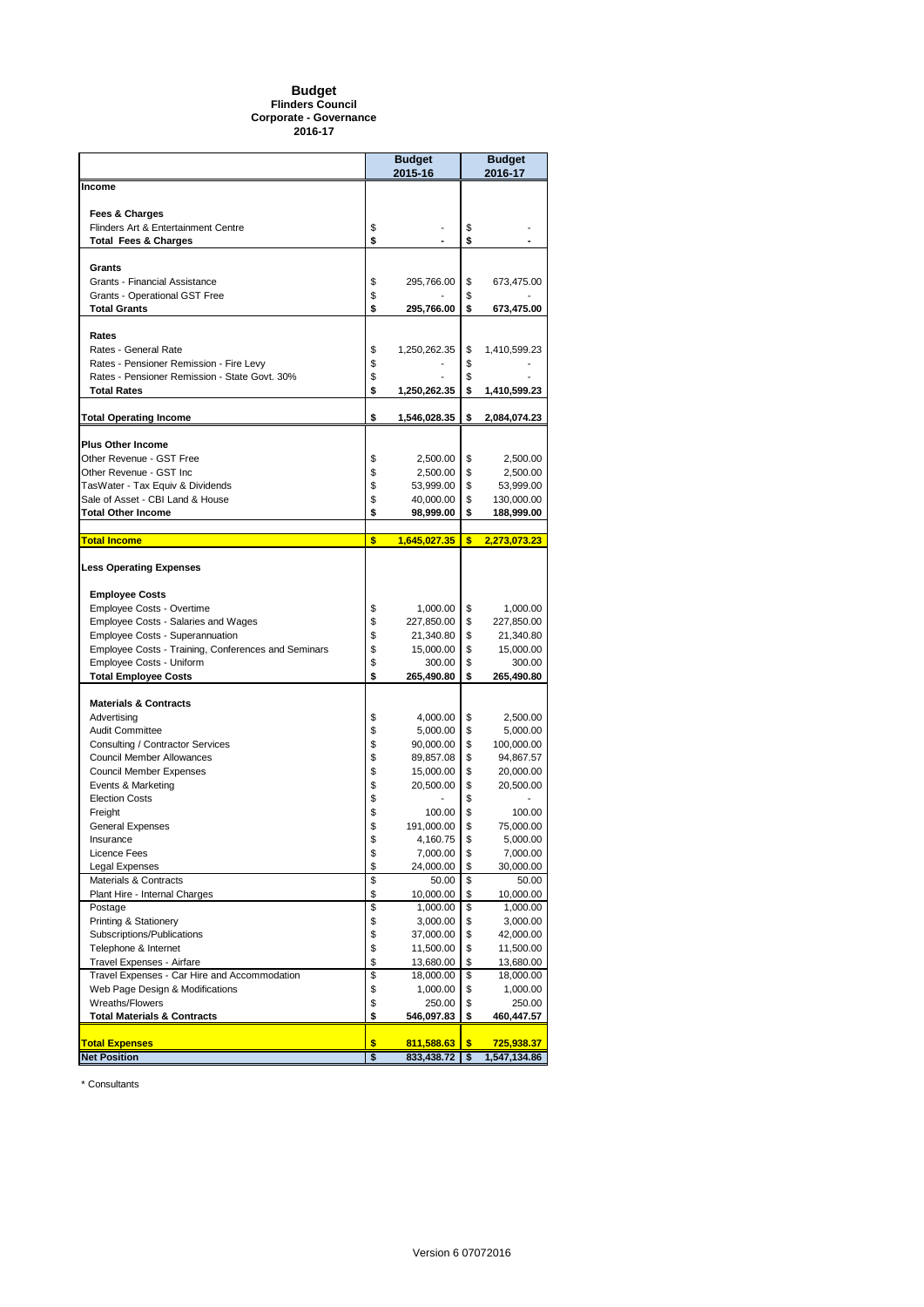#### **Budget Flinders Council Corporate - Governance 2016-17**

|                                                                                 |          | <b>Budget</b><br>2015-16 |          | <b>Budget</b><br>2016-17 |
|---------------------------------------------------------------------------------|----------|--------------------------|----------|--------------------------|
| Income                                                                          |          |                          |          |                          |
| Fees & Charges                                                                  |          |                          |          |                          |
| Flinders Art & Entertainment Centre                                             | \$       |                          | \$       |                          |
| <b>Total Fees &amp; Charges</b>                                                 | \$       |                          | \$       |                          |
|                                                                                 |          |                          |          |                          |
| Grants                                                                          |          |                          |          |                          |
| Grants - Financial Assistance<br>Grants - Operational GST Free                  | \$<br>\$ | 295,766.00               | \$<br>\$ | 673,475.00               |
| <b>Total Grants</b>                                                             | \$       | 295,766.00               | \$       | 673,475.00               |
|                                                                                 |          |                          |          |                          |
| Rates                                                                           |          |                          |          |                          |
| Rates - General Rate                                                            | \$       | 1,250,262.35             | \$       | 1,410,599.23             |
| Rates - Pensioner Remission - Fire Levy                                         | \$       |                          | \$       |                          |
| Rates - Pensioner Remission - State Govt, 30%                                   | \$       |                          | \$       |                          |
| <b>Total Rates</b>                                                              | \$       | 1,250,262.35             | \$       | 1,410,599.23             |
| <b>Total Operating Income</b>                                                   | \$       | 1,546,028.35             | \$       | 2,084,074.23             |
|                                                                                 |          |                          |          |                          |
| <b>Plus Other Income</b><br>Other Revenue - GST Free                            |          |                          |          |                          |
| Other Revenue - GST Inc                                                         | \$<br>\$ | 2,500.00<br>2,500.00     | \$<br>\$ | 2,500.00<br>2,500.00     |
| TasWater - Tax Equiv & Dividends                                                | \$       | 53,999.00                | \$       | 53,999.00                |
| Sale of Asset - CBI Land & House                                                | \$       | 40,000.00                | \$       | 130,000.00               |
| <b>Total Other Income</b>                                                       | \$       | 98,999.00                | \$       | 188,999.00               |
|                                                                                 |          |                          |          |                          |
| <u>Total Income</u>                                                             | \$       | 1,645,027.35             | \$       | 2,273,073.23             |
| <b>Less Operating Expenses</b>                                                  |          |                          |          |                          |
| <b>Employee Costs</b>                                                           |          |                          |          |                          |
| Employee Costs - Overtime                                                       | \$       | 1,000.00                 | \$       | 1,000.00                 |
| Employee Costs - Salaries and Wages                                             | \$       | 227,850.00               | \$       | 227,850.00               |
| Employee Costs - Superannuation                                                 | \$<br>\$ | 21,340.80                | \$<br>\$ | 21,340.80                |
| Employee Costs - Training, Conferences and Seminars<br>Employee Costs - Uniform | \$       | 15,000.00<br>300.00      | \$       | 15,000.00<br>300.00      |
| <b>Total Employee Costs</b>                                                     | \$       | 265,490.80               | \$       | 265,490.80               |
|                                                                                 |          |                          |          |                          |
| <b>Materials &amp; Contracts</b><br>Advertising                                 | \$       | 4,000.00                 | \$       | 2,500.00                 |
| <b>Audit Committee</b>                                                          | \$       | 5,000.00                 | \$       | 5,000.00                 |
| Consulting / Contractor Services                                                | \$       | 90,000.00                | \$       | 100,000.00               |
| <b>Council Member Allowances</b>                                                | \$       | 89,857.08                | \$       | 94,867.57                |
| <b>Council Member Expenses</b>                                                  | \$       | 15,000.00                | \$       | 20,000.00                |
| Events & Marketing                                                              | \$       | 20,500.00                | \$       | 20,500.00                |
| <b>Election Costs</b>                                                           | \$       |                          | \$       |                          |
| Freight<br><b>General Expenses</b>                                              | \$<br>\$ | 100.00                   | \$<br>\$ | 100.00                   |
| Insurance                                                                       | \$       | 191,000.00<br>4,160.75   | \$       | 75,000.00<br>5,000.00    |
| Licence Fees                                                                    | \$       | 7,000.00                 | \$       | 7,000.00                 |
| Legal Expenses                                                                  | \$       | 24,000.00                | \$       | 30,000.00                |
| <b>Materials &amp; Contracts</b>                                                | \$       | 50.00                    | \$       | 50.00                    |
| Plant Hire - Internal Charges                                                   | \$       | 10,000.00                | \$       | 10,000.00                |
| Postage                                                                         | \$       | 1,000.00                 | \$       | 1,000.00                 |
| <b>Printing &amp; Stationery</b><br>Subscriptions/Publications                  | \$<br>\$ | 3,000.00                 | \$<br>\$ | 3,000.00                 |
| Telephone & Internet                                                            | \$       | 37,000.00<br>11,500.00   | \$       | 42,000.00<br>11,500.00   |
| Travel Expenses - Airfare                                                       | \$       | 13,680.00                | \$       | 13,680.00                |
| Travel Expenses - Car Hire and Accommodation                                    | \$       | 18,000.00                | \$       | 18,000.00                |
| Web Page Design & Modifications                                                 | \$       | 1,000.00                 | \$       | 1,000.00                 |
| Wreaths/Flowers                                                                 | \$       | 250.00                   | \$       | 250.00                   |
| <b>Total Materials &amp; Contracts</b>                                          | \$       | 546,097.83               | \$       | 460,447.57               |
| <b>Total Expenses</b>                                                           | \$       | 811,588.63               | \$       | 725,938.37               |
| <b>Net Position</b>                                                             | \$       | 833,438.72 \$            |          | 1,547,134.86             |

\* Consultants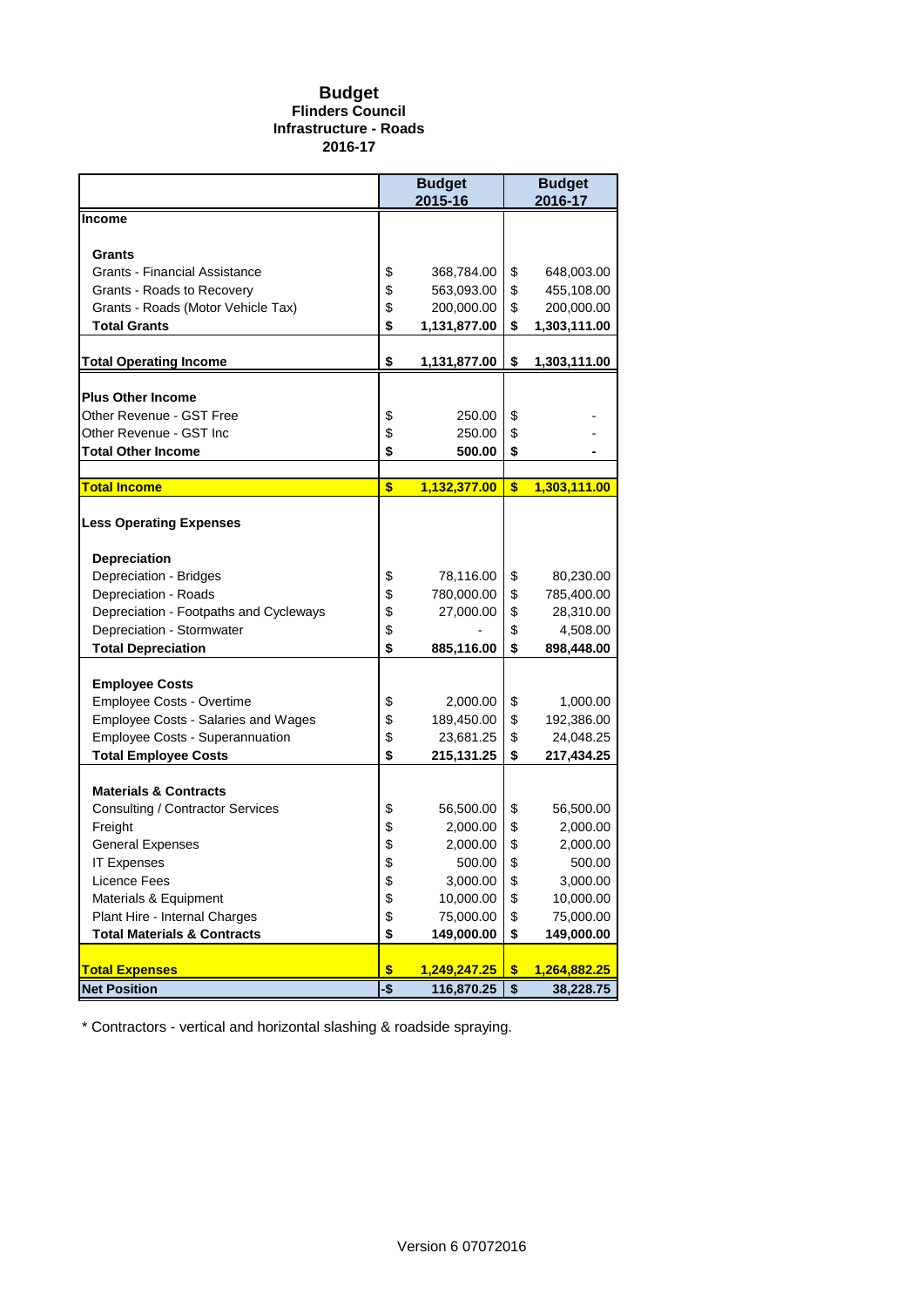#### **Budget Flinders Council Infrastructure - Roads 2016-17**

|                                            |                | <b>Budget</b><br>2015-16 | <b>Budget</b><br>2016-17 |              |  |  |
|--------------------------------------------|----------------|--------------------------|--------------------------|--------------|--|--|
| <b>Income</b>                              |                |                          |                          |              |  |  |
| <b>Grants</b>                              |                |                          |                          |              |  |  |
| Grants - Financial Assistance              | \$             | 368,784.00               | \$                       | 648,003.00   |  |  |
| Grants - Roads to Recovery                 | \$             | 563,093.00               | \$                       | 455,108.00   |  |  |
| Grants - Roads (Motor Vehicle Tax)         | \$             | 200,000.00               | \$                       | 200,000.00   |  |  |
| <b>Total Grants</b>                        | \$             | 1,131,877.00             | \$                       | 1,303,111.00 |  |  |
|                                            |                |                          |                          |              |  |  |
| <b>Total Operating Income</b>              | \$             | 1,131,877.00             | \$                       | 1,303,111.00 |  |  |
| <b>Plus Other Income</b>                   |                |                          |                          |              |  |  |
| Other Revenue - GST Free                   | \$             | 250.00                   | \$                       |              |  |  |
| Other Revenue - GST Inc                    | \$             | 250.00                   | \$                       |              |  |  |
| <b>Total Other Income</b>                  | \$             | 500.00                   | \$                       |              |  |  |
|                                            |                |                          |                          |              |  |  |
| <b>Total Income</b>                        | \$             | 1,132,377.00             | \$                       | 1,303,111.00 |  |  |
| <b>Less Operating Expenses</b>             |                |                          |                          |              |  |  |
| <b>Depreciation</b>                        |                |                          |                          |              |  |  |
| Depreciation - Bridges                     | \$             | 78,116.00                | \$                       | 80,230.00    |  |  |
| Depreciation - Roads                       | \$             | 780,000.00               | \$                       | 785,400.00   |  |  |
| Depreciation - Footpaths and Cycleways     | \$             | 27,000.00                | \$                       | 28,310.00    |  |  |
| Depreciation - Stormwater                  | \$             |                          | \$                       | 4,508.00     |  |  |
| <b>Total Depreciation</b>                  | \$             | 885,116.00               | \$                       | 898,448.00   |  |  |
| <b>Employee Costs</b>                      |                |                          |                          |              |  |  |
| Employee Costs - Overtime                  | \$             | 2,000.00                 | \$                       | 1,000.00     |  |  |
| <b>Employee Costs - Salaries and Wages</b> | \$             | 189,450.00               | \$                       | 192,386.00   |  |  |
| Employee Costs - Superannuation            | \$             | 23,681.25                | \$                       | 24,048.25    |  |  |
| <b>Total Employee Costs</b>                | \$             | 215,131.25               | \$                       | 217,434.25   |  |  |
| <b>Materials &amp; Contracts</b>           |                |                          |                          |              |  |  |
| Consulting / Contractor Services           | \$             | 56,500.00                | \$                       | 56,500.00    |  |  |
| Freight                                    | \$             | 2,000.00                 | \$                       | 2,000.00     |  |  |
| <b>General Expenses</b>                    | \$             | 2,000.00                 | \$                       | 2,000.00     |  |  |
| <b>IT Expenses</b>                         | \$             | 500.00                   | \$                       | 500.00       |  |  |
| Licence Fees                               | \$             | 3,000.00                 | \$                       | 3,000.00     |  |  |
| Materials & Equipment                      | \$             | 10,000.00                | \$                       | 10,000.00    |  |  |
| Plant Hire - Internal Charges              | \$             | 75,000.00                | \$                       | 75,000.00    |  |  |
| <b>Total Materials &amp; Contracts</b>     | \$             | 149,000.00               | \$                       | 149,000.00   |  |  |
| <b>Total Expenses</b>                      | \$             | 1,249,247.25             | \$                       | 1,264,882.25 |  |  |
| <b>Net Position</b>                        | $-\frac{2}{3}$ | 116,870.25               | \$                       | 38,228.75    |  |  |

\* Contractors - vertical and horizontal slashing & roadside spraying.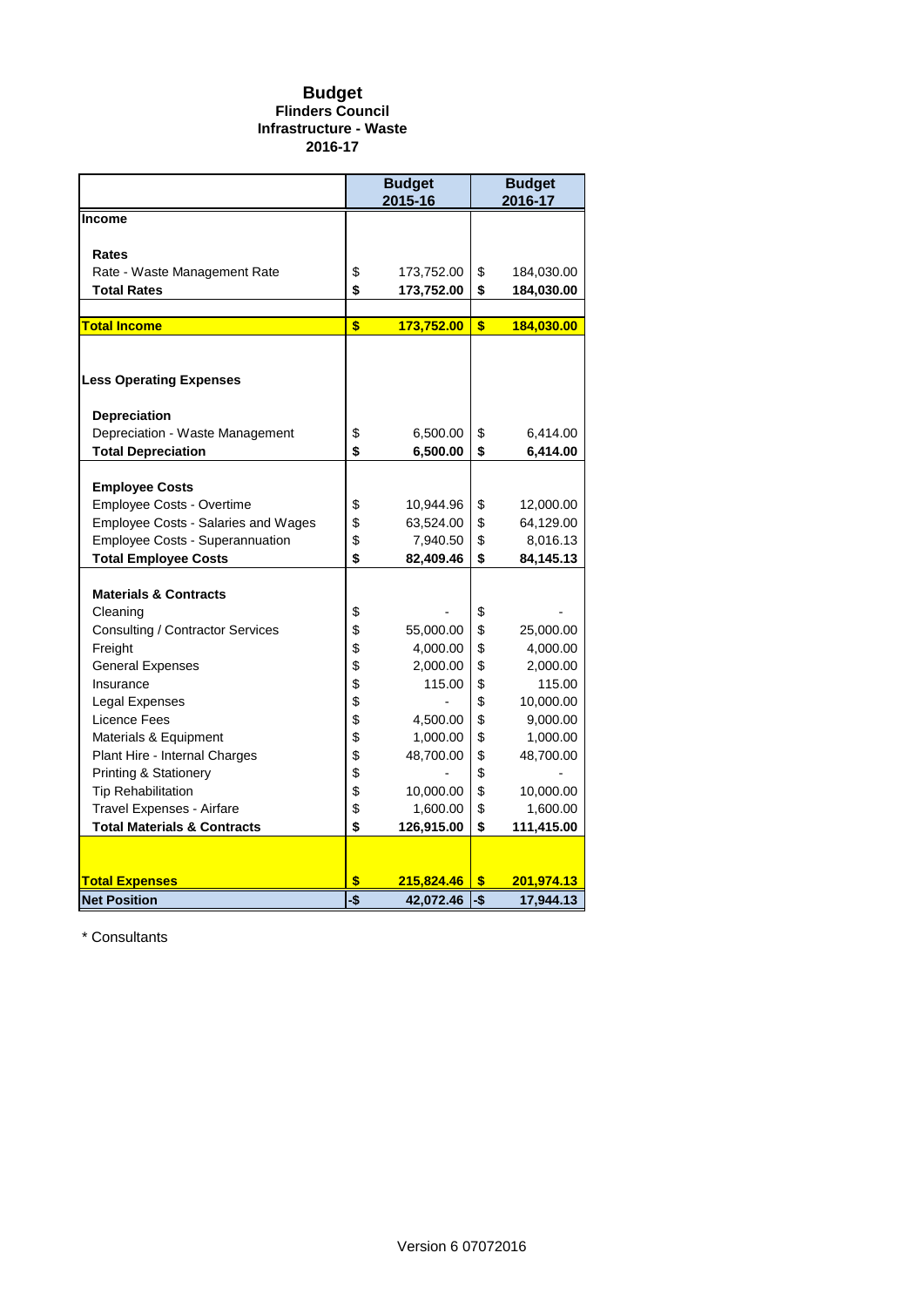#### **Budget Flinders Council Infrastructure - Waste 2016-17**

|                                            |                | <b>Budget</b><br>2015-16 | <b>Budget</b><br>2016-17 |                   |  |
|--------------------------------------------|----------------|--------------------------|--------------------------|-------------------|--|
| Income                                     |                |                          |                          |                   |  |
|                                            |                |                          |                          |                   |  |
| Rates                                      |                |                          |                          |                   |  |
| Rate - Waste Management Rate               | \$             | 173,752.00               | \$                       | 184,030.00        |  |
| <b>Total Rates</b>                         | \$             | 173,752.00               | \$                       | 184,030.00        |  |
|                                            |                |                          |                          |                   |  |
| <b>Total Income</b>                        | \$             | 173,752.00               | \$                       | 184,030.00        |  |
|                                            |                |                          |                          |                   |  |
|                                            |                |                          |                          |                   |  |
| <b>Less Operating Expenses</b>             |                |                          |                          |                   |  |
| <b>Depreciation</b>                        |                |                          |                          |                   |  |
| Depreciation - Waste Management            | \$             | 6,500.00                 | \$                       | 6,414.00          |  |
| <b>Total Depreciation</b>                  | \$             | 6,500.00                 | \$                       | 6,414.00          |  |
|                                            |                |                          |                          |                   |  |
| <b>Employee Costs</b>                      |                |                          |                          |                   |  |
| Employee Costs - Overtime                  | \$             | 10,944.96                | \$                       | 12,000.00         |  |
| <b>Employee Costs - Salaries and Wages</b> | \$             | 63,524.00                | \$                       | 64,129.00         |  |
| Employee Costs - Superannuation            | \$             | 7,940.50                 | \$                       | 8,016.13          |  |
| <b>Total Employee Costs</b>                | \$             | 82,409.46                | \$                       | 84,145.13         |  |
|                                            |                |                          |                          |                   |  |
| <b>Materials &amp; Contracts</b>           |                |                          |                          |                   |  |
| Cleaning                                   | \$             |                          | \$                       |                   |  |
| Consulting / Contractor Services           | \$             | 55,000.00                | \$                       | 25,000.00         |  |
| Freight                                    | \$             | 4,000.00                 | \$                       | 4,000.00          |  |
| <b>General Expenses</b>                    | \$             | 2,000.00                 | \$                       | 2,000.00          |  |
| Insurance                                  | \$             | 115.00                   | \$                       | 115.00            |  |
| Legal Expenses                             | \$             |                          | \$                       | 10,000.00         |  |
| Licence Fees                               | \$             | 4,500.00                 | \$                       | 9,000.00          |  |
| Materials & Equipment                      | \$             | 1,000.00                 | \$                       | 1,000.00          |  |
| Plant Hire - Internal Charges              | \$             | 48,700.00                | \$                       | 48,700.00         |  |
| Printing & Stationery                      | \$             |                          | \$                       |                   |  |
| <b>Tip Rehabilitation</b>                  | \$             | 10,000.00                | \$                       | 10,000.00         |  |
| Travel Expenses - Airfare                  | \$             | 1,600.00                 | \$                       | 1,600.00          |  |
| <b>Total Materials &amp; Contracts</b>     | \$             | 126,915.00               | \$                       | 111,415.00        |  |
|                                            |                |                          |                          |                   |  |
|                                            |                |                          |                          |                   |  |
| <b>Total Expenses</b>                      | \$             | 215,824.46               | \$                       | <u>201,974.13</u> |  |
| <b>Net Position</b>                        | $-\frac{1}{2}$ | 42,072.46                | -\$                      | 17,944.13         |  |

\* Consultants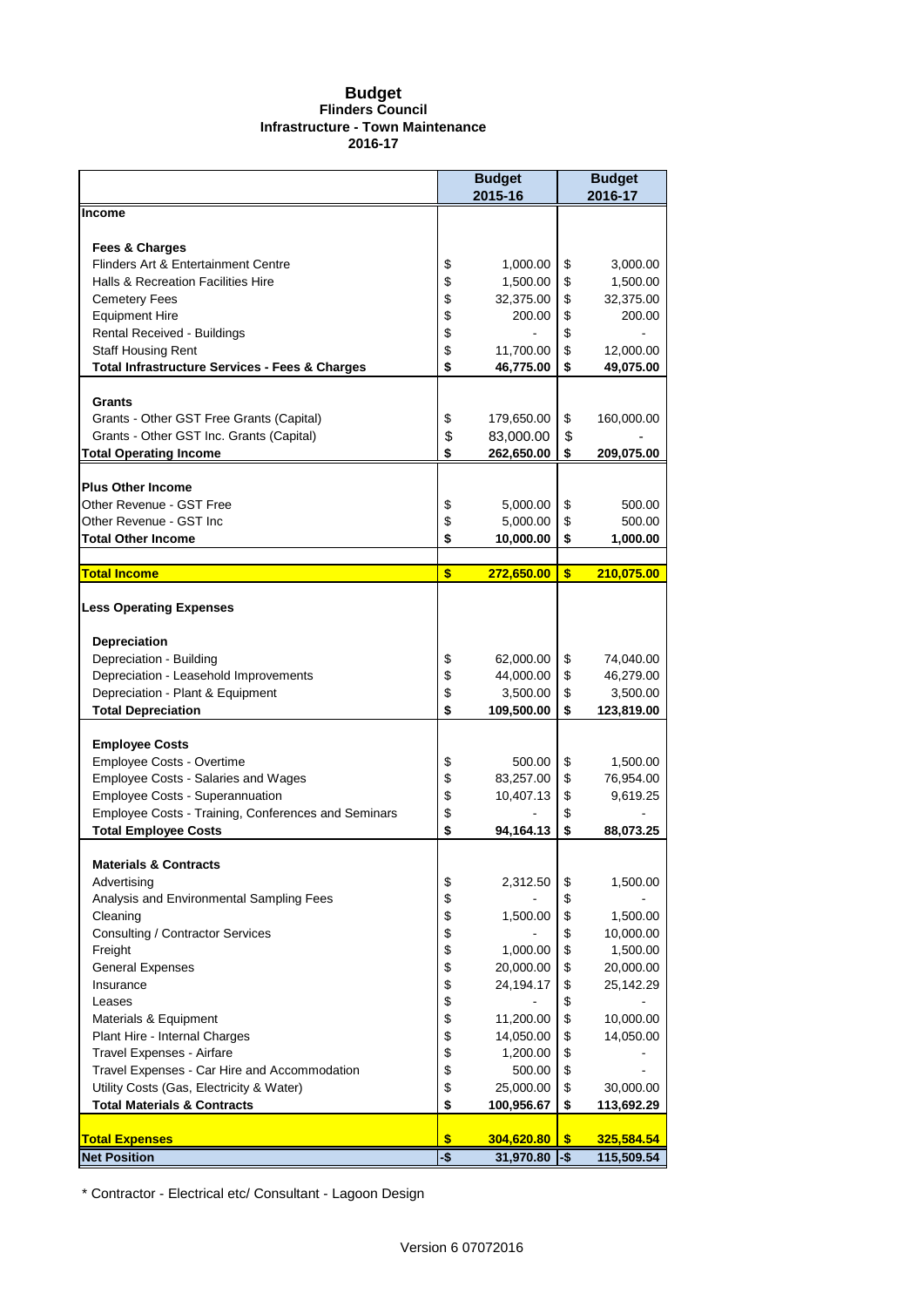#### **Budget Flinders Council Infrastructure - Town Maintenance 2016-17**

| Income<br><b>Fees &amp; Charges</b><br>Flinders Art & Entertainment Centre<br>\$<br>1,000.00<br>\$<br>3,000.00<br>\$<br>\$<br><b>Halls &amp; Recreation Facilities Hire</b><br>1,500.00<br>1,500.00<br>\$<br>\$<br><b>Cemetery Fees</b><br>32,375.00<br>32,375.00<br>\$<br>\$<br><b>Equipment Hire</b><br>200.00<br>200.00<br>\$<br>\$<br>Rental Received - Buildings<br>\$<br>\$<br><b>Staff Housing Rent</b><br>11,700.00<br>12,000.00<br>\$<br><b>Total Infrastructure Services - Fees &amp; Charges</b><br>46,775.00<br>\$<br>49,075.00<br>Grants<br>Grants - Other GST Free Grants (Capital)<br>\$<br>179,650.00<br>\$<br>160,000.00<br>\$<br>\$<br>Grants - Other GST Inc. Grants (Capital)<br>83,000.00<br>\$<br>\$<br><b>Total Operating Income</b><br>262,650.00<br>209,075.00<br><b>Plus Other Income</b><br>Other Revenue - GST Free<br>\$<br>\$<br>5,000.00<br>500.00<br>\$<br>Other Revenue - GST Inc<br>\$<br>5,000.00<br>500.00<br>\$<br>\$<br><b>Total Other Income</b><br>10,000.00<br>1,000.00<br><b>Total Income</b><br>\$<br>\$<br>272,650.00<br>210,075.00<br><b>Less Operating Expenses</b><br>Depreciation<br>Depreciation - Building<br>\$<br>62,000.00<br>\$<br>74,040.00<br>\$<br>Depreciation - Leasehold Improvements<br>\$<br>44,000.00<br>46,279.00<br>\$<br>\$<br>Depreciation - Plant & Equipment<br>3,500.00<br>3,500.00<br>\$<br>\$<br><b>Total Depreciation</b><br>109,500.00<br>123,819.00<br><b>Employee Costs</b><br>Employee Costs - Overtime<br>\$<br>\$<br>500.00<br>1,500.00<br>\$<br>Employee Costs - Salaries and Wages<br>\$<br>83,257.00<br>76,954.00<br>\$<br>Employee Costs - Superannuation<br>10,407.13<br>\$<br>9,619.25<br>\$<br>\$<br>Employee Costs - Training, Conferences and Seminars<br>\$<br>\$<br><b>Total Employee Costs</b><br>94,164.13<br>88,073.25<br><b>Materials &amp; Contracts</b><br>\$<br>\$<br>Advertising<br>2,312.50<br>1,500.00<br>\$<br>\$<br>Analysis and Environmental Sampling Fees<br>\$<br>\$<br>Cleaning<br>1,500.00<br>1,500.00<br>\$<br><b>Consulting / Contractor Services</b><br>\$<br>10,000.00<br>\$<br>\$<br>Freight<br>1,000.00<br>1,500.00<br>\$<br>\$<br><b>General Expenses</b><br>20,000.00<br>20,000.00<br>\$<br>\$<br>24,194.17<br>Insurance<br>25,142.29<br>\$<br>\$<br>Leases<br>\$<br>\$<br>Materials & Equipment<br>11,200.00<br>10,000.00<br>\$<br>\$<br>Plant Hire - Internal Charges<br>14,050.00<br>14,050.00<br>\$<br>\$<br>Travel Expenses - Airfare<br>1,200.00<br>\$<br>\$<br>Travel Expenses - Car Hire and Accommodation<br>500.00<br>\$<br>Utility Costs (Gas, Electricity & Water)<br>\$<br>25,000.00<br>30,000.00<br>\$<br><b>Total Materials &amp; Contracts</b><br>\$<br>100,956.67<br>113,692.29<br>\$<br><b>Total Expenses</b><br>\$<br>304,620.80<br>325,584.54<br>$-\frac{1}{2}$<br><b>Net Position</b><br>-\$<br>31,970.80<br>115,509.54 |  | <b>Budget</b><br>2015-16 | <b>Budget</b><br>2016-17 |
|------------------------------------------------------------------------------------------------------------------------------------------------------------------------------------------------------------------------------------------------------------------------------------------------------------------------------------------------------------------------------------------------------------------------------------------------------------------------------------------------------------------------------------------------------------------------------------------------------------------------------------------------------------------------------------------------------------------------------------------------------------------------------------------------------------------------------------------------------------------------------------------------------------------------------------------------------------------------------------------------------------------------------------------------------------------------------------------------------------------------------------------------------------------------------------------------------------------------------------------------------------------------------------------------------------------------------------------------------------------------------------------------------------------------------------------------------------------------------------------------------------------------------------------------------------------------------------------------------------------------------------------------------------------------------------------------------------------------------------------------------------------------------------------------------------------------------------------------------------------------------------------------------------------------------------------------------------------------------------------------------------------------------------------------------------------------------------------------------------------------------------------------------------------------------------------------------------------------------------------------------------------------------------------------------------------------------------------------------------------------------------------------------------------------------------------------------------------------------------------------------------------------------------------------------------------------------------------------------------------------------------------------------------------------------------------------------------------------------------------------------------------------------------------------------------------------------------------------------------------|--|--------------------------|--------------------------|
|                                                                                                                                                                                                                                                                                                                                                                                                                                                                                                                                                                                                                                                                                                                                                                                                                                                                                                                                                                                                                                                                                                                                                                                                                                                                                                                                                                                                                                                                                                                                                                                                                                                                                                                                                                                                                                                                                                                                                                                                                                                                                                                                                                                                                                                                                                                                                                                                                                                                                                                                                                                                                                                                                                                                                                                                                                                                  |  |                          |                          |
|                                                                                                                                                                                                                                                                                                                                                                                                                                                                                                                                                                                                                                                                                                                                                                                                                                                                                                                                                                                                                                                                                                                                                                                                                                                                                                                                                                                                                                                                                                                                                                                                                                                                                                                                                                                                                                                                                                                                                                                                                                                                                                                                                                                                                                                                                                                                                                                                                                                                                                                                                                                                                                                                                                                                                                                                                                                                  |  |                          |                          |
|                                                                                                                                                                                                                                                                                                                                                                                                                                                                                                                                                                                                                                                                                                                                                                                                                                                                                                                                                                                                                                                                                                                                                                                                                                                                                                                                                                                                                                                                                                                                                                                                                                                                                                                                                                                                                                                                                                                                                                                                                                                                                                                                                                                                                                                                                                                                                                                                                                                                                                                                                                                                                                                                                                                                                                                                                                                                  |  |                          |                          |
|                                                                                                                                                                                                                                                                                                                                                                                                                                                                                                                                                                                                                                                                                                                                                                                                                                                                                                                                                                                                                                                                                                                                                                                                                                                                                                                                                                                                                                                                                                                                                                                                                                                                                                                                                                                                                                                                                                                                                                                                                                                                                                                                                                                                                                                                                                                                                                                                                                                                                                                                                                                                                                                                                                                                                                                                                                                                  |  |                          |                          |
|                                                                                                                                                                                                                                                                                                                                                                                                                                                                                                                                                                                                                                                                                                                                                                                                                                                                                                                                                                                                                                                                                                                                                                                                                                                                                                                                                                                                                                                                                                                                                                                                                                                                                                                                                                                                                                                                                                                                                                                                                                                                                                                                                                                                                                                                                                                                                                                                                                                                                                                                                                                                                                                                                                                                                                                                                                                                  |  |                          |                          |
|                                                                                                                                                                                                                                                                                                                                                                                                                                                                                                                                                                                                                                                                                                                                                                                                                                                                                                                                                                                                                                                                                                                                                                                                                                                                                                                                                                                                                                                                                                                                                                                                                                                                                                                                                                                                                                                                                                                                                                                                                                                                                                                                                                                                                                                                                                                                                                                                                                                                                                                                                                                                                                                                                                                                                                                                                                                                  |  |                          |                          |
|                                                                                                                                                                                                                                                                                                                                                                                                                                                                                                                                                                                                                                                                                                                                                                                                                                                                                                                                                                                                                                                                                                                                                                                                                                                                                                                                                                                                                                                                                                                                                                                                                                                                                                                                                                                                                                                                                                                                                                                                                                                                                                                                                                                                                                                                                                                                                                                                                                                                                                                                                                                                                                                                                                                                                                                                                                                                  |  |                          |                          |
|                                                                                                                                                                                                                                                                                                                                                                                                                                                                                                                                                                                                                                                                                                                                                                                                                                                                                                                                                                                                                                                                                                                                                                                                                                                                                                                                                                                                                                                                                                                                                                                                                                                                                                                                                                                                                                                                                                                                                                                                                                                                                                                                                                                                                                                                                                                                                                                                                                                                                                                                                                                                                                                                                                                                                                                                                                                                  |  |                          |                          |
|                                                                                                                                                                                                                                                                                                                                                                                                                                                                                                                                                                                                                                                                                                                                                                                                                                                                                                                                                                                                                                                                                                                                                                                                                                                                                                                                                                                                                                                                                                                                                                                                                                                                                                                                                                                                                                                                                                                                                                                                                                                                                                                                                                                                                                                                                                                                                                                                                                                                                                                                                                                                                                                                                                                                                                                                                                                                  |  |                          |                          |
|                                                                                                                                                                                                                                                                                                                                                                                                                                                                                                                                                                                                                                                                                                                                                                                                                                                                                                                                                                                                                                                                                                                                                                                                                                                                                                                                                                                                                                                                                                                                                                                                                                                                                                                                                                                                                                                                                                                                                                                                                                                                                                                                                                                                                                                                                                                                                                                                                                                                                                                                                                                                                                                                                                                                                                                                                                                                  |  |                          |                          |
|                                                                                                                                                                                                                                                                                                                                                                                                                                                                                                                                                                                                                                                                                                                                                                                                                                                                                                                                                                                                                                                                                                                                                                                                                                                                                                                                                                                                                                                                                                                                                                                                                                                                                                                                                                                                                                                                                                                                                                                                                                                                                                                                                                                                                                                                                                                                                                                                                                                                                                                                                                                                                                                                                                                                                                                                                                                                  |  |                          |                          |
|                                                                                                                                                                                                                                                                                                                                                                                                                                                                                                                                                                                                                                                                                                                                                                                                                                                                                                                                                                                                                                                                                                                                                                                                                                                                                                                                                                                                                                                                                                                                                                                                                                                                                                                                                                                                                                                                                                                                                                                                                                                                                                                                                                                                                                                                                                                                                                                                                                                                                                                                                                                                                                                                                                                                                                                                                                                                  |  |                          |                          |
|                                                                                                                                                                                                                                                                                                                                                                                                                                                                                                                                                                                                                                                                                                                                                                                                                                                                                                                                                                                                                                                                                                                                                                                                                                                                                                                                                                                                                                                                                                                                                                                                                                                                                                                                                                                                                                                                                                                                                                                                                                                                                                                                                                                                                                                                                                                                                                                                                                                                                                                                                                                                                                                                                                                                                                                                                                                                  |  |                          |                          |
|                                                                                                                                                                                                                                                                                                                                                                                                                                                                                                                                                                                                                                                                                                                                                                                                                                                                                                                                                                                                                                                                                                                                                                                                                                                                                                                                                                                                                                                                                                                                                                                                                                                                                                                                                                                                                                                                                                                                                                                                                                                                                                                                                                                                                                                                                                                                                                                                                                                                                                                                                                                                                                                                                                                                                                                                                                                                  |  |                          |                          |
|                                                                                                                                                                                                                                                                                                                                                                                                                                                                                                                                                                                                                                                                                                                                                                                                                                                                                                                                                                                                                                                                                                                                                                                                                                                                                                                                                                                                                                                                                                                                                                                                                                                                                                                                                                                                                                                                                                                                                                                                                                                                                                                                                                                                                                                                                                                                                                                                                                                                                                                                                                                                                                                                                                                                                                                                                                                                  |  |                          |                          |
|                                                                                                                                                                                                                                                                                                                                                                                                                                                                                                                                                                                                                                                                                                                                                                                                                                                                                                                                                                                                                                                                                                                                                                                                                                                                                                                                                                                                                                                                                                                                                                                                                                                                                                                                                                                                                                                                                                                                                                                                                                                                                                                                                                                                                                                                                                                                                                                                                                                                                                                                                                                                                                                                                                                                                                                                                                                                  |  |                          |                          |
|                                                                                                                                                                                                                                                                                                                                                                                                                                                                                                                                                                                                                                                                                                                                                                                                                                                                                                                                                                                                                                                                                                                                                                                                                                                                                                                                                                                                                                                                                                                                                                                                                                                                                                                                                                                                                                                                                                                                                                                                                                                                                                                                                                                                                                                                                                                                                                                                                                                                                                                                                                                                                                                                                                                                                                                                                                                                  |  |                          |                          |
|                                                                                                                                                                                                                                                                                                                                                                                                                                                                                                                                                                                                                                                                                                                                                                                                                                                                                                                                                                                                                                                                                                                                                                                                                                                                                                                                                                                                                                                                                                                                                                                                                                                                                                                                                                                                                                                                                                                                                                                                                                                                                                                                                                                                                                                                                                                                                                                                                                                                                                                                                                                                                                                                                                                                                                                                                                                                  |  |                          |                          |
|                                                                                                                                                                                                                                                                                                                                                                                                                                                                                                                                                                                                                                                                                                                                                                                                                                                                                                                                                                                                                                                                                                                                                                                                                                                                                                                                                                                                                                                                                                                                                                                                                                                                                                                                                                                                                                                                                                                                                                                                                                                                                                                                                                                                                                                                                                                                                                                                                                                                                                                                                                                                                                                                                                                                                                                                                                                                  |  |                          |                          |
|                                                                                                                                                                                                                                                                                                                                                                                                                                                                                                                                                                                                                                                                                                                                                                                                                                                                                                                                                                                                                                                                                                                                                                                                                                                                                                                                                                                                                                                                                                                                                                                                                                                                                                                                                                                                                                                                                                                                                                                                                                                                                                                                                                                                                                                                                                                                                                                                                                                                                                                                                                                                                                                                                                                                                                                                                                                                  |  |                          |                          |
|                                                                                                                                                                                                                                                                                                                                                                                                                                                                                                                                                                                                                                                                                                                                                                                                                                                                                                                                                                                                                                                                                                                                                                                                                                                                                                                                                                                                                                                                                                                                                                                                                                                                                                                                                                                                                                                                                                                                                                                                                                                                                                                                                                                                                                                                                                                                                                                                                                                                                                                                                                                                                                                                                                                                                                                                                                                                  |  |                          |                          |
|                                                                                                                                                                                                                                                                                                                                                                                                                                                                                                                                                                                                                                                                                                                                                                                                                                                                                                                                                                                                                                                                                                                                                                                                                                                                                                                                                                                                                                                                                                                                                                                                                                                                                                                                                                                                                                                                                                                                                                                                                                                                                                                                                                                                                                                                                                                                                                                                                                                                                                                                                                                                                                                                                                                                                                                                                                                                  |  |                          |                          |
|                                                                                                                                                                                                                                                                                                                                                                                                                                                                                                                                                                                                                                                                                                                                                                                                                                                                                                                                                                                                                                                                                                                                                                                                                                                                                                                                                                                                                                                                                                                                                                                                                                                                                                                                                                                                                                                                                                                                                                                                                                                                                                                                                                                                                                                                                                                                                                                                                                                                                                                                                                                                                                                                                                                                                                                                                                                                  |  |                          |                          |
|                                                                                                                                                                                                                                                                                                                                                                                                                                                                                                                                                                                                                                                                                                                                                                                                                                                                                                                                                                                                                                                                                                                                                                                                                                                                                                                                                                                                                                                                                                                                                                                                                                                                                                                                                                                                                                                                                                                                                                                                                                                                                                                                                                                                                                                                                                                                                                                                                                                                                                                                                                                                                                                                                                                                                                                                                                                                  |  |                          |                          |
|                                                                                                                                                                                                                                                                                                                                                                                                                                                                                                                                                                                                                                                                                                                                                                                                                                                                                                                                                                                                                                                                                                                                                                                                                                                                                                                                                                                                                                                                                                                                                                                                                                                                                                                                                                                                                                                                                                                                                                                                                                                                                                                                                                                                                                                                                                                                                                                                                                                                                                                                                                                                                                                                                                                                                                                                                                                                  |  |                          |                          |
|                                                                                                                                                                                                                                                                                                                                                                                                                                                                                                                                                                                                                                                                                                                                                                                                                                                                                                                                                                                                                                                                                                                                                                                                                                                                                                                                                                                                                                                                                                                                                                                                                                                                                                                                                                                                                                                                                                                                                                                                                                                                                                                                                                                                                                                                                                                                                                                                                                                                                                                                                                                                                                                                                                                                                                                                                                                                  |  |                          |                          |
|                                                                                                                                                                                                                                                                                                                                                                                                                                                                                                                                                                                                                                                                                                                                                                                                                                                                                                                                                                                                                                                                                                                                                                                                                                                                                                                                                                                                                                                                                                                                                                                                                                                                                                                                                                                                                                                                                                                                                                                                                                                                                                                                                                                                                                                                                                                                                                                                                                                                                                                                                                                                                                                                                                                                                                                                                                                                  |  |                          |                          |
|                                                                                                                                                                                                                                                                                                                                                                                                                                                                                                                                                                                                                                                                                                                                                                                                                                                                                                                                                                                                                                                                                                                                                                                                                                                                                                                                                                                                                                                                                                                                                                                                                                                                                                                                                                                                                                                                                                                                                                                                                                                                                                                                                                                                                                                                                                                                                                                                                                                                                                                                                                                                                                                                                                                                                                                                                                                                  |  |                          |                          |
|                                                                                                                                                                                                                                                                                                                                                                                                                                                                                                                                                                                                                                                                                                                                                                                                                                                                                                                                                                                                                                                                                                                                                                                                                                                                                                                                                                                                                                                                                                                                                                                                                                                                                                                                                                                                                                                                                                                                                                                                                                                                                                                                                                                                                                                                                                                                                                                                                                                                                                                                                                                                                                                                                                                                                                                                                                                                  |  |                          |                          |
|                                                                                                                                                                                                                                                                                                                                                                                                                                                                                                                                                                                                                                                                                                                                                                                                                                                                                                                                                                                                                                                                                                                                                                                                                                                                                                                                                                                                                                                                                                                                                                                                                                                                                                                                                                                                                                                                                                                                                                                                                                                                                                                                                                                                                                                                                                                                                                                                                                                                                                                                                                                                                                                                                                                                                                                                                                                                  |  |                          |                          |
|                                                                                                                                                                                                                                                                                                                                                                                                                                                                                                                                                                                                                                                                                                                                                                                                                                                                                                                                                                                                                                                                                                                                                                                                                                                                                                                                                                                                                                                                                                                                                                                                                                                                                                                                                                                                                                                                                                                                                                                                                                                                                                                                                                                                                                                                                                                                                                                                                                                                                                                                                                                                                                                                                                                                                                                                                                                                  |  |                          |                          |
|                                                                                                                                                                                                                                                                                                                                                                                                                                                                                                                                                                                                                                                                                                                                                                                                                                                                                                                                                                                                                                                                                                                                                                                                                                                                                                                                                                                                                                                                                                                                                                                                                                                                                                                                                                                                                                                                                                                                                                                                                                                                                                                                                                                                                                                                                                                                                                                                                                                                                                                                                                                                                                                                                                                                                                                                                                                                  |  |                          |                          |
|                                                                                                                                                                                                                                                                                                                                                                                                                                                                                                                                                                                                                                                                                                                                                                                                                                                                                                                                                                                                                                                                                                                                                                                                                                                                                                                                                                                                                                                                                                                                                                                                                                                                                                                                                                                                                                                                                                                                                                                                                                                                                                                                                                                                                                                                                                                                                                                                                                                                                                                                                                                                                                                                                                                                                                                                                                                                  |  |                          |                          |
|                                                                                                                                                                                                                                                                                                                                                                                                                                                                                                                                                                                                                                                                                                                                                                                                                                                                                                                                                                                                                                                                                                                                                                                                                                                                                                                                                                                                                                                                                                                                                                                                                                                                                                                                                                                                                                                                                                                                                                                                                                                                                                                                                                                                                                                                                                                                                                                                                                                                                                                                                                                                                                                                                                                                                                                                                                                                  |  |                          |                          |
|                                                                                                                                                                                                                                                                                                                                                                                                                                                                                                                                                                                                                                                                                                                                                                                                                                                                                                                                                                                                                                                                                                                                                                                                                                                                                                                                                                                                                                                                                                                                                                                                                                                                                                                                                                                                                                                                                                                                                                                                                                                                                                                                                                                                                                                                                                                                                                                                                                                                                                                                                                                                                                                                                                                                                                                                                                                                  |  |                          |                          |
|                                                                                                                                                                                                                                                                                                                                                                                                                                                                                                                                                                                                                                                                                                                                                                                                                                                                                                                                                                                                                                                                                                                                                                                                                                                                                                                                                                                                                                                                                                                                                                                                                                                                                                                                                                                                                                                                                                                                                                                                                                                                                                                                                                                                                                                                                                                                                                                                                                                                                                                                                                                                                                                                                                                                                                                                                                                                  |  |                          |                          |
|                                                                                                                                                                                                                                                                                                                                                                                                                                                                                                                                                                                                                                                                                                                                                                                                                                                                                                                                                                                                                                                                                                                                                                                                                                                                                                                                                                                                                                                                                                                                                                                                                                                                                                                                                                                                                                                                                                                                                                                                                                                                                                                                                                                                                                                                                                                                                                                                                                                                                                                                                                                                                                                                                                                                                                                                                                                                  |  |                          |                          |
|                                                                                                                                                                                                                                                                                                                                                                                                                                                                                                                                                                                                                                                                                                                                                                                                                                                                                                                                                                                                                                                                                                                                                                                                                                                                                                                                                                                                                                                                                                                                                                                                                                                                                                                                                                                                                                                                                                                                                                                                                                                                                                                                                                                                                                                                                                                                                                                                                                                                                                                                                                                                                                                                                                                                                                                                                                                                  |  |                          |                          |
|                                                                                                                                                                                                                                                                                                                                                                                                                                                                                                                                                                                                                                                                                                                                                                                                                                                                                                                                                                                                                                                                                                                                                                                                                                                                                                                                                                                                                                                                                                                                                                                                                                                                                                                                                                                                                                                                                                                                                                                                                                                                                                                                                                                                                                                                                                                                                                                                                                                                                                                                                                                                                                                                                                                                                                                                                                                                  |  |                          |                          |
|                                                                                                                                                                                                                                                                                                                                                                                                                                                                                                                                                                                                                                                                                                                                                                                                                                                                                                                                                                                                                                                                                                                                                                                                                                                                                                                                                                                                                                                                                                                                                                                                                                                                                                                                                                                                                                                                                                                                                                                                                                                                                                                                                                                                                                                                                                                                                                                                                                                                                                                                                                                                                                                                                                                                                                                                                                                                  |  |                          |                          |
|                                                                                                                                                                                                                                                                                                                                                                                                                                                                                                                                                                                                                                                                                                                                                                                                                                                                                                                                                                                                                                                                                                                                                                                                                                                                                                                                                                                                                                                                                                                                                                                                                                                                                                                                                                                                                                                                                                                                                                                                                                                                                                                                                                                                                                                                                                                                                                                                                                                                                                                                                                                                                                                                                                                                                                                                                                                                  |  |                          |                          |
|                                                                                                                                                                                                                                                                                                                                                                                                                                                                                                                                                                                                                                                                                                                                                                                                                                                                                                                                                                                                                                                                                                                                                                                                                                                                                                                                                                                                                                                                                                                                                                                                                                                                                                                                                                                                                                                                                                                                                                                                                                                                                                                                                                                                                                                                                                                                                                                                                                                                                                                                                                                                                                                                                                                                                                                                                                                                  |  |                          |                          |
|                                                                                                                                                                                                                                                                                                                                                                                                                                                                                                                                                                                                                                                                                                                                                                                                                                                                                                                                                                                                                                                                                                                                                                                                                                                                                                                                                                                                                                                                                                                                                                                                                                                                                                                                                                                                                                                                                                                                                                                                                                                                                                                                                                                                                                                                                                                                                                                                                                                                                                                                                                                                                                                                                                                                                                                                                                                                  |  |                          |                          |
|                                                                                                                                                                                                                                                                                                                                                                                                                                                                                                                                                                                                                                                                                                                                                                                                                                                                                                                                                                                                                                                                                                                                                                                                                                                                                                                                                                                                                                                                                                                                                                                                                                                                                                                                                                                                                                                                                                                                                                                                                                                                                                                                                                                                                                                                                                                                                                                                                                                                                                                                                                                                                                                                                                                                                                                                                                                                  |  |                          |                          |
|                                                                                                                                                                                                                                                                                                                                                                                                                                                                                                                                                                                                                                                                                                                                                                                                                                                                                                                                                                                                                                                                                                                                                                                                                                                                                                                                                                                                                                                                                                                                                                                                                                                                                                                                                                                                                                                                                                                                                                                                                                                                                                                                                                                                                                                                                                                                                                                                                                                                                                                                                                                                                                                                                                                                                                                                                                                                  |  |                          |                          |
|                                                                                                                                                                                                                                                                                                                                                                                                                                                                                                                                                                                                                                                                                                                                                                                                                                                                                                                                                                                                                                                                                                                                                                                                                                                                                                                                                                                                                                                                                                                                                                                                                                                                                                                                                                                                                                                                                                                                                                                                                                                                                                                                                                                                                                                                                                                                                                                                                                                                                                                                                                                                                                                                                                                                                                                                                                                                  |  |                          |                          |
|                                                                                                                                                                                                                                                                                                                                                                                                                                                                                                                                                                                                                                                                                                                                                                                                                                                                                                                                                                                                                                                                                                                                                                                                                                                                                                                                                                                                                                                                                                                                                                                                                                                                                                                                                                                                                                                                                                                                                                                                                                                                                                                                                                                                                                                                                                                                                                                                                                                                                                                                                                                                                                                                                                                                                                                                                                                                  |  |                          |                          |
|                                                                                                                                                                                                                                                                                                                                                                                                                                                                                                                                                                                                                                                                                                                                                                                                                                                                                                                                                                                                                                                                                                                                                                                                                                                                                                                                                                                                                                                                                                                                                                                                                                                                                                                                                                                                                                                                                                                                                                                                                                                                                                                                                                                                                                                                                                                                                                                                                                                                                                                                                                                                                                                                                                                                                                                                                                                                  |  |                          |                          |

\* Contractor - Electrical etc/ Consultant - Lagoon Design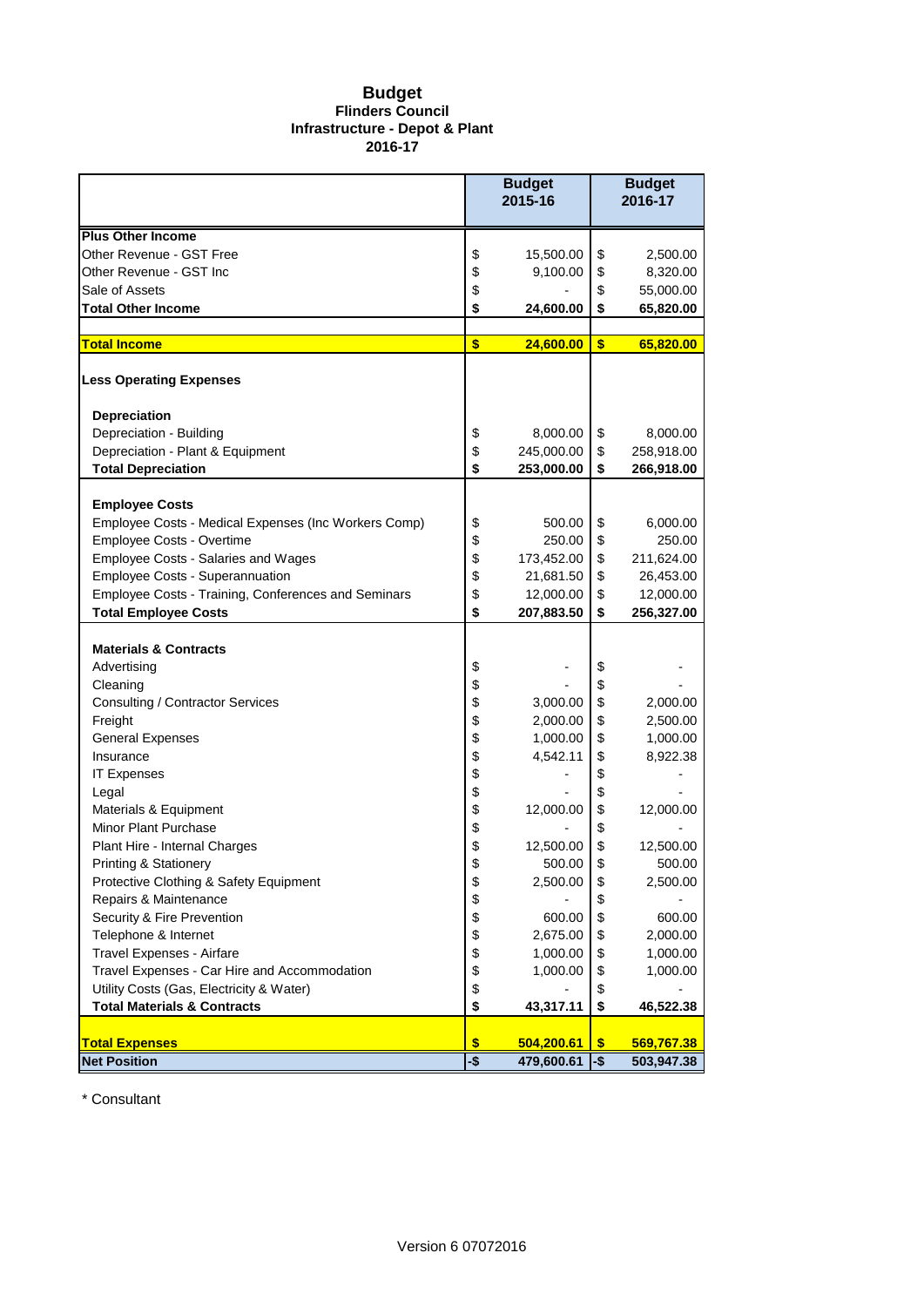#### **Budget Flinders Council Infrastructure - Depot & Plant 2016-17**

|                                                                                                                                                                                                                                                                                                                                                                                                                                                                                                                                                                  |                                                                                                                | <b>Budget</b><br>2015-16                                                                                                                   |                                                                                                                | <b>Budget</b><br>2016-17                                                                                                                   |
|------------------------------------------------------------------------------------------------------------------------------------------------------------------------------------------------------------------------------------------------------------------------------------------------------------------------------------------------------------------------------------------------------------------------------------------------------------------------------------------------------------------------------------------------------------------|----------------------------------------------------------------------------------------------------------------|--------------------------------------------------------------------------------------------------------------------------------------------|----------------------------------------------------------------------------------------------------------------|--------------------------------------------------------------------------------------------------------------------------------------------|
| <b>Plus Other Income</b>                                                                                                                                                                                                                                                                                                                                                                                                                                                                                                                                         |                                                                                                                |                                                                                                                                            |                                                                                                                |                                                                                                                                            |
| Other Revenue - GST Free                                                                                                                                                                                                                                                                                                                                                                                                                                                                                                                                         | \$                                                                                                             | 15,500.00                                                                                                                                  | \$                                                                                                             | 2,500.00                                                                                                                                   |
| Other Revenue - GST Inc                                                                                                                                                                                                                                                                                                                                                                                                                                                                                                                                          | \$                                                                                                             | 9,100.00                                                                                                                                   | \$                                                                                                             | 8,320.00                                                                                                                                   |
| Sale of Assets                                                                                                                                                                                                                                                                                                                                                                                                                                                                                                                                                   | \$                                                                                                             |                                                                                                                                            | \$                                                                                                             | 55,000.00                                                                                                                                  |
| <b>Total Other Income</b>                                                                                                                                                                                                                                                                                                                                                                                                                                                                                                                                        | \$                                                                                                             | 24,600.00                                                                                                                                  | \$                                                                                                             | 65,820.00                                                                                                                                  |
|                                                                                                                                                                                                                                                                                                                                                                                                                                                                                                                                                                  |                                                                                                                |                                                                                                                                            |                                                                                                                |                                                                                                                                            |
| <b>Total Income</b>                                                                                                                                                                                                                                                                                                                                                                                                                                                                                                                                              | \$                                                                                                             | 24,600.00                                                                                                                                  | \$                                                                                                             | 65,820.00                                                                                                                                  |
| <b>Less Operating Expenses</b>                                                                                                                                                                                                                                                                                                                                                                                                                                                                                                                                   |                                                                                                                |                                                                                                                                            |                                                                                                                |                                                                                                                                            |
| <b>Depreciation</b>                                                                                                                                                                                                                                                                                                                                                                                                                                                                                                                                              |                                                                                                                |                                                                                                                                            |                                                                                                                |                                                                                                                                            |
| Depreciation - Building                                                                                                                                                                                                                                                                                                                                                                                                                                                                                                                                          | \$                                                                                                             | 8,000.00                                                                                                                                   | \$                                                                                                             | 8,000.00                                                                                                                                   |
| Depreciation - Plant & Equipment                                                                                                                                                                                                                                                                                                                                                                                                                                                                                                                                 | \$                                                                                                             | 245,000.00                                                                                                                                 | \$                                                                                                             | 258,918.00                                                                                                                                 |
| <b>Total Depreciation</b>                                                                                                                                                                                                                                                                                                                                                                                                                                                                                                                                        | \$                                                                                                             | 253,000.00                                                                                                                                 | \$                                                                                                             | 266,918.00                                                                                                                                 |
| <b>Employee Costs</b>                                                                                                                                                                                                                                                                                                                                                                                                                                                                                                                                            |                                                                                                                |                                                                                                                                            |                                                                                                                |                                                                                                                                            |
| Employee Costs - Medical Expenses (Inc Workers Comp)                                                                                                                                                                                                                                                                                                                                                                                                                                                                                                             | \$                                                                                                             | 500.00                                                                                                                                     | \$                                                                                                             | 6,000.00                                                                                                                                   |
| Employee Costs - Overtime                                                                                                                                                                                                                                                                                                                                                                                                                                                                                                                                        | \$                                                                                                             | 250.00                                                                                                                                     | \$                                                                                                             | 250.00                                                                                                                                     |
| <b>Employee Costs - Salaries and Wages</b>                                                                                                                                                                                                                                                                                                                                                                                                                                                                                                                       | \$                                                                                                             | 173,452.00                                                                                                                                 | \$                                                                                                             | 211,624.00                                                                                                                                 |
| Employee Costs - Superannuation                                                                                                                                                                                                                                                                                                                                                                                                                                                                                                                                  | \$                                                                                                             | 21,681.50                                                                                                                                  | \$                                                                                                             | 26,453.00                                                                                                                                  |
| Employee Costs - Training, Conferences and Seminars                                                                                                                                                                                                                                                                                                                                                                                                                                                                                                              | \$                                                                                                             | 12,000.00                                                                                                                                  | \$                                                                                                             | 12,000.00                                                                                                                                  |
| <b>Total Employee Costs</b>                                                                                                                                                                                                                                                                                                                                                                                                                                                                                                                                      | \$                                                                                                             | 207,883.50                                                                                                                                 | \$                                                                                                             | 256,327.00                                                                                                                                 |
| <b>Materials &amp; Contracts</b><br>Advertising<br>Cleaning<br><b>Consulting / Contractor Services</b><br>Freight<br><b>General Expenses</b><br>Insurance<br><b>IT Expenses</b><br>Legal<br>Materials & Equipment<br>Minor Plant Purchase<br>Plant Hire - Internal Charges<br><b>Printing &amp; Stationery</b><br>Protective Clothing & Safety Equipment<br>Repairs & Maintenance<br>Security & Fire Prevention<br>Telephone & Internet<br>Travel Expenses - Airfare<br>Travel Expenses - Car Hire and Accommodation<br>Utility Costs (Gas, Electricity & Water) | \$<br>\$<br>\$<br>\$<br>\$<br>\$<br>\$<br>\$<br>\$<br>\$<br>\$<br>\$<br>\$<br>\$<br>\$<br>\$<br>\$<br>\$<br>\$ | 3,000.00<br>2,000.00<br>1,000.00<br>4,542.11<br>12,000.00<br>12,500.00<br>500.00<br>2,500.00<br>600.00<br>2,675.00<br>1,000.00<br>1,000.00 | \$<br>\$<br>\$<br>\$<br>\$<br>\$<br>\$<br>\$<br>\$<br>\$<br>\$<br>\$<br>\$<br>\$<br>\$<br>\$<br>\$<br>\$<br>\$ | 2,000.00<br>2,500.00<br>1,000.00<br>8,922.38<br>12,000.00<br>12,500.00<br>500.00<br>2,500.00<br>600.00<br>2,000.00<br>1,000.00<br>1,000.00 |
| <b>Total Materials &amp; Contracts</b>                                                                                                                                                                                                                                                                                                                                                                                                                                                                                                                           | \$                                                                                                             | 43,317.11                                                                                                                                  | \$                                                                                                             | 46,522.38                                                                                                                                  |
|                                                                                                                                                                                                                                                                                                                                                                                                                                                                                                                                                                  |                                                                                                                |                                                                                                                                            |                                                                                                                |                                                                                                                                            |
| <b>Total Expenses</b>                                                                                                                                                                                                                                                                                                                                                                                                                                                                                                                                            | \$                                                                                                             | 504,200.61                                                                                                                                 | \$                                                                                                             | 569,767.38                                                                                                                                 |
| <b>Net Position</b>                                                                                                                                                                                                                                                                                                                                                                                                                                                                                                                                              | -\$                                                                                                            | 479,600.61                                                                                                                                 | -\$                                                                                                            | 503,947.38                                                                                                                                 |

\* Consultant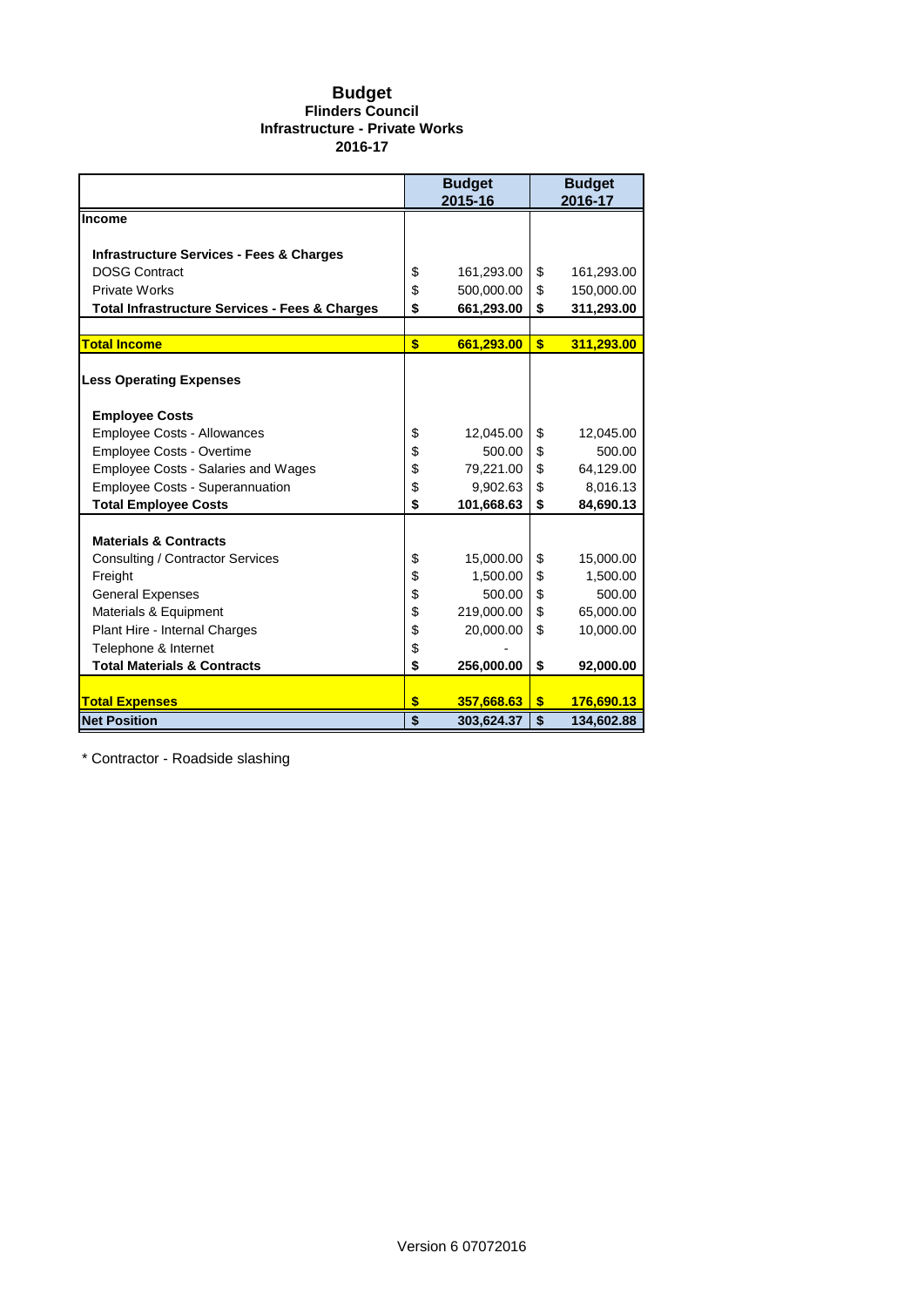#### **Budget Flinders Council Infrastructure - Private Works 2016-17**

|                                                                             | <b>Budget</b><br>2015-16 |            |                         | <b>Budget</b><br>2016-17 |  |  |
|-----------------------------------------------------------------------------|--------------------------|------------|-------------------------|--------------------------|--|--|
| <b>Income</b>                                                               |                          |            |                         |                          |  |  |
|                                                                             |                          |            |                         |                          |  |  |
| <b>Infrastructure Services - Fees &amp; Charges</b><br><b>DOSG Contract</b> | \$                       | 161,293.00 | \$                      | 161,293.00               |  |  |
| <b>Private Works</b>                                                        | \$                       | 500,000.00 | \$                      | 150,000.00               |  |  |
| <b>Total Infrastructure Services - Fees &amp; Charges</b>                   | \$                       | 661,293.00 | \$                      | 311,293.00               |  |  |
|                                                                             |                          |            |                         |                          |  |  |
| <b>Total Income</b>                                                         | \$                       | 661,293.00 | $\overline{\mathbf{s}}$ | 311,293.00               |  |  |
| <b>Less Operating Expenses</b>                                              |                          |            |                         |                          |  |  |
|                                                                             |                          |            |                         |                          |  |  |
| <b>Employee Costs</b>                                                       |                          |            |                         |                          |  |  |
| Employee Costs - Allowances                                                 | \$                       | 12,045.00  | \$                      | 12,045.00                |  |  |
| <b>Employee Costs - Overtime</b>                                            | \$                       | 500.00     | \$                      | 500.00                   |  |  |
| Employee Costs - Salaries and Wages                                         | \$                       | 79,221.00  | \$                      | 64,129.00                |  |  |
| Employee Costs - Superannuation                                             | \$                       | 9,902.63   | \$                      | 8,016.13                 |  |  |
| <b>Total Employee Costs</b>                                                 | \$                       | 101,668.63 | \$                      | 84,690.13                |  |  |
| <b>Materials &amp; Contracts</b>                                            |                          |            |                         |                          |  |  |
| <b>Consulting / Contractor Services</b>                                     | \$                       | 15,000.00  | \$                      | 15,000.00                |  |  |
| Freight                                                                     | \$                       | 1,500.00   | \$                      | 1,500.00                 |  |  |
| <b>General Expenses</b>                                                     | \$                       | 500.00     | \$                      | 500.00                   |  |  |
| Materials & Equipment                                                       | \$                       | 219,000.00 | \$                      | 65,000.00                |  |  |
| Plant Hire - Internal Charges                                               | \$                       | 20,000.00  | \$                      | 10,000.00                |  |  |
| Telephone & Internet                                                        | \$                       |            |                         |                          |  |  |
| <b>Total Materials &amp; Contracts</b>                                      | \$                       | 256,000.00 | \$                      | 92,000.00                |  |  |
|                                                                             |                          |            |                         |                          |  |  |
| <b>Total Expenses</b>                                                       | \$                       | 357,668.63 | $\boldsymbol{\$}$       | 176,690.13               |  |  |
| <b>Net Position</b>                                                         | $\overline{\mathbf{s}}$  | 303,624.37 | $\overline{\mathbf{s}}$ | 134,602.88               |  |  |

\* Contractor - Roadside slashing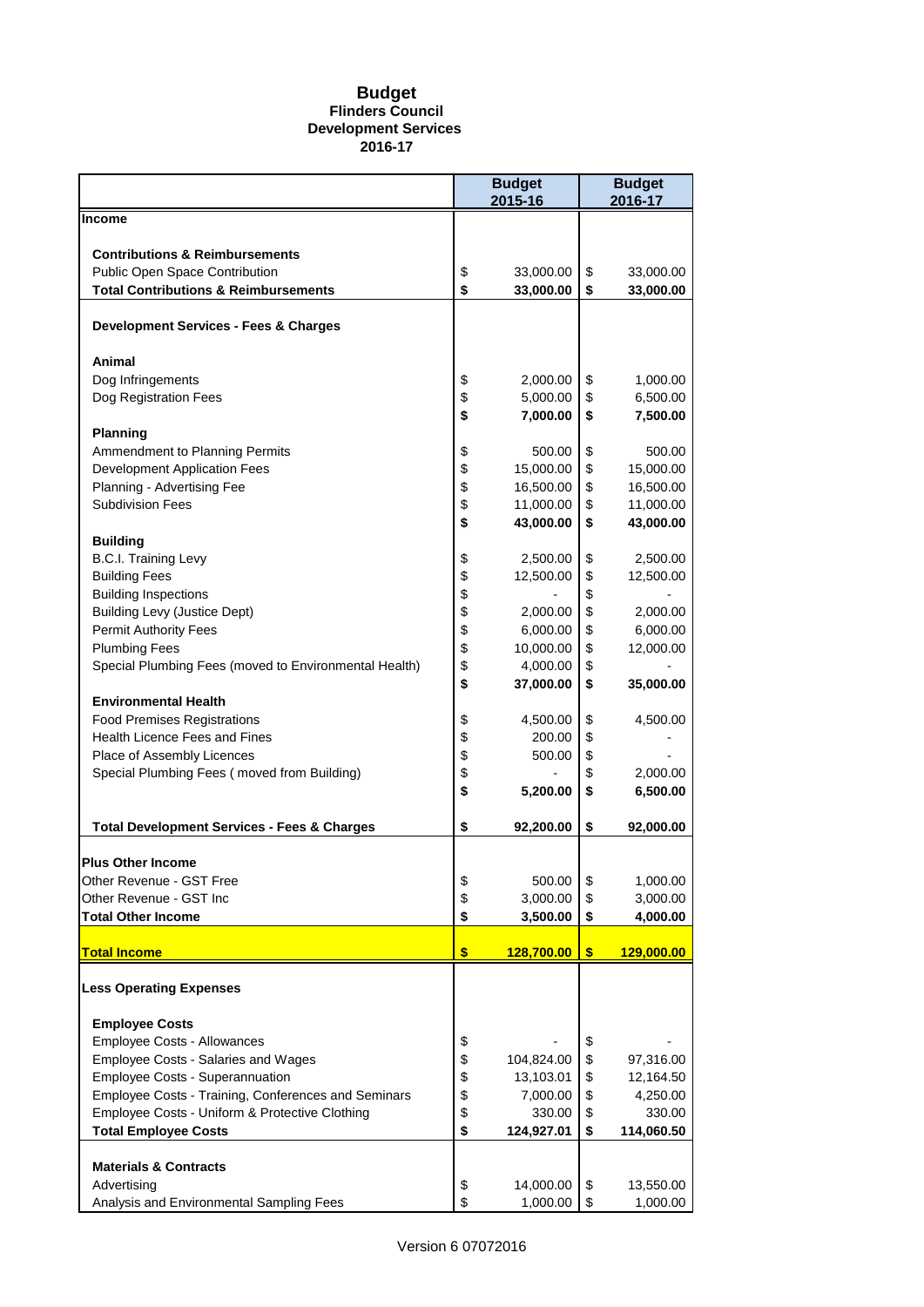#### **Budget Flinders Council Development Services 2016-17**

|                                                        | <b>Budget</b><br>2015-16 |                   | <b>Budget</b><br>2016-17 |
|--------------------------------------------------------|--------------------------|-------------------|--------------------------|
| <b>Income</b>                                          |                          |                   |                          |
| <b>Contributions &amp; Reimbursements</b>              |                          |                   |                          |
| Public Open Space Contribution                         | \$<br>33,000.00          | \$                | 33,000.00                |
| <b>Total Contributions &amp; Reimbursements</b>        | \$<br>33,000.00          | \$                | 33,000.00                |
| <b>Development Services - Fees &amp; Charges</b>       |                          |                   |                          |
| Animal                                                 |                          |                   |                          |
| Dog Infringements                                      | \$<br>2,000.00           | \$                | 1,000.00                 |
| Dog Registration Fees                                  | \$<br>5,000.00           | \$                | 6,500.00                 |
|                                                        | \$<br>7,000.00           | \$                | 7,500.00                 |
| <b>Planning</b>                                        |                          |                   |                          |
| Ammendment to Planning Permits                         | \$<br>500.00             | \$                | 500.00                   |
| <b>Development Application Fees</b>                    | \$<br>15,000.00          | \$                | 15,000.00                |
| Planning - Advertising Fee                             | \$<br>16,500.00          | \$                | 16,500.00                |
| <b>Subdivision Fees</b>                                | \$<br>11,000.00          | \$                | 11,000.00                |
|                                                        | \$<br>43,000.00          | \$                | 43,000.00                |
| <b>Building</b>                                        |                          |                   |                          |
| <b>B.C.I. Training Levy</b>                            | \$<br>2,500.00           | \$                | 2,500.00                 |
| <b>Building Fees</b>                                   | \$<br>12,500.00          | \$                | 12,500.00                |
| <b>Building Inspections</b>                            | \$                       | \$                |                          |
| <b>Building Levy (Justice Dept)</b>                    | \$<br>2,000.00           | \$                | 2,000.00                 |
| Permit Authority Fees                                  | \$<br>6,000.00           | \$                | 6,000.00                 |
| <b>Plumbing Fees</b>                                   | \$<br>10,000.00          | \$                | 12,000.00                |
| Special Plumbing Fees (moved to Environmental Health)  | \$<br>4,000.00           | \$                |                          |
|                                                        | \$<br>37,000.00          | \$                | 35,000.00                |
| <b>Environmental Health</b>                            |                          |                   |                          |
| <b>Food Premises Registrations</b>                     | \$<br>4,500.00           | \$                | 4,500.00                 |
| Health Licence Fees and Fines                          | \$<br>200.00             | \$                |                          |
| Place of Assembly Licences                             | \$<br>500.00             | \$                |                          |
| Special Plumbing Fees (moved from Building)            | \$                       | \$                | 2,000.00                 |
|                                                        | \$<br>5,200.00           | \$                | 6,500.00                 |
| <b>Total Development Services - Fees &amp; Charges</b> | \$<br>92,200.00          | \$                | 92,000.00                |
| <b>Plus Other Income</b>                               |                          |                   |                          |
| Other Revenue - GST Free                               | \$<br>500.00             | \$                | 1,000.00                 |
| Other Revenue - GST Inc                                | \$<br>3,000.00           | \$                | 3,000.00                 |
| <b>Total Other Income</b>                              | \$<br>3,500.00           | \$                | 4,000.00                 |
|                                                        |                          |                   |                          |
| <b>Total Income</b>                                    | \$<br>128,700.00         | $\boldsymbol{\$}$ | 129,000.00               |
| <b>Less Operating Expenses</b>                         |                          |                   |                          |
|                                                        |                          |                   |                          |
| <b>Employee Costs</b>                                  |                          |                   |                          |
| <b>Employee Costs - Allowances</b>                     | \$                       | \$                |                          |
| <b>Employee Costs - Salaries and Wages</b>             | \$<br>104,824.00         | \$                | 97,316.00                |
| Employee Costs - Superannuation                        | \$<br>13,103.01          | \$                | 12,164.50                |
| Employee Costs - Training, Conferences and Seminars    | \$<br>7,000.00           | \$                | 4,250.00                 |
| Employee Costs - Uniform & Protective Clothing         | \$<br>330.00             | \$                | 330.00                   |
| <b>Total Employee Costs</b>                            | \$<br>124,927.01         | \$                | 114,060.50               |
| <b>Materials &amp; Contracts</b>                       |                          |                   |                          |
| Advertising                                            | \$<br>14,000.00          | \$                | 13,550.00                |
| Analysis and Environmental Sampling Fees               | \$<br>1,000.00           | \$                | 1,000.00                 |
|                                                        |                          |                   |                          |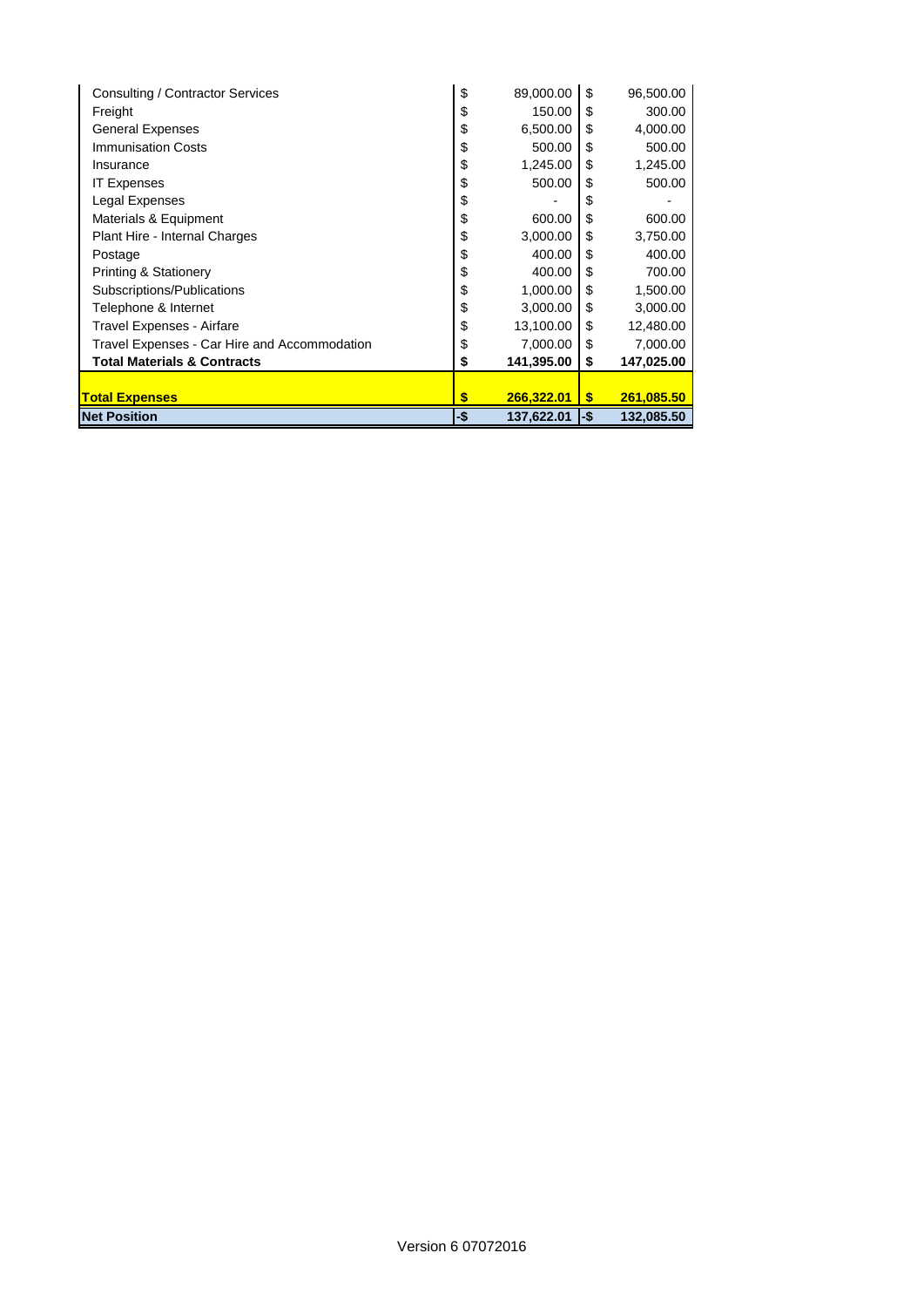| <b>Net Position</b>                          | -\$ | 137,622.01 | l-\$     | 132,085.50 |
|----------------------------------------------|-----|------------|----------|------------|
| <b>Total Expenses</b>                        | S   | 266,322.01 | <b>S</b> | 261,085.50 |
| <b>Total Materials &amp; Contracts</b>       | \$  | 141,395.00 | \$       | 147,025.00 |
| Travel Expenses - Car Hire and Accommodation | \$  | 7,000.00   | \$       | 7,000.00   |
| Travel Expenses - Airfare                    | \$  | 13,100.00  | \$       | 12,480.00  |
| Telephone & Internet                         | \$  | 3,000.00   | \$       | 3,000.00   |
| Subscriptions/Publications                   | \$  | 1,000.00   | \$       | 1,500.00   |
| <b>Printing &amp; Stationery</b>             | \$  | 400.00     | \$       | 700.00     |
| Postage                                      | \$  | 400.00     | \$       | 400.00     |
| Plant Hire - Internal Charges                | \$  | 3,000.00   | \$       | 3,750.00   |
| Materials & Equipment                        | \$  | 600.00     | \$       | 600.00     |
| Legal Expenses                               | \$  |            | \$       |            |
| <b>IT Expenses</b>                           | \$  | 500.00     | \$       | 500.00     |
| Insurance                                    | \$  | 1,245.00   | \$       | 1,245.00   |
| <b>Immunisation Costs</b>                    | \$  | 500.00     | \$       | 500.00     |
| <b>General Expenses</b>                      | \$  | 6,500.00   | \$       | 4,000.00   |
| Freight                                      | \$  | 150.00     | \$       | 300.00     |
| Consulting / Contractor Services             | \$  | 89,000.00  | \$       | 96,500.00  |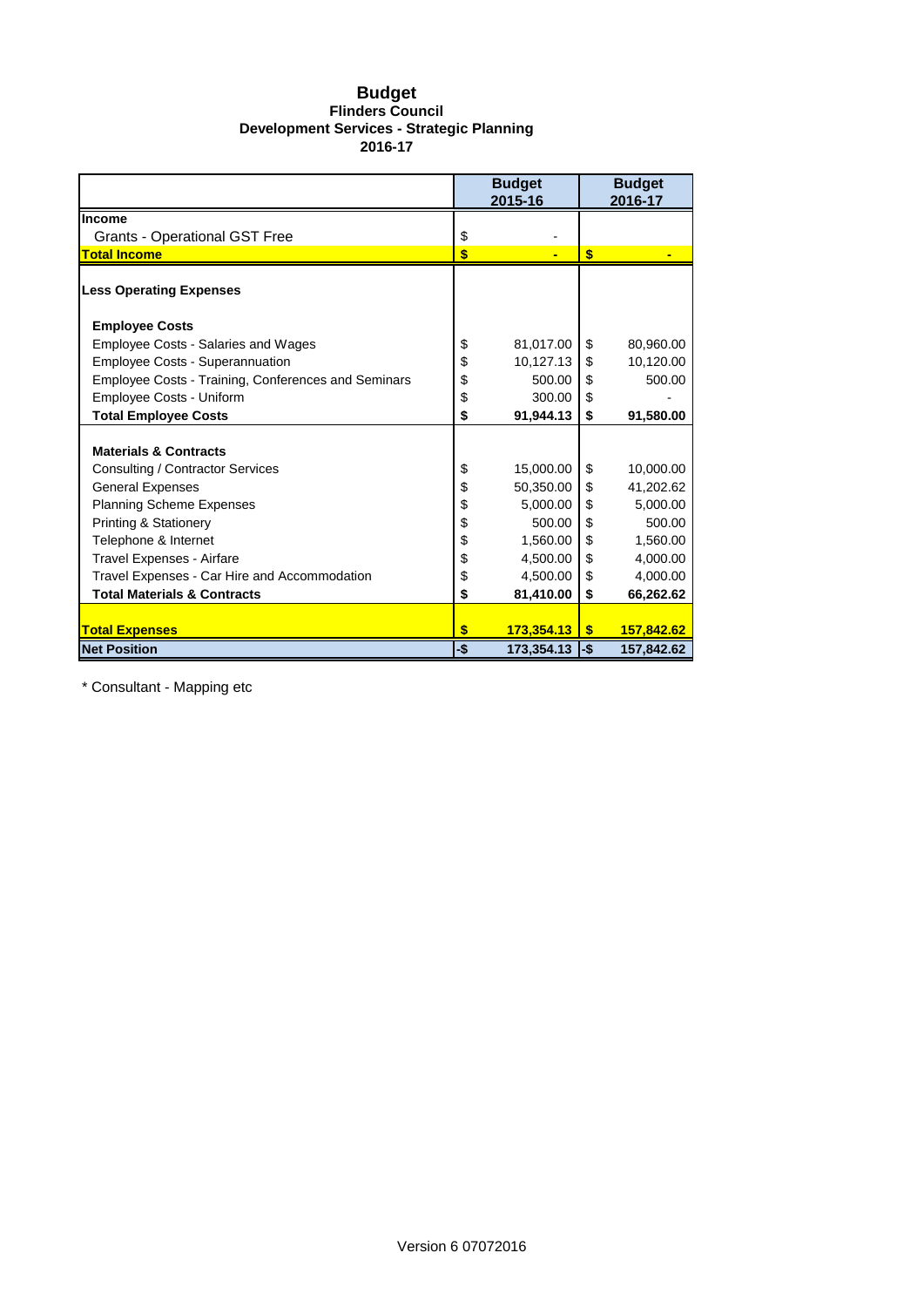| <b>Budget</b>                             |
|-------------------------------------------|
| <b>Flinders Council</b>                   |
| Development Services - Strategic Planning |
| 2016-17                                   |

|                                                     | <b>Budget</b><br>2015-16 |                 |     | <b>Budget</b><br>2016-17 |
|-----------------------------------------------------|--------------------------|-----------------|-----|--------------------------|
| <b>Income</b>                                       |                          |                 |     |                          |
| <b>Grants - Operational GST Free</b>                | \$                       |                 |     |                          |
| <b>Total Income</b>                                 | \$                       |                 | \$  |                          |
| <b>Less Operating Expenses</b>                      |                          |                 |     |                          |
| <b>Employee Costs</b>                               |                          |                 |     |                          |
| <b>Employee Costs - Salaries and Wages</b>          | \$                       | 81,017.00       | \$  | 80,960.00                |
| <b>Employee Costs - Superannuation</b>              | \$                       | 10,127.13       | \$  | 10,120.00                |
| Employee Costs - Training, Conferences and Seminars | \$                       | 500.00          | \$  | 500.00                   |
| <b>Employee Costs - Uniform</b>                     | \$                       | 300.00          | \$  |                          |
| <b>Total Employee Costs</b>                         | \$                       | 91,944.13       | \$  | 91,580.00                |
| <b>Materials &amp; Contracts</b>                    |                          |                 |     |                          |
| Consulting / Contractor Services                    | \$                       | 15,000.00       | \$  | 10,000.00                |
| <b>General Expenses</b>                             | \$                       | 50,350.00       | \$  | 41,202.62                |
| <b>Planning Scheme Expenses</b>                     | \$                       | 5,000.00        | \$  | 5,000.00                 |
| <b>Printing &amp; Stationery</b>                    | \$                       | 500.00          | \$  | 500.00                   |
| Telephone & Internet                                | \$                       | 1,560.00        | \$  | 1,560.00                 |
| Travel Expenses - Airfare                           | \$                       | 4,500.00        | \$  | 4,000.00                 |
| Travel Expenses - Car Hire and Accommodation        | \$                       | 4,500.00        | \$  | 4,000.00                 |
| <b>Total Materials &amp; Contracts</b>              | \$                       | 81,410.00       | \$  | 66,262.62                |
|                                                     |                          |                 |     |                          |
| <b>Total Expenses</b>                               | \$                       | $173,354.13$ \$ |     | 157,842.62               |
| <b>Net Position</b>                                 | -\$                      | 173,354.13      | -\$ | 157,842.62               |

\* Consultant - Mapping etc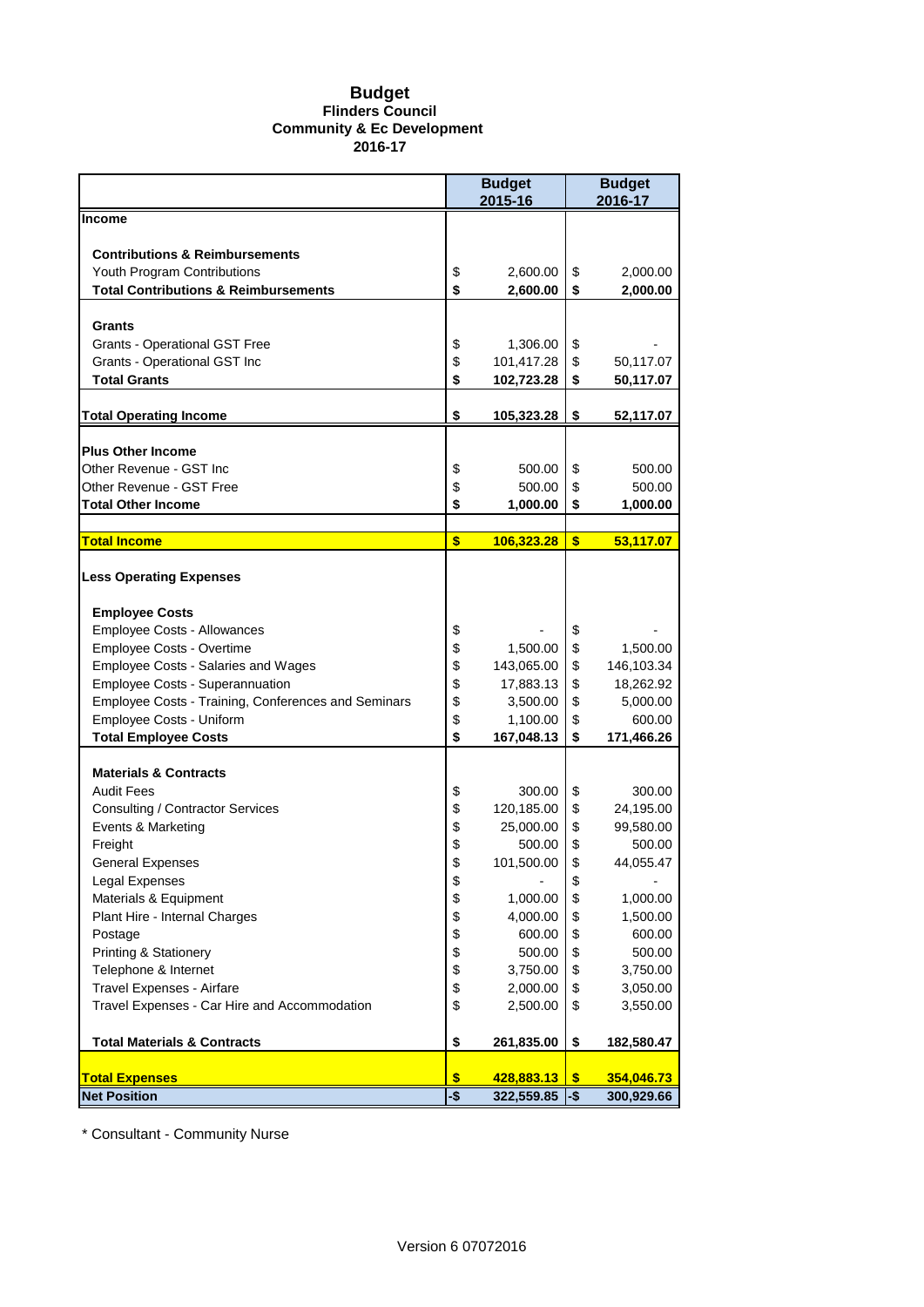#### **Budget Flinders Council Community & Ec Development 2016-17**

|                                                     | <b>Budget</b><br>2015-16 |                      |          | <b>Budget</b><br>2016-17 |
|-----------------------------------------------------|--------------------------|----------------------|----------|--------------------------|
| Income                                              |                          |                      |          |                          |
| <b>Contributions &amp; Reimbursements</b>           |                          |                      |          |                          |
| Youth Program Contributions                         | \$                       | 2,600.00             | \$       | 2,000.00                 |
| <b>Total Contributions &amp; Reimbursements</b>     | \$                       | 2,600.00             | \$       | 2,000.00                 |
|                                                     |                          |                      |          |                          |
| <b>Grants</b>                                       |                          |                      |          |                          |
| Grants - Operational GST Free                       | \$                       | 1,306.00             | \$       |                          |
| Grants - Operational GST Inc                        | \$                       | 101,417.28           | \$       | 50,117.07                |
| <b>Total Grants</b>                                 | \$                       | 102,723.28           | \$       | 50,117.07                |
| <b>Total Operating Income</b>                       | \$                       | 105,323.28           | \$       | 52,117.07                |
|                                                     |                          |                      |          |                          |
| <b>Plus Other Income</b>                            |                          |                      |          |                          |
| Other Revenue - GST Inc<br>Other Revenue - GST Free | \$<br>\$                 | 500.00<br>500.00     | \$       | 500.00<br>500.00         |
| <b>Total Other Income</b>                           | \$                       | 1,000.00             | \$<br>\$ | 1,000.00                 |
|                                                     |                          |                      |          |                          |
| <b>Total Income</b>                                 | $\mathbf{s}$             | 106,323.28           | \$       | 53,117.07                |
|                                                     |                          |                      |          |                          |
| <b>Less Operating Expenses</b>                      |                          |                      |          |                          |
| <b>Employee Costs</b>                               |                          |                      |          |                          |
| Employee Costs - Allowances                         | \$                       |                      | \$       |                          |
| Employee Costs - Overtime                           | \$                       | 1,500.00             | \$       | 1,500.00                 |
| <b>Employee Costs - Salaries and Wages</b>          | \$                       | 143,065.00           | \$       | 146,103.34               |
| Employee Costs - Superannuation                     | \$                       | 17,883.13            | \$       | 18,262.92                |
| Employee Costs - Training, Conferences and Seminars | \$                       | 3,500.00             | \$       | 5,000.00                 |
| Employee Costs - Uniform                            | \$                       | 1,100.00             | \$       | 600.00                   |
| <b>Total Employee Costs</b>                         | \$                       | 167,048.13           | \$       | 171,466.26               |
| <b>Materials &amp; Contracts</b>                    |                          |                      |          |                          |
| <b>Audit Fees</b>                                   | \$                       | 300.00               | \$       | 300.00                   |
| Consulting / Contractor Services                    | \$                       | 120,185.00           | \$       | 24,195.00                |
| Events & Marketing                                  | \$                       | 25,000.00            | \$       | 99,580.00                |
| Freight                                             | \$                       | 500.00               | \$       | 500.00                   |
| <b>General Expenses</b>                             | \$                       | 101,500.00           | \$       | 44,055.47                |
| Legal Expenses                                      | \$                       |                      | \$       |                          |
| Materials & Equipment                               | \$                       | 1,000.00             | \$       | 1,000.00                 |
| Plant Hire - Internal Charges                       | \$                       | 4,000.00             | \$       | 1,500.00                 |
| Postage                                             | \$                       | 600.00               | \$       | 600.00                   |
| <b>Printing &amp; Stationery</b>                    | \$                       | 500.00               | \$       | 500.00                   |
| Telephone & Internet<br>Travel Expenses - Airfare   | \$<br>\$                 | 3,750.00<br>2,000.00 | \$<br>\$ | 3,750.00                 |
| Travel Expenses - Car Hire and Accommodation        | \$                       | 2,500.00             | \$       | 3,050.00<br>3,550.00     |
|                                                     |                          |                      |          |                          |
| <b>Total Materials &amp; Contracts</b>              | \$                       | 261,835.00           | \$       | 182,580.47               |
| <b>Total Expenses</b>                               | \$                       | 428,883.13           | \$       | 354,046.73               |
| <b>Net Position</b>                                 | -\$                      | 322,559.85           | l-\$     | 300,929.66               |

\* Consultant - Community Nurse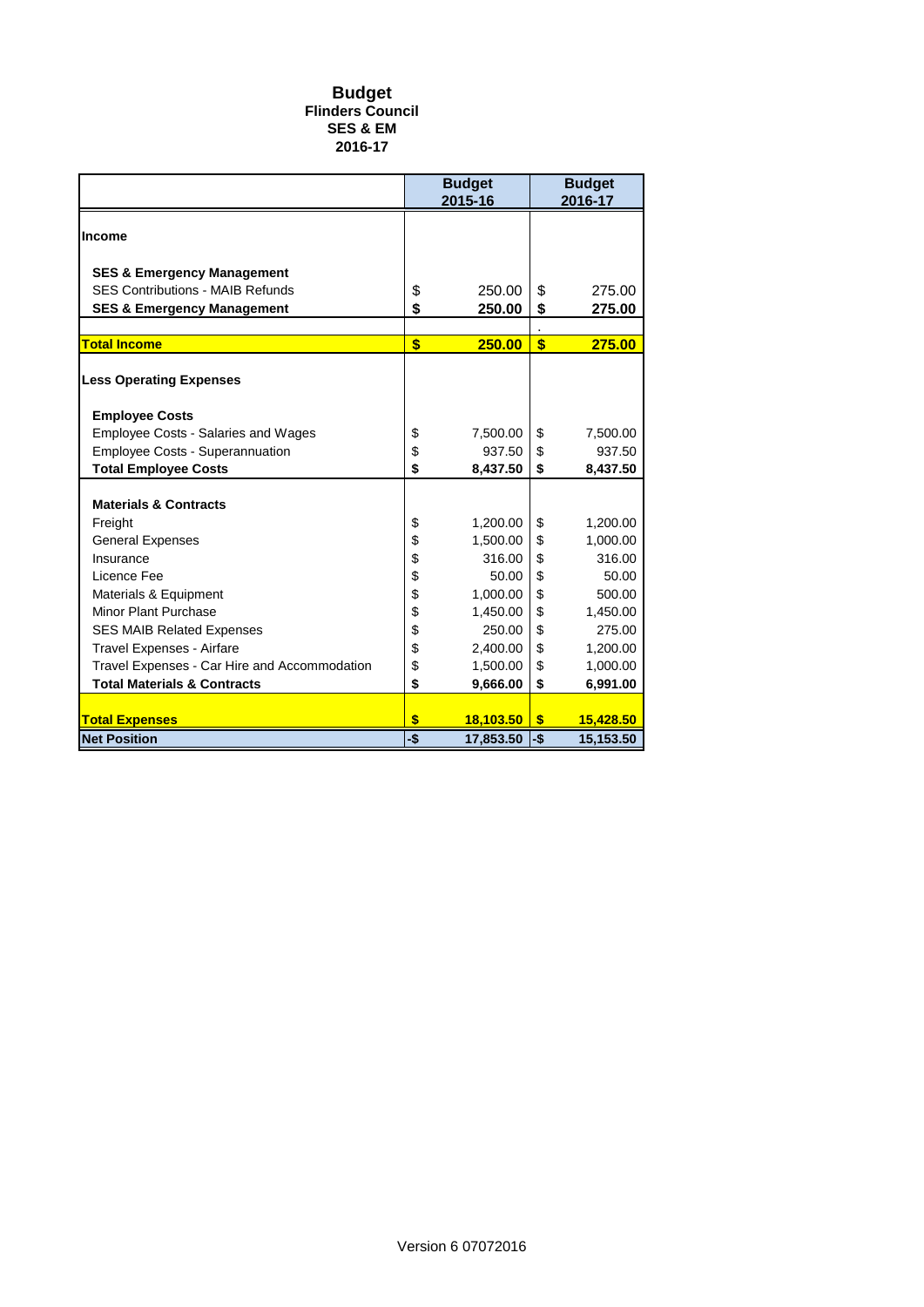### **Budget Flinders Council SES & EM 2016-17**

|                                              |     | <b>Budget</b><br>2015-16 |                         | <b>Budget</b><br>2016-17 |
|----------------------------------------------|-----|--------------------------|-------------------------|--------------------------|
| <b>Income</b>                                |     |                          |                         |                          |
|                                              |     |                          |                         |                          |
| <b>SES &amp; Emergency Management</b>        |     |                          |                         |                          |
| <b>SES Contributions - MAIB Refunds</b>      | \$  | 250.00                   | \$                      | 275.00                   |
| <b>SES &amp; Emergency Management</b>        | \$  | 250.00                   | \$                      | 275.00                   |
| <b>Total Income</b>                          | \$  |                          | $\overline{\mathbf{s}}$ |                          |
|                                              |     | 250.00                   |                         | 275.00                   |
| <b>Less Operating Expenses</b>               |     |                          |                         |                          |
|                                              |     |                          |                         |                          |
| <b>Employee Costs</b>                        |     |                          |                         |                          |
| <b>Employee Costs - Salaries and Wages</b>   | \$  | 7,500.00                 | \$                      | 7,500.00                 |
| Employee Costs - Superannuation              | \$  | 937.50                   | \$                      | 937.50                   |
| <b>Total Employee Costs</b>                  | \$  | 8,437.50                 | \$                      | 8,437.50                 |
|                                              |     |                          |                         |                          |
| <b>Materials &amp; Contracts</b>             |     |                          |                         |                          |
| Freight                                      | \$  | 1,200.00                 | \$                      | 1,200.00                 |
| <b>General Expenses</b>                      | \$  | 1,500.00                 | \$                      | 1,000.00                 |
| Insurance                                    | \$  | 316.00                   | \$                      | 316.00                   |
| Licence Fee                                  | \$  | 50.00                    | \$                      | 50.00                    |
| Materials & Equipment                        | \$  | 1,000.00                 | \$                      | 500.00                   |
| <b>Minor Plant Purchase</b>                  | \$  | 1,450.00                 | \$                      | 1,450.00                 |
| <b>SES MAIB Related Expenses</b>             | \$  | 250.00                   | \$                      | 275.00                   |
| <b>Travel Expenses - Airfare</b>             | \$  | 2,400.00                 | \$                      | 1,200.00                 |
| Travel Expenses - Car Hire and Accommodation | \$  | 1,500.00                 | \$                      | 1,000.00                 |
| <b>Total Materials &amp; Contracts</b>       | \$  | 9,666.00                 | \$                      | 6,991.00                 |
|                                              |     |                          |                         |                          |
| <b>Total Expenses</b>                        | \$  | 18,103.50                | \$                      | 15,428.50                |
| <b>Net Position</b>                          | -\$ | 17,853.50                | -\$                     | 15,153.50                |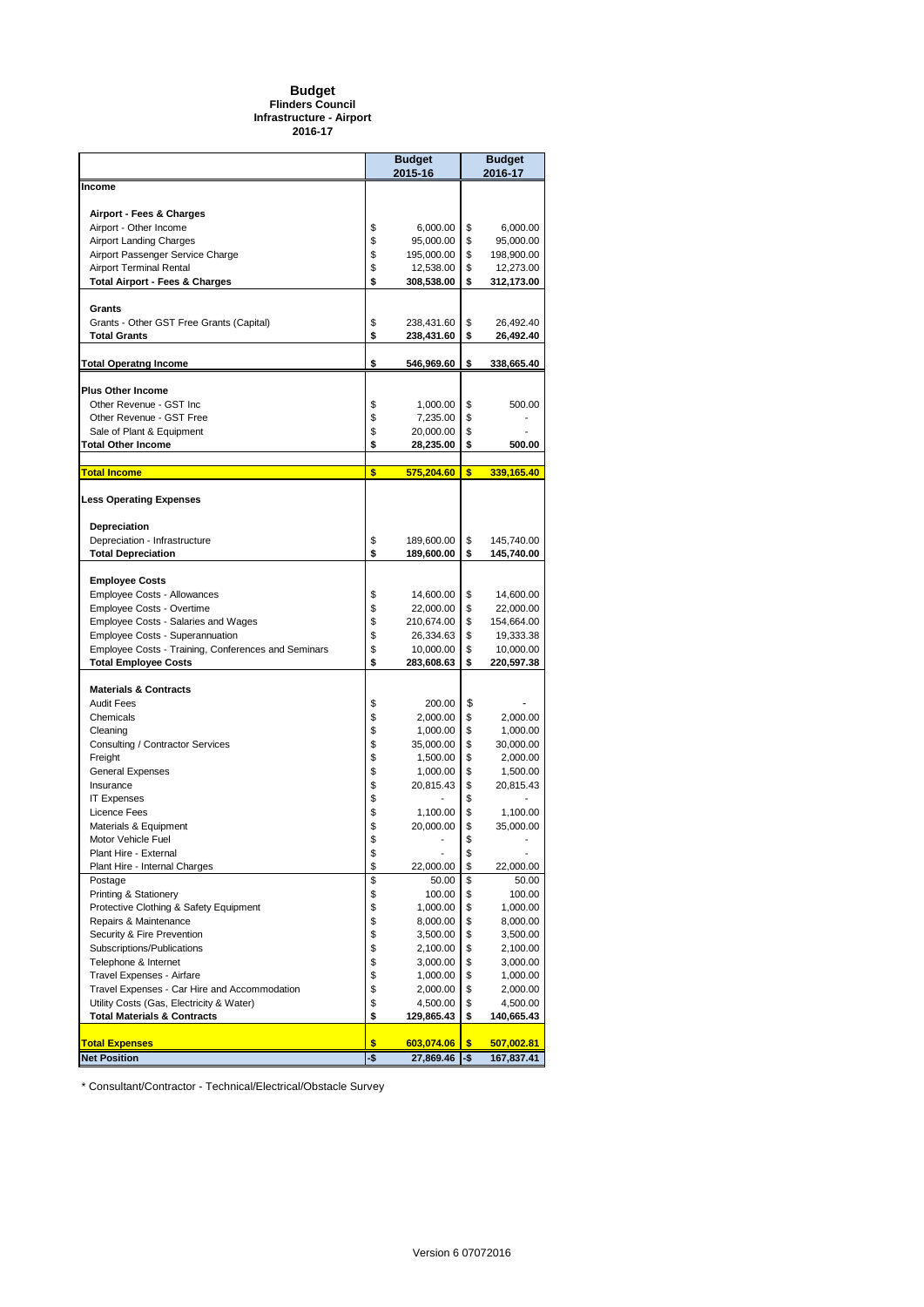#### **Budget Flinders Council Infrastructure - Airport 2016-17**

|                                                                    | <b>Budget</b><br>2015-16 |                         |          | <b>Budget</b><br>2016-17 |  |
|--------------------------------------------------------------------|--------------------------|-------------------------|----------|--------------------------|--|
| Income                                                             |                          |                         |          |                          |  |
|                                                                    |                          |                         |          |                          |  |
| Airport - Fees & Charges                                           |                          |                         |          |                          |  |
| Airport - Other Income                                             | \$                       | 6,000.00                | \$       | 6,000.00                 |  |
| <b>Airport Landing Charges</b>                                     | \$<br>\$                 | 95,000.00               | \$<br>\$ | 95,000.00                |  |
| Airport Passenger Service Charge<br><b>Airport Terminal Rental</b> | \$                       | 195,000.00<br>12,538.00 | \$       | 198,900.00<br>12,273.00  |  |
| Total Airport - Fees & Charges                                     | \$                       | 308,538.00              | \$       | 312,173.00               |  |
|                                                                    |                          |                         |          |                          |  |
| Grants                                                             |                          |                         |          |                          |  |
| Grants - Other GST Free Grants (Capital)                           | \$                       | 238,431.60              | \$       | 26,492.40                |  |
| <b>Total Grants</b>                                                | \$                       | 238,431.60              | \$       | 26,492.40                |  |
|                                                                    |                          |                         |          |                          |  |
| <b>Total Operatng Income</b>                                       | \$                       | 546,969.60              | \$       | 338,665.40               |  |
|                                                                    |                          |                         |          |                          |  |
| <b>Plus Other Income</b>                                           |                          |                         |          |                          |  |
| Other Revenue - GST Inc                                            | \$                       | 1,000.00                | \$       | 500.00                   |  |
| Other Revenue - GST Free<br>Sale of Plant & Equipment              | \$<br>\$                 | 7,235.00                | \$<br>\$ |                          |  |
| <b>Total Other Income</b>                                          | \$                       | 20,000.00<br>28,235.00  | \$       | 500.00                   |  |
|                                                                    |                          |                         |          |                          |  |
| <b>Total Income</b>                                                | \$                       | 575,204.60              | \$       | 339,165.40               |  |
|                                                                    |                          |                         |          |                          |  |
| <b>Less Operating Expenses</b>                                     |                          |                         |          |                          |  |
|                                                                    |                          |                         |          |                          |  |
| Depreciation                                                       |                          |                         |          |                          |  |
| Depreciation - Infrastructure                                      | \$                       | 189,600.00              | \$       | 145,740.00               |  |
| <b>Total Depreciation</b>                                          | \$                       | 189,600.00              | \$       | 145,740.00               |  |
|                                                                    |                          |                         |          |                          |  |
| <b>Employee Costs</b><br><b>Employee Costs - Allowances</b>        | \$                       | 14,600.00               | \$       | 14,600.00                |  |
| Employee Costs - Overtime                                          | \$                       | 22,000.00               | \$       | 22,000.00                |  |
| <b>Employee Costs - Salaries and Wages</b>                         | \$                       | 210,674.00              | \$       | 154,664.00               |  |
| Employee Costs - Superannuation                                    | \$                       | 26,334.63               | \$       | 19,333.38                |  |
| Employee Costs - Training, Conferences and Seminars                | \$                       | 10,000.00               | \$       | 10,000.00                |  |
| <b>Total Employee Costs</b>                                        | \$                       | 283,608.63              | \$       | 220,597.38               |  |
|                                                                    |                          |                         |          |                          |  |
| <b>Materials &amp; Contracts</b>                                   |                          |                         |          |                          |  |
| <b>Audit Fees</b>                                                  | \$                       | 200.00                  | \$       |                          |  |
| Chemicals                                                          | \$                       | 2,000.00                | \$       | 2,000.00                 |  |
| Cleaning                                                           | \$                       | 1,000.00                | \$       | 1,000.00                 |  |
| Consulting / Contractor Services                                   | \$                       | 35,000.00               | \$       | 30,000.00                |  |
| Freight                                                            | \$                       | 1,500.00                | \$       | 2,000.00                 |  |
| <b>General Expenses</b>                                            | \$                       | 1,000.00                | \$       | 1,500.00                 |  |
| Insurance                                                          | \$                       | 20,815.43               | \$       | 20,815.43                |  |
| <b>IT Expenses</b>                                                 | \$                       |                         | \$       |                          |  |
| Licence Fees<br>Materials & Equipment                              | \$<br>\$                 | 1,100.00                | \$       | 1,100.00                 |  |
| Motor Vehicle Fuel                                                 | \$                       | 20,000.00               | \$<br>\$ | 35,000.00                |  |
| Plant Hire - External                                              | \$                       |                         | \$       |                          |  |
| Plant Hire - Internal Charges                                      | \$                       | 22,000.00               | \$       | 22,000.00                |  |
| Postage                                                            | \$                       | 50.00                   | \$       | 50.00                    |  |
| Printing & Stationery                                              | \$                       | 100.00                  | \$       | 100.00                   |  |
| Protective Clothing & Safety Equipment                             | \$                       | 1,000.00                | \$       | 1,000.00                 |  |
| Repairs & Maintenance                                              | \$                       | 8,000.00                | \$       | 8,000.00                 |  |
| Security & Fire Prevention                                         | \$                       | 3,500.00                | \$       | 3,500.00                 |  |
| Subscriptions/Publications                                         | \$                       | 2,100.00                | \$       | 2,100.00                 |  |
| Telephone & Internet                                               | \$                       | 3,000.00                | \$       | 3,000.00                 |  |
| Travel Expenses - Airfare                                          | \$                       | 1,000.00                | \$       | 1,000.00                 |  |
| Travel Expenses - Car Hire and Accommodation                       | \$                       | 2,000.00                | \$       | 2,000.00                 |  |
| Utility Costs (Gas, Electricity & Water)                           | \$                       | 4,500.00                | \$       | 4,500.00                 |  |
| <b>Total Materials &amp; Contracts</b>                             | \$                       | 129,865.43              | \$       | 140,665.43               |  |
| <b>Total Expenses</b>                                              | \$                       | 603,074.06              | \$       | 507,002.81               |  |
| <b>Net Position</b>                                                | -\$                      | 27,869.46               | -\$      | 167,837.41               |  |
|                                                                    |                          |                         |          |                          |  |

\* Consultant/Contractor - Technical/Electrical/Obstacle Survey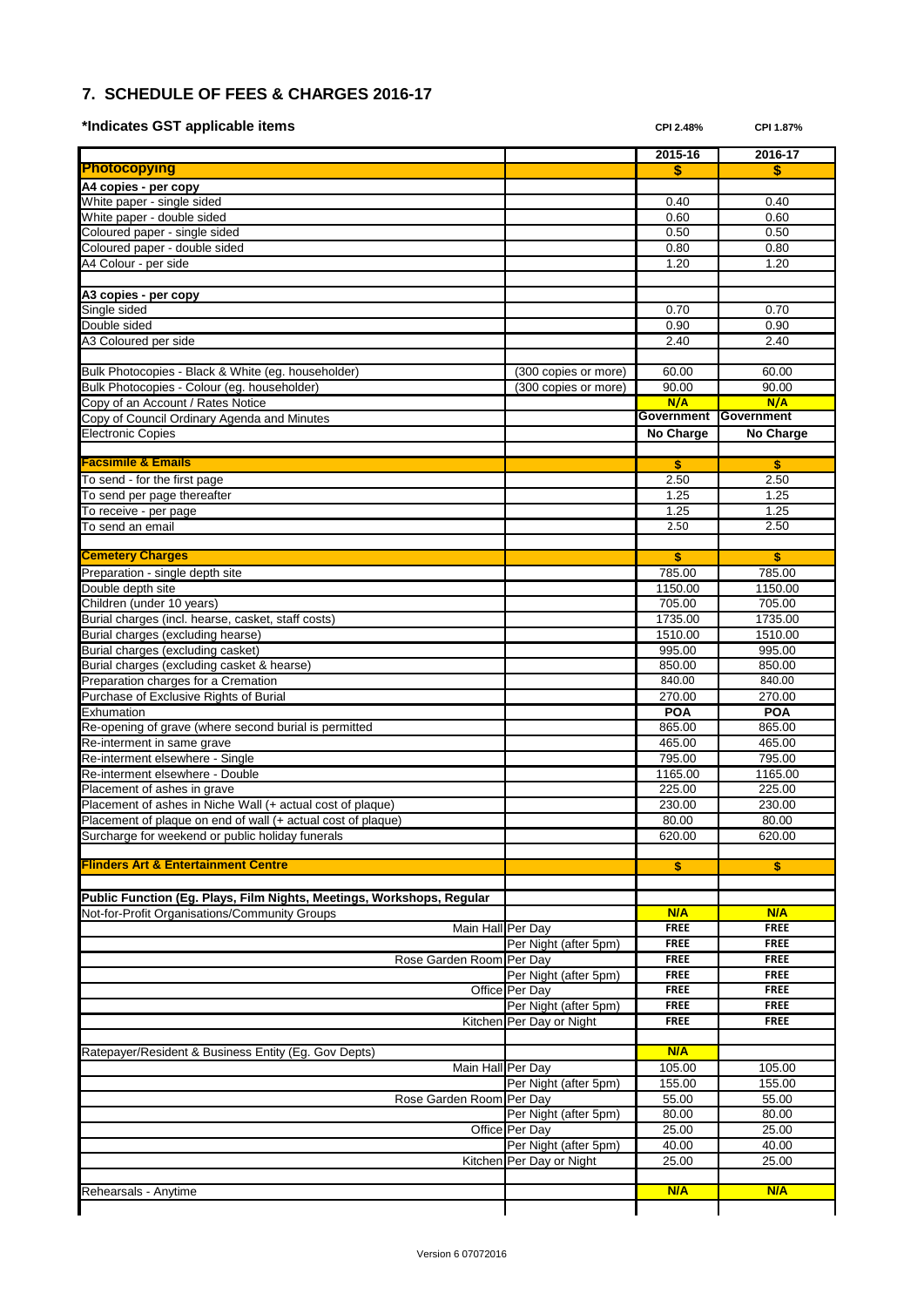### **7. SCHEDULE OF FEES & CHARGES 2016-17**

| *Indicates GST applicable items                                       |                                         | CPI 2.48%                  | CPI 1.87%                  |
|-----------------------------------------------------------------------|-----------------------------------------|----------------------------|----------------------------|
|                                                                       |                                         | 2015-16                    | 2016-17                    |
| <b>Photocopying</b>                                                   |                                         | \$                         | \$                         |
| A4 copies - per copy                                                  |                                         |                            |                            |
| White paper - single sided                                            |                                         | 0.40                       | 0.40                       |
| White paper - double sided                                            |                                         | 0.60                       | 0.60                       |
| Coloured paper - single sided                                         |                                         | 0.50                       | 0.50                       |
| Coloured paper - double sided<br>A4 Colour - per side                 |                                         | 0.80<br>1.20               | 0.80<br>1.20               |
|                                                                       |                                         |                            |                            |
| A3 copies - per copy                                                  |                                         |                            |                            |
| Single sided                                                          |                                         | 0.70                       | 0.70                       |
| Double sided                                                          |                                         | 0.90                       | 0.90                       |
| A3 Coloured per side                                                  |                                         | 2.40                       | 2.40                       |
|                                                                       |                                         |                            |                            |
| Bulk Photocopies - Black & White (eg. householder)                    | (300 copies or more)                    | 60.00                      | 60.00                      |
| Bulk Photocopies - Colour (eg. householder)                           | (300 copies or more)                    | 90.00                      | 90.00                      |
| Copy of an Account / Rates Notice                                     |                                         | N/A                        | N/A                        |
| Copy of Council Ordinary Agenda and Minutes                           |                                         | Government                 | <b>Government</b>          |
| <b>Electronic Copies</b>                                              |                                         | No Charge                  | No Charge                  |
| <b>Facsimile &amp; Emails</b>                                         |                                         |                            |                            |
|                                                                       |                                         | \$                         | \$<br>2.50                 |
| To send - for the first page                                          |                                         | 2.50<br>1.25               | 1.25                       |
| To send per page thereafter<br>To receive - per page                  |                                         | 1.25                       | 1.25                       |
| To send an email                                                      |                                         | 2.50                       | 2.50                       |
|                                                                       |                                         |                            |                            |
| <b>Cemetery Charges</b>                                               |                                         | \$                         | \$                         |
| Preparation - single depth site                                       |                                         | 785.00                     | 785.00                     |
| Double depth site                                                     |                                         | 1150.00                    | 1150.00                    |
| Children (under 10 years)                                             |                                         | 705.00                     | 705.00                     |
| Burial charges (incl. hearse, casket, staff costs)                    |                                         | 1735.00                    | 1735.00                    |
| Burial charges (excluding hearse)                                     |                                         | 1510.00                    | 1510.00                    |
| Burial charges (excluding casket)                                     |                                         | 995.00                     | 995.00                     |
| Burial charges (excluding casket & hearse)                            |                                         | 850.00                     | 850.00                     |
| Preparation charges for a Cremation                                   |                                         | 840.00                     | 840.00                     |
| Purchase of Exclusive Rights of Burial                                |                                         | 270.00                     | 270.00                     |
| Exhumation                                                            |                                         | <b>POA</b>                 | <b>POA</b>                 |
| Re-opening of grave (where second burial is permitted                 |                                         | 865.00                     | 865.00                     |
| Re-interment in same grave<br>Re-interment elsewhere - Single         |                                         | 465.00<br>795.00           | 465.00<br>795.00           |
| Re-interment elsewhere - Double                                       |                                         | 1165.00                    | 1165.00                    |
| Placement of ashes in grave                                           |                                         | 225.00                     | 225.00                     |
| Placement of ashes in Niche Wall (+ actual cost of plaque)            |                                         | 230.00                     | 230.00                     |
| Placement of plaque on end of wall (+ actual cost of plaque)          |                                         | 80.00                      | 80.00                      |
| Surcharge for weekend or public holiday funerals                      |                                         | 620.00                     | 620.00                     |
|                                                                       |                                         |                            |                            |
| <b>Flinders Art &amp; Entertainment Centre</b>                        |                                         | \$                         | \$                         |
|                                                                       |                                         |                            |                            |
| Public Function (Eg. Plays, Film Nights, Meetings, Workshops, Regular |                                         |                            |                            |
| Not-for-Profit Organisations/Community Groups                         |                                         | N/A                        | N/A                        |
| Main Hall Per Day                                                     |                                         | <b>FREE</b>                | <b>FREE</b>                |
|                                                                       | Per Night (after 5pm)                   | <b>FREE</b>                | <b>FREE</b>                |
| Rose Garden Room Per Day                                              |                                         | <b>FREE</b><br><b>FREE</b> | <b>FREE</b><br><b>FREE</b> |
|                                                                       | Per Night (after 5pm)<br>Office Per Day | <b>FREE</b>                | <b>FREE</b>                |
|                                                                       | Per Night (after 5pm)                   | <b>FREE</b>                | <b>FREE</b>                |
|                                                                       | Kitchen Per Day or Night                | <b>FREE</b>                | <b>FREE</b>                |
|                                                                       |                                         |                            |                            |
| Ratepayer/Resident & Business Entity (Eg. Gov Depts)                  |                                         | N/A                        |                            |
| Main Hall Per Day                                                     |                                         | 105.00                     | 105.00                     |
|                                                                       | Per Night (after 5pm)                   | 155.00                     | 155.00                     |
| Rose Garden Room Per Day                                              |                                         | 55.00                      | 55.00                      |
|                                                                       | Per Night (after 5pm)                   | 80.00                      | 80.00                      |
|                                                                       | Office Per Day                          | 25.00                      | 25.00                      |
|                                                                       | Per Night (after 5pm)                   | 40.00                      | 40.00                      |
|                                                                       | Kitchen Per Day or Night                | 25.00                      | 25.00                      |
|                                                                       |                                         |                            |                            |
| Rehearsals - Anytime                                                  |                                         | N/A                        | N/A                        |

 $\mathbf l$ 

Τ

Τ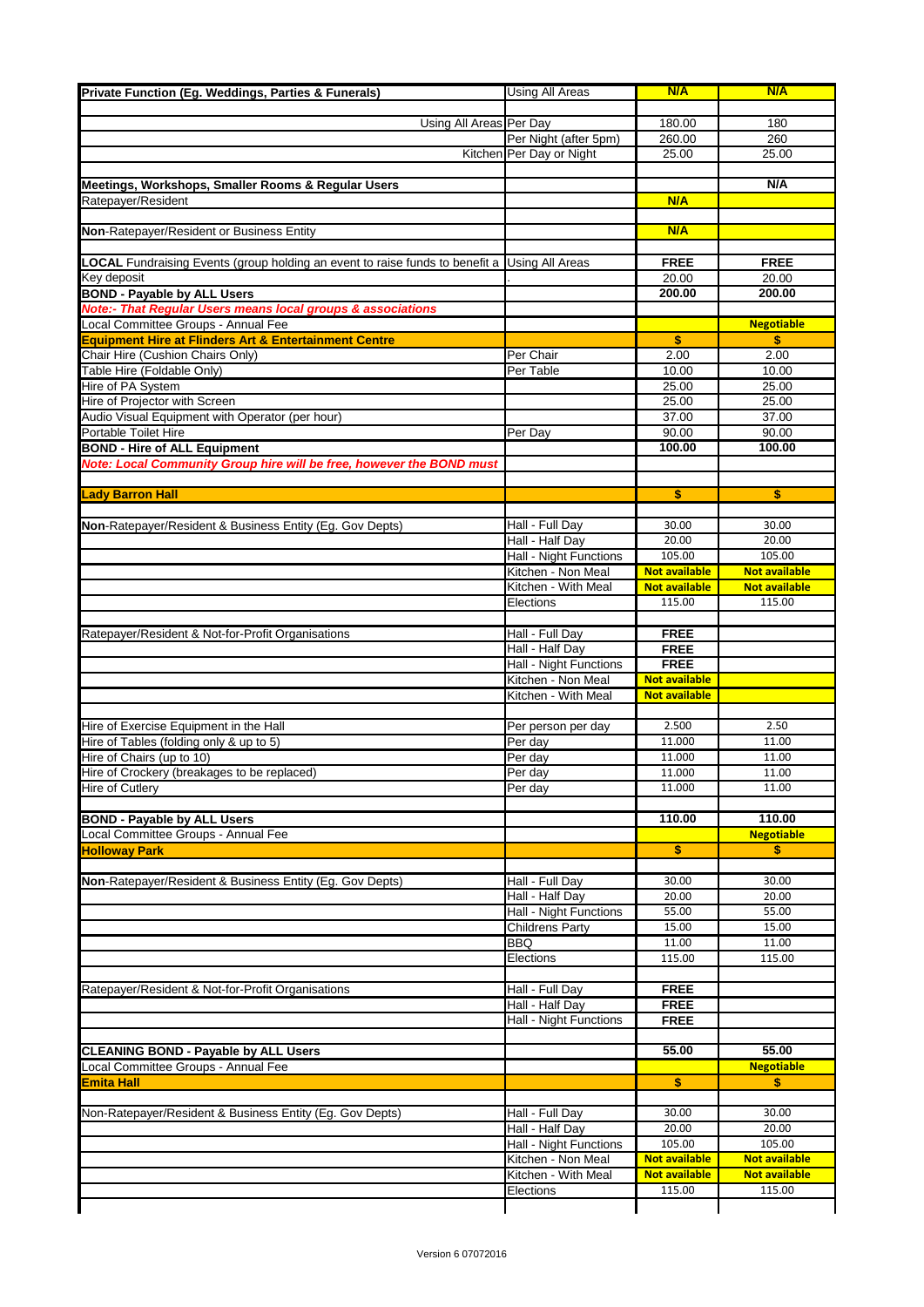| <b>Using All Areas Per Day</b><br>180.00<br>180<br>Per Night (after 5pm)<br>260<br>260.00<br>Kitchen Per Day or Night<br>25.00<br>25.00<br>N/A<br>Meetings, Workshops, Smaller Rooms & Regular Users<br>Ratepayer/Resident<br>N/A<br>N/A<br>Non-Ratepayer/Resident or Business Entity<br><b>FREE</b><br><b>FREE</b><br><b>LOCAL</b> Fundraising Events (group holding an event to raise funds to benefit a Using All Areas<br>20.00<br>20.00<br>Key deposit<br><b>BOND - Payable by ALL Users</b><br>200.00<br>200.00<br><b>Note:- That Regular Users means local groups &amp; associations</b><br>Local Committee Groups - Annual Fee<br><b>Negotiable</b><br>$\overline{\mathbf{s}}$<br>\$<br><b>Equipment Hire at Flinders Art &amp; Entertainment Centre</b><br>Chair Hire (Cushion Chairs Only)<br>Per Chair<br>2.00<br>2.00<br>Table Hire (Foldable Only)<br>Per Table<br>10.00<br>10.00<br>Hire of PA System<br>25.00<br>25.00<br>Hire of Projector with Screen<br>25.00<br>25.00<br>37.00<br>Audio Visual Equipment with Operator (per hour)<br>37.00<br>90.00<br>Portable Toilet Hire<br>Per Day<br>90.00<br>100.00<br>100.00<br><b>BOND - Hire of ALL Equipment</b><br>Note: Local Community Group hire will be free, however the BOND must<br><b>Lady Barron Hall</b><br>\$<br>\$<br>Hall - Full Day<br>30.00<br>Non-Ratepayer/Resident & Business Entity (Eg. Gov Depts)<br>30.00<br>Hall - Half Day<br>20.00<br>20.00<br>Hall - Night Functions<br>105.00<br>105.00<br><b>Not available</b><br><b>Not available</b><br>Kitchen - Non Meal<br>Kitchen - With Meal<br><b>Not available</b><br><b>Not available</b><br>115.00<br>115.00<br>Elections<br>Hall - Full Day<br>Ratepayer/Resident & Not-for-Profit Organisations<br><b>FREE</b><br>Hall - Half Day<br><b>FREE</b><br><b>FREE</b><br><b>Hall - Night Functions</b><br>Kitchen - Non Meal<br><b>Not available</b><br>Kitchen - With Meal<br><b>Not available</b><br>2.500<br>Hire of Exercise Equipment in the Hall<br>Per person per day<br>2.50<br>11.000<br>11.00<br>Hire of Tables (folding only & up to 5)<br>Per day<br>Hire of Chairs (up to 10)<br>11.000<br>11.00<br>Per day<br>Per day<br>11.000<br>11.00<br><b>Hire of Cutlery</b><br>11.00<br>11.000<br>Per day<br>110.00<br>110.00<br><b>BOND - Payable by ALL Users</b><br>Local Committee Groups - Annual Fee<br><b>Negotiable</b><br>\$<br>\$<br><b>Holloway Park</b><br>30.00<br>Hall - Full Day<br>30.00<br>Non-Ratepayer/Resident & Business Entity (Eg. Gov Depts)<br>Hall - Half Day<br>20.00<br>20.00<br><b>Hall - Night Functions</b><br>55.00<br>55.00<br>15.00<br>15.00<br><b>Childrens Party</b><br><b>BBQ</b><br>11.00<br>11.00<br>Elections<br>115.00<br>115.00<br>Hall - Full Day<br><b>FREE</b><br>Ratepayer/Resident & Not-for-Profit Organisations<br>Hall - Half Day<br><b>FREE</b><br>Hall - Night Functions<br><b>FREE</b><br>55.00<br>55.00<br><b>CLEANING BOND - Payable by ALL Users</b><br>Local Committee Groups - Annual Fee<br><b>Negotiable</b><br>\$<br>\$<br><b>Emita Hall</b><br>30.00<br>Non-Ratepayer/Resident & Business Entity (Eg. Gov Depts)<br>Hall - Full Day<br>30.00<br>Hall - Half Day<br>20.00<br>20.00<br>105.00<br>105.00<br><b>Hall - Night Functions</b><br>Kitchen - Non Meal<br><b>Not available</b><br><b>Not available</b><br><b>Not available</b><br>Kitchen - With Meal<br><b>Not available</b><br>115.00<br>115.00<br>Elections | Private Function (Eg. Weddings, Parties & Funerals) | <b>Using All Areas</b> | N/A | N/A |
|--------------------------------------------------------------------------------------------------------------------------------------------------------------------------------------------------------------------------------------------------------------------------------------------------------------------------------------------------------------------------------------------------------------------------------------------------------------------------------------------------------------------------------------------------------------------------------------------------------------------------------------------------------------------------------------------------------------------------------------------------------------------------------------------------------------------------------------------------------------------------------------------------------------------------------------------------------------------------------------------------------------------------------------------------------------------------------------------------------------------------------------------------------------------------------------------------------------------------------------------------------------------------------------------------------------------------------------------------------------------------------------------------------------------------------------------------------------------------------------------------------------------------------------------------------------------------------------------------------------------------------------------------------------------------------------------------------------------------------------------------------------------------------------------------------------------------------------------------------------------------------------------------------------------------------------------------------------------------------------------------------------------------------------------------------------------------------------------------------------------------------------------------------------------------------------------------------------------------------------------------------------------------------------------------------------------------------------------------------------------------------------------------------------------------------------------------------------------------------------------------------------------------------------------------------------------------------------------------------------------------------------------------------------------------------------------------------------------------------------------------------------------------------------------------------------------------------------------------------------------------------------------------------------------------------------------------------------------------------------------------------------------------------------------------------------------------------------------------------------------------------------------------------------------------------------------------------------------------------------------------------------------------------------------------------------------------------------------------------------------------------------------------------------------------|-----------------------------------------------------|------------------------|-----|-----|
|                                                                                                                                                                                                                                                                                                                                                                                                                                                                                                                                                                                                                                                                                                                                                                                                                                                                                                                                                                                                                                                                                                                                                                                                                                                                                                                                                                                                                                                                                                                                                                                                                                                                                                                                                                                                                                                                                                                                                                                                                                                                                                                                                                                                                                                                                                                                                                                                                                                                                                                                                                                                                                                                                                                                                                                                                                                                                                                                                                                                                                                                                                                                                                                                                                                                                                                                                                                                                          |                                                     |                        |     |     |
|                                                                                                                                                                                                                                                                                                                                                                                                                                                                                                                                                                                                                                                                                                                                                                                                                                                                                                                                                                                                                                                                                                                                                                                                                                                                                                                                                                                                                                                                                                                                                                                                                                                                                                                                                                                                                                                                                                                                                                                                                                                                                                                                                                                                                                                                                                                                                                                                                                                                                                                                                                                                                                                                                                                                                                                                                                                                                                                                                                                                                                                                                                                                                                                                                                                                                                                                                                                                                          |                                                     |                        |     |     |
|                                                                                                                                                                                                                                                                                                                                                                                                                                                                                                                                                                                                                                                                                                                                                                                                                                                                                                                                                                                                                                                                                                                                                                                                                                                                                                                                                                                                                                                                                                                                                                                                                                                                                                                                                                                                                                                                                                                                                                                                                                                                                                                                                                                                                                                                                                                                                                                                                                                                                                                                                                                                                                                                                                                                                                                                                                                                                                                                                                                                                                                                                                                                                                                                                                                                                                                                                                                                                          |                                                     |                        |     |     |
|                                                                                                                                                                                                                                                                                                                                                                                                                                                                                                                                                                                                                                                                                                                                                                                                                                                                                                                                                                                                                                                                                                                                                                                                                                                                                                                                                                                                                                                                                                                                                                                                                                                                                                                                                                                                                                                                                                                                                                                                                                                                                                                                                                                                                                                                                                                                                                                                                                                                                                                                                                                                                                                                                                                                                                                                                                                                                                                                                                                                                                                                                                                                                                                                                                                                                                                                                                                                                          |                                                     |                        |     |     |
|                                                                                                                                                                                                                                                                                                                                                                                                                                                                                                                                                                                                                                                                                                                                                                                                                                                                                                                                                                                                                                                                                                                                                                                                                                                                                                                                                                                                                                                                                                                                                                                                                                                                                                                                                                                                                                                                                                                                                                                                                                                                                                                                                                                                                                                                                                                                                                                                                                                                                                                                                                                                                                                                                                                                                                                                                                                                                                                                                                                                                                                                                                                                                                                                                                                                                                                                                                                                                          |                                                     |                        |     |     |
|                                                                                                                                                                                                                                                                                                                                                                                                                                                                                                                                                                                                                                                                                                                                                                                                                                                                                                                                                                                                                                                                                                                                                                                                                                                                                                                                                                                                                                                                                                                                                                                                                                                                                                                                                                                                                                                                                                                                                                                                                                                                                                                                                                                                                                                                                                                                                                                                                                                                                                                                                                                                                                                                                                                                                                                                                                                                                                                                                                                                                                                                                                                                                                                                                                                                                                                                                                                                                          |                                                     |                        |     |     |
|                                                                                                                                                                                                                                                                                                                                                                                                                                                                                                                                                                                                                                                                                                                                                                                                                                                                                                                                                                                                                                                                                                                                                                                                                                                                                                                                                                                                                                                                                                                                                                                                                                                                                                                                                                                                                                                                                                                                                                                                                                                                                                                                                                                                                                                                                                                                                                                                                                                                                                                                                                                                                                                                                                                                                                                                                                                                                                                                                                                                                                                                                                                                                                                                                                                                                                                                                                                                                          |                                                     |                        |     |     |
|                                                                                                                                                                                                                                                                                                                                                                                                                                                                                                                                                                                                                                                                                                                                                                                                                                                                                                                                                                                                                                                                                                                                                                                                                                                                                                                                                                                                                                                                                                                                                                                                                                                                                                                                                                                                                                                                                                                                                                                                                                                                                                                                                                                                                                                                                                                                                                                                                                                                                                                                                                                                                                                                                                                                                                                                                                                                                                                                                                                                                                                                                                                                                                                                                                                                                                                                                                                                                          |                                                     |                        |     |     |
|                                                                                                                                                                                                                                                                                                                                                                                                                                                                                                                                                                                                                                                                                                                                                                                                                                                                                                                                                                                                                                                                                                                                                                                                                                                                                                                                                                                                                                                                                                                                                                                                                                                                                                                                                                                                                                                                                                                                                                                                                                                                                                                                                                                                                                                                                                                                                                                                                                                                                                                                                                                                                                                                                                                                                                                                                                                                                                                                                                                                                                                                                                                                                                                                                                                                                                                                                                                                                          |                                                     |                        |     |     |
|                                                                                                                                                                                                                                                                                                                                                                                                                                                                                                                                                                                                                                                                                                                                                                                                                                                                                                                                                                                                                                                                                                                                                                                                                                                                                                                                                                                                                                                                                                                                                                                                                                                                                                                                                                                                                                                                                                                                                                                                                                                                                                                                                                                                                                                                                                                                                                                                                                                                                                                                                                                                                                                                                                                                                                                                                                                                                                                                                                                                                                                                                                                                                                                                                                                                                                                                                                                                                          |                                                     |                        |     |     |
|                                                                                                                                                                                                                                                                                                                                                                                                                                                                                                                                                                                                                                                                                                                                                                                                                                                                                                                                                                                                                                                                                                                                                                                                                                                                                                                                                                                                                                                                                                                                                                                                                                                                                                                                                                                                                                                                                                                                                                                                                                                                                                                                                                                                                                                                                                                                                                                                                                                                                                                                                                                                                                                                                                                                                                                                                                                                                                                                                                                                                                                                                                                                                                                                                                                                                                                                                                                                                          |                                                     |                        |     |     |
|                                                                                                                                                                                                                                                                                                                                                                                                                                                                                                                                                                                                                                                                                                                                                                                                                                                                                                                                                                                                                                                                                                                                                                                                                                                                                                                                                                                                                                                                                                                                                                                                                                                                                                                                                                                                                                                                                                                                                                                                                                                                                                                                                                                                                                                                                                                                                                                                                                                                                                                                                                                                                                                                                                                                                                                                                                                                                                                                                                                                                                                                                                                                                                                                                                                                                                                                                                                                                          |                                                     |                        |     |     |
|                                                                                                                                                                                                                                                                                                                                                                                                                                                                                                                                                                                                                                                                                                                                                                                                                                                                                                                                                                                                                                                                                                                                                                                                                                                                                                                                                                                                                                                                                                                                                                                                                                                                                                                                                                                                                                                                                                                                                                                                                                                                                                                                                                                                                                                                                                                                                                                                                                                                                                                                                                                                                                                                                                                                                                                                                                                                                                                                                                                                                                                                                                                                                                                                                                                                                                                                                                                                                          |                                                     |                        |     |     |
|                                                                                                                                                                                                                                                                                                                                                                                                                                                                                                                                                                                                                                                                                                                                                                                                                                                                                                                                                                                                                                                                                                                                                                                                                                                                                                                                                                                                                                                                                                                                                                                                                                                                                                                                                                                                                                                                                                                                                                                                                                                                                                                                                                                                                                                                                                                                                                                                                                                                                                                                                                                                                                                                                                                                                                                                                                                                                                                                                                                                                                                                                                                                                                                                                                                                                                                                                                                                                          |                                                     |                        |     |     |
|                                                                                                                                                                                                                                                                                                                                                                                                                                                                                                                                                                                                                                                                                                                                                                                                                                                                                                                                                                                                                                                                                                                                                                                                                                                                                                                                                                                                                                                                                                                                                                                                                                                                                                                                                                                                                                                                                                                                                                                                                                                                                                                                                                                                                                                                                                                                                                                                                                                                                                                                                                                                                                                                                                                                                                                                                                                                                                                                                                                                                                                                                                                                                                                                                                                                                                                                                                                                                          |                                                     |                        |     |     |
|                                                                                                                                                                                                                                                                                                                                                                                                                                                                                                                                                                                                                                                                                                                                                                                                                                                                                                                                                                                                                                                                                                                                                                                                                                                                                                                                                                                                                                                                                                                                                                                                                                                                                                                                                                                                                                                                                                                                                                                                                                                                                                                                                                                                                                                                                                                                                                                                                                                                                                                                                                                                                                                                                                                                                                                                                                                                                                                                                                                                                                                                                                                                                                                                                                                                                                                                                                                                                          |                                                     |                        |     |     |
|                                                                                                                                                                                                                                                                                                                                                                                                                                                                                                                                                                                                                                                                                                                                                                                                                                                                                                                                                                                                                                                                                                                                                                                                                                                                                                                                                                                                                                                                                                                                                                                                                                                                                                                                                                                                                                                                                                                                                                                                                                                                                                                                                                                                                                                                                                                                                                                                                                                                                                                                                                                                                                                                                                                                                                                                                                                                                                                                                                                                                                                                                                                                                                                                                                                                                                                                                                                                                          |                                                     |                        |     |     |
|                                                                                                                                                                                                                                                                                                                                                                                                                                                                                                                                                                                                                                                                                                                                                                                                                                                                                                                                                                                                                                                                                                                                                                                                                                                                                                                                                                                                                                                                                                                                                                                                                                                                                                                                                                                                                                                                                                                                                                                                                                                                                                                                                                                                                                                                                                                                                                                                                                                                                                                                                                                                                                                                                                                                                                                                                                                                                                                                                                                                                                                                                                                                                                                                                                                                                                                                                                                                                          |                                                     |                        |     |     |
|                                                                                                                                                                                                                                                                                                                                                                                                                                                                                                                                                                                                                                                                                                                                                                                                                                                                                                                                                                                                                                                                                                                                                                                                                                                                                                                                                                                                                                                                                                                                                                                                                                                                                                                                                                                                                                                                                                                                                                                                                                                                                                                                                                                                                                                                                                                                                                                                                                                                                                                                                                                                                                                                                                                                                                                                                                                                                                                                                                                                                                                                                                                                                                                                                                                                                                                                                                                                                          |                                                     |                        |     |     |
|                                                                                                                                                                                                                                                                                                                                                                                                                                                                                                                                                                                                                                                                                                                                                                                                                                                                                                                                                                                                                                                                                                                                                                                                                                                                                                                                                                                                                                                                                                                                                                                                                                                                                                                                                                                                                                                                                                                                                                                                                                                                                                                                                                                                                                                                                                                                                                                                                                                                                                                                                                                                                                                                                                                                                                                                                                                                                                                                                                                                                                                                                                                                                                                                                                                                                                                                                                                                                          |                                                     |                        |     |     |
|                                                                                                                                                                                                                                                                                                                                                                                                                                                                                                                                                                                                                                                                                                                                                                                                                                                                                                                                                                                                                                                                                                                                                                                                                                                                                                                                                                                                                                                                                                                                                                                                                                                                                                                                                                                                                                                                                                                                                                                                                                                                                                                                                                                                                                                                                                                                                                                                                                                                                                                                                                                                                                                                                                                                                                                                                                                                                                                                                                                                                                                                                                                                                                                                                                                                                                                                                                                                                          |                                                     |                        |     |     |
|                                                                                                                                                                                                                                                                                                                                                                                                                                                                                                                                                                                                                                                                                                                                                                                                                                                                                                                                                                                                                                                                                                                                                                                                                                                                                                                                                                                                                                                                                                                                                                                                                                                                                                                                                                                                                                                                                                                                                                                                                                                                                                                                                                                                                                                                                                                                                                                                                                                                                                                                                                                                                                                                                                                                                                                                                                                                                                                                                                                                                                                                                                                                                                                                                                                                                                                                                                                                                          |                                                     |                        |     |     |
|                                                                                                                                                                                                                                                                                                                                                                                                                                                                                                                                                                                                                                                                                                                                                                                                                                                                                                                                                                                                                                                                                                                                                                                                                                                                                                                                                                                                                                                                                                                                                                                                                                                                                                                                                                                                                                                                                                                                                                                                                                                                                                                                                                                                                                                                                                                                                                                                                                                                                                                                                                                                                                                                                                                                                                                                                                                                                                                                                                                                                                                                                                                                                                                                                                                                                                                                                                                                                          |                                                     |                        |     |     |
|                                                                                                                                                                                                                                                                                                                                                                                                                                                                                                                                                                                                                                                                                                                                                                                                                                                                                                                                                                                                                                                                                                                                                                                                                                                                                                                                                                                                                                                                                                                                                                                                                                                                                                                                                                                                                                                                                                                                                                                                                                                                                                                                                                                                                                                                                                                                                                                                                                                                                                                                                                                                                                                                                                                                                                                                                                                                                                                                                                                                                                                                                                                                                                                                                                                                                                                                                                                                                          |                                                     |                        |     |     |
|                                                                                                                                                                                                                                                                                                                                                                                                                                                                                                                                                                                                                                                                                                                                                                                                                                                                                                                                                                                                                                                                                                                                                                                                                                                                                                                                                                                                                                                                                                                                                                                                                                                                                                                                                                                                                                                                                                                                                                                                                                                                                                                                                                                                                                                                                                                                                                                                                                                                                                                                                                                                                                                                                                                                                                                                                                                                                                                                                                                                                                                                                                                                                                                                                                                                                                                                                                                                                          |                                                     |                        |     |     |
|                                                                                                                                                                                                                                                                                                                                                                                                                                                                                                                                                                                                                                                                                                                                                                                                                                                                                                                                                                                                                                                                                                                                                                                                                                                                                                                                                                                                                                                                                                                                                                                                                                                                                                                                                                                                                                                                                                                                                                                                                                                                                                                                                                                                                                                                                                                                                                                                                                                                                                                                                                                                                                                                                                                                                                                                                                                                                                                                                                                                                                                                                                                                                                                                                                                                                                                                                                                                                          |                                                     |                        |     |     |
|                                                                                                                                                                                                                                                                                                                                                                                                                                                                                                                                                                                                                                                                                                                                                                                                                                                                                                                                                                                                                                                                                                                                                                                                                                                                                                                                                                                                                                                                                                                                                                                                                                                                                                                                                                                                                                                                                                                                                                                                                                                                                                                                                                                                                                                                                                                                                                                                                                                                                                                                                                                                                                                                                                                                                                                                                                                                                                                                                                                                                                                                                                                                                                                                                                                                                                                                                                                                                          |                                                     |                        |     |     |
|                                                                                                                                                                                                                                                                                                                                                                                                                                                                                                                                                                                                                                                                                                                                                                                                                                                                                                                                                                                                                                                                                                                                                                                                                                                                                                                                                                                                                                                                                                                                                                                                                                                                                                                                                                                                                                                                                                                                                                                                                                                                                                                                                                                                                                                                                                                                                                                                                                                                                                                                                                                                                                                                                                                                                                                                                                                                                                                                                                                                                                                                                                                                                                                                                                                                                                                                                                                                                          |                                                     |                        |     |     |
|                                                                                                                                                                                                                                                                                                                                                                                                                                                                                                                                                                                                                                                                                                                                                                                                                                                                                                                                                                                                                                                                                                                                                                                                                                                                                                                                                                                                                                                                                                                                                                                                                                                                                                                                                                                                                                                                                                                                                                                                                                                                                                                                                                                                                                                                                                                                                                                                                                                                                                                                                                                                                                                                                                                                                                                                                                                                                                                                                                                                                                                                                                                                                                                                                                                                                                                                                                                                                          |                                                     |                        |     |     |
|                                                                                                                                                                                                                                                                                                                                                                                                                                                                                                                                                                                                                                                                                                                                                                                                                                                                                                                                                                                                                                                                                                                                                                                                                                                                                                                                                                                                                                                                                                                                                                                                                                                                                                                                                                                                                                                                                                                                                                                                                                                                                                                                                                                                                                                                                                                                                                                                                                                                                                                                                                                                                                                                                                                                                                                                                                                                                                                                                                                                                                                                                                                                                                                                                                                                                                                                                                                                                          |                                                     |                        |     |     |
|                                                                                                                                                                                                                                                                                                                                                                                                                                                                                                                                                                                                                                                                                                                                                                                                                                                                                                                                                                                                                                                                                                                                                                                                                                                                                                                                                                                                                                                                                                                                                                                                                                                                                                                                                                                                                                                                                                                                                                                                                                                                                                                                                                                                                                                                                                                                                                                                                                                                                                                                                                                                                                                                                                                                                                                                                                                                                                                                                                                                                                                                                                                                                                                                                                                                                                                                                                                                                          |                                                     |                        |     |     |
|                                                                                                                                                                                                                                                                                                                                                                                                                                                                                                                                                                                                                                                                                                                                                                                                                                                                                                                                                                                                                                                                                                                                                                                                                                                                                                                                                                                                                                                                                                                                                                                                                                                                                                                                                                                                                                                                                                                                                                                                                                                                                                                                                                                                                                                                                                                                                                                                                                                                                                                                                                                                                                                                                                                                                                                                                                                                                                                                                                                                                                                                                                                                                                                                                                                                                                                                                                                                                          |                                                     |                        |     |     |
|                                                                                                                                                                                                                                                                                                                                                                                                                                                                                                                                                                                                                                                                                                                                                                                                                                                                                                                                                                                                                                                                                                                                                                                                                                                                                                                                                                                                                                                                                                                                                                                                                                                                                                                                                                                                                                                                                                                                                                                                                                                                                                                                                                                                                                                                                                                                                                                                                                                                                                                                                                                                                                                                                                                                                                                                                                                                                                                                                                                                                                                                                                                                                                                                                                                                                                                                                                                                                          |                                                     |                        |     |     |
|                                                                                                                                                                                                                                                                                                                                                                                                                                                                                                                                                                                                                                                                                                                                                                                                                                                                                                                                                                                                                                                                                                                                                                                                                                                                                                                                                                                                                                                                                                                                                                                                                                                                                                                                                                                                                                                                                                                                                                                                                                                                                                                                                                                                                                                                                                                                                                                                                                                                                                                                                                                                                                                                                                                                                                                                                                                                                                                                                                                                                                                                                                                                                                                                                                                                                                                                                                                                                          |                                                     |                        |     |     |
|                                                                                                                                                                                                                                                                                                                                                                                                                                                                                                                                                                                                                                                                                                                                                                                                                                                                                                                                                                                                                                                                                                                                                                                                                                                                                                                                                                                                                                                                                                                                                                                                                                                                                                                                                                                                                                                                                                                                                                                                                                                                                                                                                                                                                                                                                                                                                                                                                                                                                                                                                                                                                                                                                                                                                                                                                                                                                                                                                                                                                                                                                                                                                                                                                                                                                                                                                                                                                          |                                                     |                        |     |     |
|                                                                                                                                                                                                                                                                                                                                                                                                                                                                                                                                                                                                                                                                                                                                                                                                                                                                                                                                                                                                                                                                                                                                                                                                                                                                                                                                                                                                                                                                                                                                                                                                                                                                                                                                                                                                                                                                                                                                                                                                                                                                                                                                                                                                                                                                                                                                                                                                                                                                                                                                                                                                                                                                                                                                                                                                                                                                                                                                                                                                                                                                                                                                                                                                                                                                                                                                                                                                                          |                                                     |                        |     |     |
|                                                                                                                                                                                                                                                                                                                                                                                                                                                                                                                                                                                                                                                                                                                                                                                                                                                                                                                                                                                                                                                                                                                                                                                                                                                                                                                                                                                                                                                                                                                                                                                                                                                                                                                                                                                                                                                                                                                                                                                                                                                                                                                                                                                                                                                                                                                                                                                                                                                                                                                                                                                                                                                                                                                                                                                                                                                                                                                                                                                                                                                                                                                                                                                                                                                                                                                                                                                                                          |                                                     |                        |     |     |
|                                                                                                                                                                                                                                                                                                                                                                                                                                                                                                                                                                                                                                                                                                                                                                                                                                                                                                                                                                                                                                                                                                                                                                                                                                                                                                                                                                                                                                                                                                                                                                                                                                                                                                                                                                                                                                                                                                                                                                                                                                                                                                                                                                                                                                                                                                                                                                                                                                                                                                                                                                                                                                                                                                                                                                                                                                                                                                                                                                                                                                                                                                                                                                                                                                                                                                                                                                                                                          |                                                     |                        |     |     |
|                                                                                                                                                                                                                                                                                                                                                                                                                                                                                                                                                                                                                                                                                                                                                                                                                                                                                                                                                                                                                                                                                                                                                                                                                                                                                                                                                                                                                                                                                                                                                                                                                                                                                                                                                                                                                                                                                                                                                                                                                                                                                                                                                                                                                                                                                                                                                                                                                                                                                                                                                                                                                                                                                                                                                                                                                                                                                                                                                                                                                                                                                                                                                                                                                                                                                                                                                                                                                          | Hire of Crockery (breakages to be replaced)         |                        |     |     |
|                                                                                                                                                                                                                                                                                                                                                                                                                                                                                                                                                                                                                                                                                                                                                                                                                                                                                                                                                                                                                                                                                                                                                                                                                                                                                                                                                                                                                                                                                                                                                                                                                                                                                                                                                                                                                                                                                                                                                                                                                                                                                                                                                                                                                                                                                                                                                                                                                                                                                                                                                                                                                                                                                                                                                                                                                                                                                                                                                                                                                                                                                                                                                                                                                                                                                                                                                                                                                          |                                                     |                        |     |     |
|                                                                                                                                                                                                                                                                                                                                                                                                                                                                                                                                                                                                                                                                                                                                                                                                                                                                                                                                                                                                                                                                                                                                                                                                                                                                                                                                                                                                                                                                                                                                                                                                                                                                                                                                                                                                                                                                                                                                                                                                                                                                                                                                                                                                                                                                                                                                                                                                                                                                                                                                                                                                                                                                                                                                                                                                                                                                                                                                                                                                                                                                                                                                                                                                                                                                                                                                                                                                                          |                                                     |                        |     |     |
|                                                                                                                                                                                                                                                                                                                                                                                                                                                                                                                                                                                                                                                                                                                                                                                                                                                                                                                                                                                                                                                                                                                                                                                                                                                                                                                                                                                                                                                                                                                                                                                                                                                                                                                                                                                                                                                                                                                                                                                                                                                                                                                                                                                                                                                                                                                                                                                                                                                                                                                                                                                                                                                                                                                                                                                                                                                                                                                                                                                                                                                                                                                                                                                                                                                                                                                                                                                                                          |                                                     |                        |     |     |
|                                                                                                                                                                                                                                                                                                                                                                                                                                                                                                                                                                                                                                                                                                                                                                                                                                                                                                                                                                                                                                                                                                                                                                                                                                                                                                                                                                                                                                                                                                                                                                                                                                                                                                                                                                                                                                                                                                                                                                                                                                                                                                                                                                                                                                                                                                                                                                                                                                                                                                                                                                                                                                                                                                                                                                                                                                                                                                                                                                                                                                                                                                                                                                                                                                                                                                                                                                                                                          |                                                     |                        |     |     |
|                                                                                                                                                                                                                                                                                                                                                                                                                                                                                                                                                                                                                                                                                                                                                                                                                                                                                                                                                                                                                                                                                                                                                                                                                                                                                                                                                                                                                                                                                                                                                                                                                                                                                                                                                                                                                                                                                                                                                                                                                                                                                                                                                                                                                                                                                                                                                                                                                                                                                                                                                                                                                                                                                                                                                                                                                                                                                                                                                                                                                                                                                                                                                                                                                                                                                                                                                                                                                          |                                                     |                        |     |     |
|                                                                                                                                                                                                                                                                                                                                                                                                                                                                                                                                                                                                                                                                                                                                                                                                                                                                                                                                                                                                                                                                                                                                                                                                                                                                                                                                                                                                                                                                                                                                                                                                                                                                                                                                                                                                                                                                                                                                                                                                                                                                                                                                                                                                                                                                                                                                                                                                                                                                                                                                                                                                                                                                                                                                                                                                                                                                                                                                                                                                                                                                                                                                                                                                                                                                                                                                                                                                                          |                                                     |                        |     |     |
|                                                                                                                                                                                                                                                                                                                                                                                                                                                                                                                                                                                                                                                                                                                                                                                                                                                                                                                                                                                                                                                                                                                                                                                                                                                                                                                                                                                                                                                                                                                                                                                                                                                                                                                                                                                                                                                                                                                                                                                                                                                                                                                                                                                                                                                                                                                                                                                                                                                                                                                                                                                                                                                                                                                                                                                                                                                                                                                                                                                                                                                                                                                                                                                                                                                                                                                                                                                                                          |                                                     |                        |     |     |
|                                                                                                                                                                                                                                                                                                                                                                                                                                                                                                                                                                                                                                                                                                                                                                                                                                                                                                                                                                                                                                                                                                                                                                                                                                                                                                                                                                                                                                                                                                                                                                                                                                                                                                                                                                                                                                                                                                                                                                                                                                                                                                                                                                                                                                                                                                                                                                                                                                                                                                                                                                                                                                                                                                                                                                                                                                                                                                                                                                                                                                                                                                                                                                                                                                                                                                                                                                                                                          |                                                     |                        |     |     |
|                                                                                                                                                                                                                                                                                                                                                                                                                                                                                                                                                                                                                                                                                                                                                                                                                                                                                                                                                                                                                                                                                                                                                                                                                                                                                                                                                                                                                                                                                                                                                                                                                                                                                                                                                                                                                                                                                                                                                                                                                                                                                                                                                                                                                                                                                                                                                                                                                                                                                                                                                                                                                                                                                                                                                                                                                                                                                                                                                                                                                                                                                                                                                                                                                                                                                                                                                                                                                          |                                                     |                        |     |     |
|                                                                                                                                                                                                                                                                                                                                                                                                                                                                                                                                                                                                                                                                                                                                                                                                                                                                                                                                                                                                                                                                                                                                                                                                                                                                                                                                                                                                                                                                                                                                                                                                                                                                                                                                                                                                                                                                                                                                                                                                                                                                                                                                                                                                                                                                                                                                                                                                                                                                                                                                                                                                                                                                                                                                                                                                                                                                                                                                                                                                                                                                                                                                                                                                                                                                                                                                                                                                                          |                                                     |                        |     |     |
|                                                                                                                                                                                                                                                                                                                                                                                                                                                                                                                                                                                                                                                                                                                                                                                                                                                                                                                                                                                                                                                                                                                                                                                                                                                                                                                                                                                                                                                                                                                                                                                                                                                                                                                                                                                                                                                                                                                                                                                                                                                                                                                                                                                                                                                                                                                                                                                                                                                                                                                                                                                                                                                                                                                                                                                                                                                                                                                                                                                                                                                                                                                                                                                                                                                                                                                                                                                                                          |                                                     |                        |     |     |
|                                                                                                                                                                                                                                                                                                                                                                                                                                                                                                                                                                                                                                                                                                                                                                                                                                                                                                                                                                                                                                                                                                                                                                                                                                                                                                                                                                                                                                                                                                                                                                                                                                                                                                                                                                                                                                                                                                                                                                                                                                                                                                                                                                                                                                                                                                                                                                                                                                                                                                                                                                                                                                                                                                                                                                                                                                                                                                                                                                                                                                                                                                                                                                                                                                                                                                                                                                                                                          |                                                     |                        |     |     |
|                                                                                                                                                                                                                                                                                                                                                                                                                                                                                                                                                                                                                                                                                                                                                                                                                                                                                                                                                                                                                                                                                                                                                                                                                                                                                                                                                                                                                                                                                                                                                                                                                                                                                                                                                                                                                                                                                                                                                                                                                                                                                                                                                                                                                                                                                                                                                                                                                                                                                                                                                                                                                                                                                                                                                                                                                                                                                                                                                                                                                                                                                                                                                                                                                                                                                                                                                                                                                          |                                                     |                        |     |     |
|                                                                                                                                                                                                                                                                                                                                                                                                                                                                                                                                                                                                                                                                                                                                                                                                                                                                                                                                                                                                                                                                                                                                                                                                                                                                                                                                                                                                                                                                                                                                                                                                                                                                                                                                                                                                                                                                                                                                                                                                                                                                                                                                                                                                                                                                                                                                                                                                                                                                                                                                                                                                                                                                                                                                                                                                                                                                                                                                                                                                                                                                                                                                                                                                                                                                                                                                                                                                                          |                                                     |                        |     |     |
|                                                                                                                                                                                                                                                                                                                                                                                                                                                                                                                                                                                                                                                                                                                                                                                                                                                                                                                                                                                                                                                                                                                                                                                                                                                                                                                                                                                                                                                                                                                                                                                                                                                                                                                                                                                                                                                                                                                                                                                                                                                                                                                                                                                                                                                                                                                                                                                                                                                                                                                                                                                                                                                                                                                                                                                                                                                                                                                                                                                                                                                                                                                                                                                                                                                                                                                                                                                                                          |                                                     |                        |     |     |
|                                                                                                                                                                                                                                                                                                                                                                                                                                                                                                                                                                                                                                                                                                                                                                                                                                                                                                                                                                                                                                                                                                                                                                                                                                                                                                                                                                                                                                                                                                                                                                                                                                                                                                                                                                                                                                                                                                                                                                                                                                                                                                                                                                                                                                                                                                                                                                                                                                                                                                                                                                                                                                                                                                                                                                                                                                                                                                                                                                                                                                                                                                                                                                                                                                                                                                                                                                                                                          |                                                     |                        |     |     |
|                                                                                                                                                                                                                                                                                                                                                                                                                                                                                                                                                                                                                                                                                                                                                                                                                                                                                                                                                                                                                                                                                                                                                                                                                                                                                                                                                                                                                                                                                                                                                                                                                                                                                                                                                                                                                                                                                                                                                                                                                                                                                                                                                                                                                                                                                                                                                                                                                                                                                                                                                                                                                                                                                                                                                                                                                                                                                                                                                                                                                                                                                                                                                                                                                                                                                                                                                                                                                          |                                                     |                        |     |     |
|                                                                                                                                                                                                                                                                                                                                                                                                                                                                                                                                                                                                                                                                                                                                                                                                                                                                                                                                                                                                                                                                                                                                                                                                                                                                                                                                                                                                                                                                                                                                                                                                                                                                                                                                                                                                                                                                                                                                                                                                                                                                                                                                                                                                                                                                                                                                                                                                                                                                                                                                                                                                                                                                                                                                                                                                                                                                                                                                                                                                                                                                                                                                                                                                                                                                                                                                                                                                                          |                                                     |                        |     |     |
|                                                                                                                                                                                                                                                                                                                                                                                                                                                                                                                                                                                                                                                                                                                                                                                                                                                                                                                                                                                                                                                                                                                                                                                                                                                                                                                                                                                                                                                                                                                                                                                                                                                                                                                                                                                                                                                                                                                                                                                                                                                                                                                                                                                                                                                                                                                                                                                                                                                                                                                                                                                                                                                                                                                                                                                                                                                                                                                                                                                                                                                                                                                                                                                                                                                                                                                                                                                                                          |                                                     |                        |     |     |
|                                                                                                                                                                                                                                                                                                                                                                                                                                                                                                                                                                                                                                                                                                                                                                                                                                                                                                                                                                                                                                                                                                                                                                                                                                                                                                                                                                                                                                                                                                                                                                                                                                                                                                                                                                                                                                                                                                                                                                                                                                                                                                                                                                                                                                                                                                                                                                                                                                                                                                                                                                                                                                                                                                                                                                                                                                                                                                                                                                                                                                                                                                                                                                                                                                                                                                                                                                                                                          |                                                     |                        |     |     |
|                                                                                                                                                                                                                                                                                                                                                                                                                                                                                                                                                                                                                                                                                                                                                                                                                                                                                                                                                                                                                                                                                                                                                                                                                                                                                                                                                                                                                                                                                                                                                                                                                                                                                                                                                                                                                                                                                                                                                                                                                                                                                                                                                                                                                                                                                                                                                                                                                                                                                                                                                                                                                                                                                                                                                                                                                                                                                                                                                                                                                                                                                                                                                                                                                                                                                                                                                                                                                          |                                                     |                        |     |     |
|                                                                                                                                                                                                                                                                                                                                                                                                                                                                                                                                                                                                                                                                                                                                                                                                                                                                                                                                                                                                                                                                                                                                                                                                                                                                                                                                                                                                                                                                                                                                                                                                                                                                                                                                                                                                                                                                                                                                                                                                                                                                                                                                                                                                                                                                                                                                                                                                                                                                                                                                                                                                                                                                                                                                                                                                                                                                                                                                                                                                                                                                                                                                                                                                                                                                                                                                                                                                                          |                                                     |                        |     |     |
|                                                                                                                                                                                                                                                                                                                                                                                                                                                                                                                                                                                                                                                                                                                                                                                                                                                                                                                                                                                                                                                                                                                                                                                                                                                                                                                                                                                                                                                                                                                                                                                                                                                                                                                                                                                                                                                                                                                                                                                                                                                                                                                                                                                                                                                                                                                                                                                                                                                                                                                                                                                                                                                                                                                                                                                                                                                                                                                                                                                                                                                                                                                                                                                                                                                                                                                                                                                                                          |                                                     |                        |     |     |
|                                                                                                                                                                                                                                                                                                                                                                                                                                                                                                                                                                                                                                                                                                                                                                                                                                                                                                                                                                                                                                                                                                                                                                                                                                                                                                                                                                                                                                                                                                                                                                                                                                                                                                                                                                                                                                                                                                                                                                                                                                                                                                                                                                                                                                                                                                                                                                                                                                                                                                                                                                                                                                                                                                                                                                                                                                                                                                                                                                                                                                                                                                                                                                                                                                                                                                                                                                                                                          |                                                     |                        |     |     |
|                                                                                                                                                                                                                                                                                                                                                                                                                                                                                                                                                                                                                                                                                                                                                                                                                                                                                                                                                                                                                                                                                                                                                                                                                                                                                                                                                                                                                                                                                                                                                                                                                                                                                                                                                                                                                                                                                                                                                                                                                                                                                                                                                                                                                                                                                                                                                                                                                                                                                                                                                                                                                                                                                                                                                                                                                                                                                                                                                                                                                                                                                                                                                                                                                                                                                                                                                                                                                          |                                                     |                        |     |     |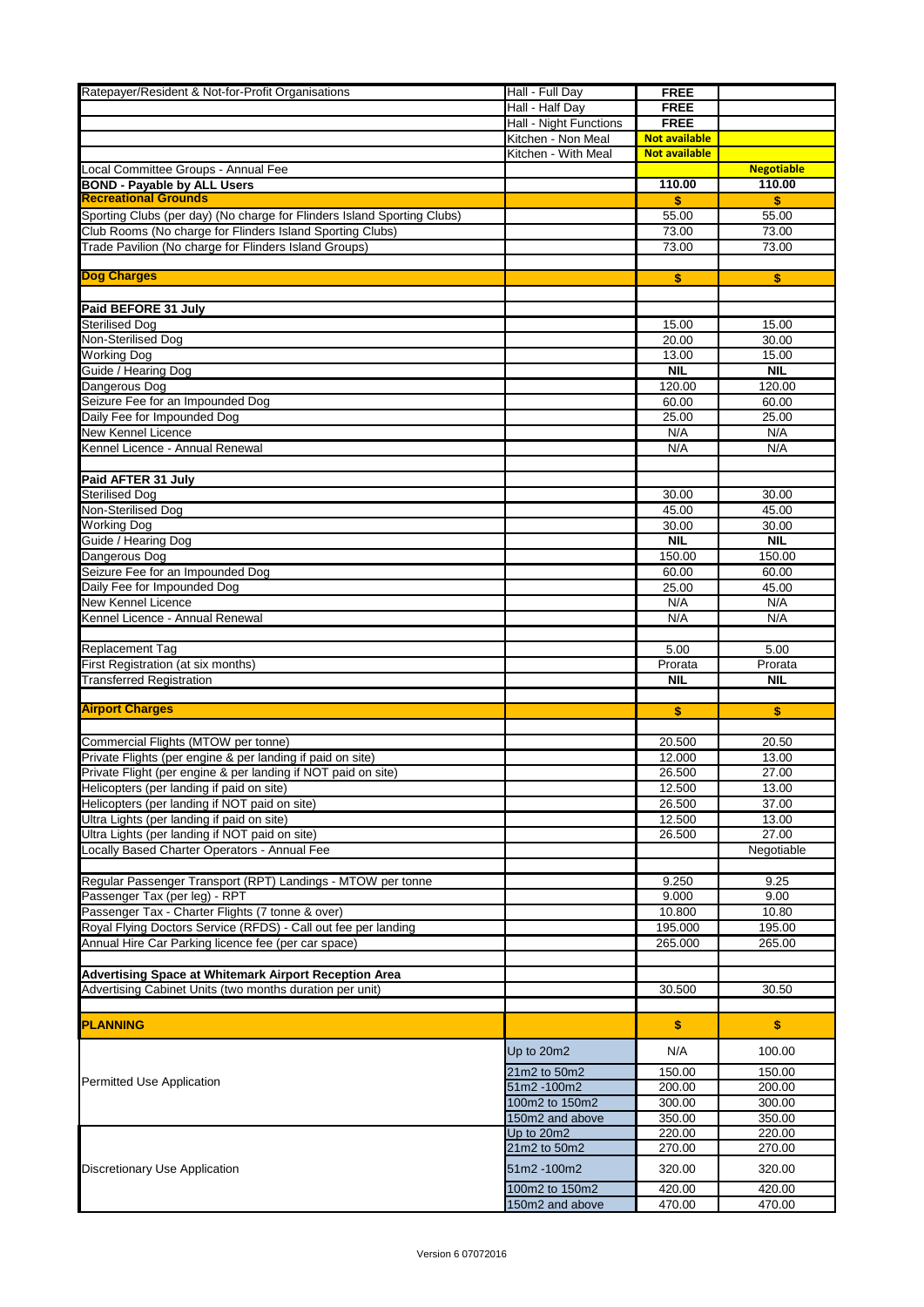| Ratepayer/Resident & Not-for-Profit Organisations                       | Hall - Full Day        | <b>FREE</b>          |                   |
|-------------------------------------------------------------------------|------------------------|----------------------|-------------------|
|                                                                         | Hall - Half Day        | <b>FREE</b>          |                   |
|                                                                         | Hall - Night Functions | <b>FREE</b>          |                   |
|                                                                         |                        |                      |                   |
|                                                                         | Kitchen - Non Meal     | <b>Not available</b> |                   |
|                                                                         | Kitchen - With Meal    | <b>Not available</b> |                   |
| Local Committee Groups - Annual Fee                                     |                        |                      | <b>Negotiable</b> |
| <b>BOND - Payable by ALL Users</b>                                      |                        | 110.00               | 110.00            |
| <b>Recreational Grounds</b>                                             |                        | \$                   | \$                |
| Sporting Clubs (per day) (No charge for Flinders Island Sporting Clubs) |                        | 55.00                | 55.00             |
| Club Rooms (No charge for Flinders Island Sporting Clubs)               |                        | 73.00                | 73.00             |
| Trade Pavilion (No charge for Flinders Island Groups)                   |                        | 73.00                | 73.00             |
|                                                                         |                        |                      |                   |
| <b>Dog Charges</b>                                                      |                        | \$                   | \$                |
|                                                                         |                        |                      |                   |
| Paid BEFORE 31 July                                                     |                        |                      |                   |
| <b>Sterilised Dog</b>                                                   |                        | 15.00                | 15.00             |
| Non-Sterilised Dog                                                      |                        | 20.00                | 30.00             |
| <b>Working Dog</b>                                                      |                        | 13.00                | 15.00             |
| Guide / Hearing Dog                                                     |                        | NIL                  | <b>NIL</b>        |
| Dangerous Dog                                                           |                        | 120.00               | 120.00            |
| Seizure Fee for an Impounded Dog                                        |                        | 60.00                | 60.00             |
| Daily Fee for Impounded Dog                                             |                        | 25.00                | 25.00             |
| <b>New Kennel Licence</b>                                               |                        | N/A                  | N/A               |
| Kennel Licence - Annual Renewal                                         |                        | N/A                  | N/A               |
|                                                                         |                        |                      |                   |
| Paid AFTER 31 July                                                      |                        |                      |                   |
| <b>Sterilised Dog</b>                                                   |                        | 30.00                | 30.00             |
|                                                                         |                        |                      |                   |
| Non-Sterilised Dog                                                      |                        | 45.00                | 45.00             |
| <b>Working Dog</b>                                                      |                        | 30.00                | 30.00             |
| Guide / Hearing Dog                                                     |                        | <b>NIL</b>           | <b>NIL</b>        |
| Dangerous Dog                                                           |                        | 150.00               | 150.00            |
| Seizure Fee for an Impounded Dog                                        |                        | 60.00                | 60.00             |
| Daily Fee for Impounded Dog                                             |                        | 25.00                | 45.00             |
| New Kennel Licence                                                      |                        | N/A                  | N/A               |
| Kennel Licence - Annual Renewal                                         |                        | N/A                  | N/A               |
|                                                                         |                        |                      |                   |
| <b>Replacement Tag</b>                                                  |                        | 5.00                 | 5.00              |
| First Registration (at six months)                                      |                        | Prorata              | Prorata           |
| <b>Transferred Registration</b>                                         |                        | <b>NIL</b>           | <b>NIL</b>        |
|                                                                         |                        |                      |                   |
| <b>Airport Charges</b>                                                  |                        | \$                   | \$                |
|                                                                         |                        |                      |                   |
| Commercial Flights (MTOW per tonne)                                     |                        | 20.500               | 20.50             |
| Private Flights (per engine & per landing if paid on site)              |                        | 12.000               | 13.00             |
| Private Flight (per engine & per landing if NOT paid on site)           |                        | 26.500               | 27.00             |
| Helicopters (per landing if paid on site)                               |                        | 12.500               | 13.00             |
| Helicopters (per landing if NOT paid on site)                           |                        | 26.500               | 37.00             |
| Ultra Lights (per landing if paid on site)                              |                        | 12.500               | 13.00             |
| Ultra Lights (per landing if NOT paid on site)                          |                        | 26.500               | 27.00             |
| Locally Based Charter Operators - Annual Fee                            |                        |                      | Negotiable        |
|                                                                         |                        |                      |                   |
| Regular Passenger Transport (RPT) Landings - MTOW per tonne             |                        | 9.250                | 9.25              |
| Passenger Tax (per leg) - RPT                                           |                        | 9.000                | 9.00              |
| Passenger Tax - Charter Flights (7 tonne & over)                        |                        | 10.800               | 10.80             |
| Royal Flying Doctors Service (RFDS) - Call out fee per landing          |                        | 195.000              | 195.00            |
| Annual Hire Car Parking licence fee (per car space)                     |                        | 265.000              |                   |
|                                                                         |                        |                      | 265.00            |
|                                                                         |                        |                      |                   |
| <b>Advertising Space at Whitemark Airport Reception Area</b>            |                        |                      |                   |
| Advertising Cabinet Units (two months duration per unit)                |                        | 30.500               | 30.50             |
|                                                                         |                        |                      |                   |
| <b>PLANNING</b>                                                         |                        | \$                   | \$                |
|                                                                         |                        |                      |                   |
|                                                                         | Up to 20m2             | N/A                  | 100.00            |
|                                                                         | 21m2 to 50m2           | 150.00               | 150.00            |
| <b>Permitted Use Application</b>                                        | 51m2 -100m2            | 200.00               | 200.00            |
|                                                                         | 100m2 to 150m2         | 300.00               | 300.00            |
|                                                                         | 150m2 and above        | 350.00               | 350.00            |
|                                                                         | Up to 20m2             | 220.00               | 220.00            |
|                                                                         | 21m2 to 50m2           | 270.00               | 270.00            |
|                                                                         |                        |                      |                   |
| Discretionary Use Application                                           | 51m2-100m2             | 320.00               | 320.00            |
|                                                                         | 100m2 to 150m2         | 420.00               | 420.00            |
|                                                                         | 150m2 and above        | 470.00               | 470.00            |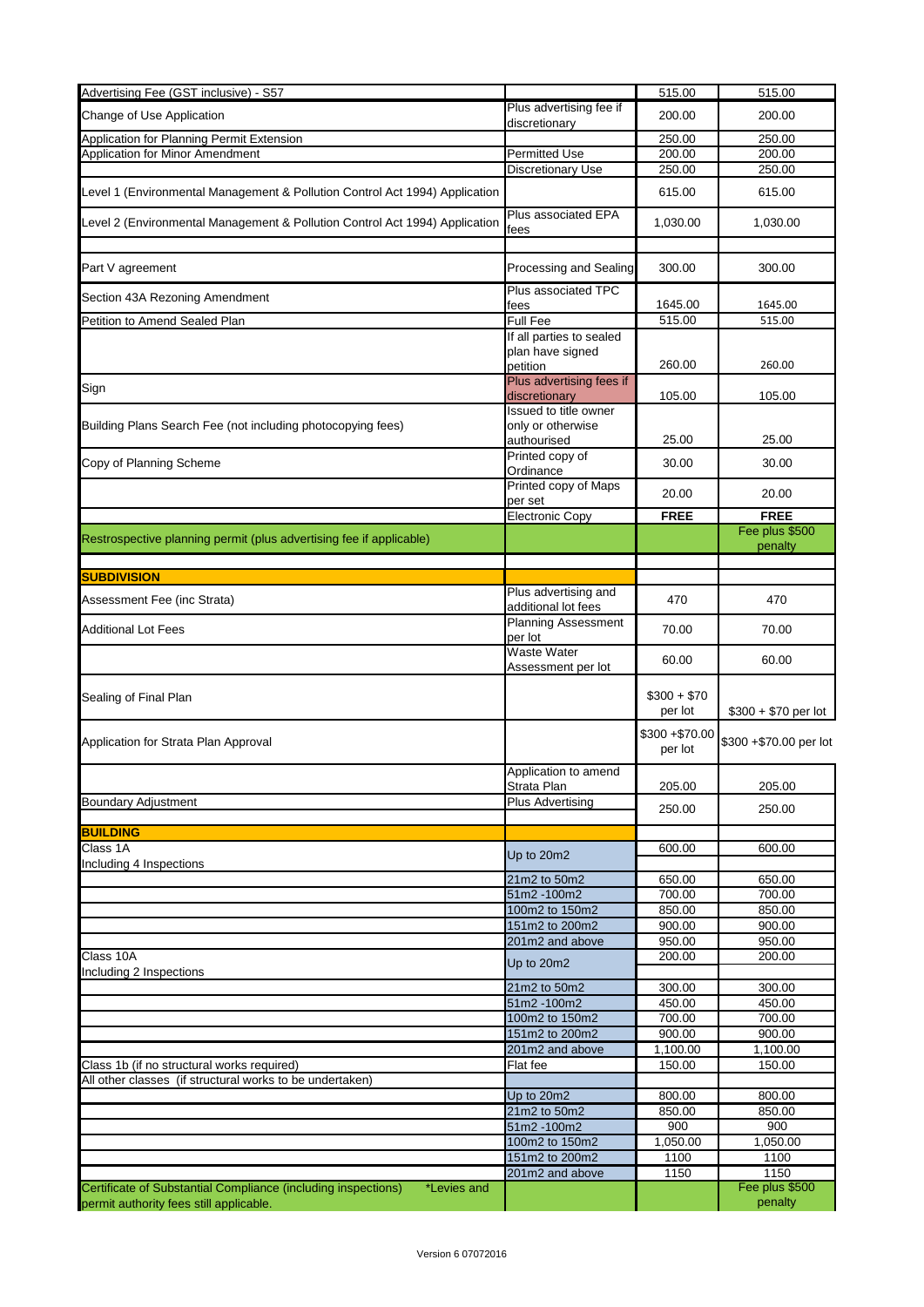| Advertising Fee (GST inclusive) - S57                                                                                   |                                                          | 515.00                     | 515.00                    |
|-------------------------------------------------------------------------------------------------------------------------|----------------------------------------------------------|----------------------------|---------------------------|
| Change of Use Application                                                                                               | Plus advertising fee if<br>discretionary                 | 200.00                     | 200.00                    |
| Application for Planning Permit Extension                                                                               |                                                          | 250.00                     | 250.00                    |
| <b>Application for Minor Amendment</b>                                                                                  | <b>Permitted Use</b>                                     | 200.00                     | 200.00                    |
|                                                                                                                         | <b>Discretionary Use</b>                                 | 250.00                     | 250.00                    |
| Level 1 (Environmental Management & Pollution Control Act 1994) Application                                             |                                                          | 615.00                     | 615.00                    |
| Level 2 (Environmental Management & Pollution Control Act 1994) Application                                             | Plus associated EPA<br>fees                              | 1,030.00                   | 1,030.00                  |
|                                                                                                                         |                                                          |                            |                           |
| Part V agreement                                                                                                        | Processing and Sealing                                   | 300.00                     | 300.00                    |
| Section 43A Rezoning Amendment                                                                                          | Plus associated TPC<br>fees                              | 1645.00                    | 1645.00                   |
| Petition to Amend Sealed Plan                                                                                           | <b>Full Fee</b>                                          | 515.00                     | 515.00                    |
|                                                                                                                         | If all parties to sealed<br>plan have signed<br>petition | 260.00                     | 260.00                    |
| Sign                                                                                                                    | Plus advertising fees if<br>discretionary                | 105.00                     | 105.00                    |
| Building Plans Search Fee (not including photocopying fees)                                                             | Issued to title owner<br>only or otherwise               |                            |                           |
|                                                                                                                         | authourised                                              | 25.00                      | 25.00                     |
| Copy of Planning Scheme                                                                                                 | Printed copy of<br>Ordinance                             | 30.00                      | 30.00                     |
|                                                                                                                         | Printed copy of Maps<br>per set                          | 20.00                      | 20.00                     |
|                                                                                                                         | <b>Electronic Copy</b>                                   | <b>FREE</b>                | <b>FREE</b>               |
| Restrospective planning permit (plus advertising fee if applicable)                                                     |                                                          |                            | Fee plus \$500<br>penalty |
| <b>SUBDIVISION</b>                                                                                                      |                                                          |                            |                           |
| Assessment Fee (inc Strata)                                                                                             | Plus advertising and<br>additional lot fees              | 470                        | 470                       |
| <b>Additional Lot Fees</b>                                                                                              | <b>Planning Assessment</b><br>per lot                    | 70.00                      | 70.00                     |
|                                                                                                                         | <b>Waste Water</b><br>Assessment per lot                 | 60.00                      | 60.00                     |
| Sealing of Final Plan                                                                                                   |                                                          | $$300 + $70$<br>per lot    | $$300 + $70$ per lot      |
| Application for Strata Plan Approval                                                                                    |                                                          | $$300 + $70.00$<br>per lot | \$300 +\$70.00 per lot    |
|                                                                                                                         | Application to amend<br>Strata Plan                      | 205.00                     | 205.00                    |
| <b>Boundary Adjustment</b>                                                                                              | <b>Plus Advertising</b>                                  | 250.00                     | 250.00                    |
| <b>BUILDING</b>                                                                                                         |                                                          |                            |                           |
| Class 1A<br>Including 4 Inspections                                                                                     | Up to 20m2                                               | 600.00                     | 600.00                    |
|                                                                                                                         | 21m2 to 50m2                                             | 650.00                     | 650.00                    |
|                                                                                                                         | 51m2-100m2                                               | 700.00                     | 700.00                    |
|                                                                                                                         | 100m2 to 150m2                                           | 850.00                     | 850.00                    |
|                                                                                                                         | 151m2 to 200m2                                           | 900.00                     | 900.00                    |
|                                                                                                                         | 201m2 and above                                          | 950.00                     | 950.00                    |
| Class 10A<br>Including 2 Inspections                                                                                    | Up to 20m2                                               | 200.00                     | 200.00                    |
|                                                                                                                         | 21m2 to 50m2                                             | 300.00                     | 300.00                    |
|                                                                                                                         | 51m2-100m2                                               | 450.00                     | 450.00                    |
|                                                                                                                         | 100m2 to 150m2                                           | 700.00                     | 700.00                    |
|                                                                                                                         | 151m2 to 200m2<br>201m2 and above                        | 900.00<br>1,100.00         | 900.00<br>1,100.00        |
| Class 1b (if no structural works required)                                                                              | Flat fee                                                 | 150.00                     | 150.00                    |
| All other classes (if structural works to be undertaken)                                                                |                                                          |                            |                           |
|                                                                                                                         | Up to 20m2                                               | 800.00                     | 800.00                    |
|                                                                                                                         | 21m2 to 50m2                                             | 850.00                     | 850.00                    |
|                                                                                                                         | 51m2-100m2                                               | 900                        | 900                       |
|                                                                                                                         | 100m2 to 150m2                                           | 1,050.00                   | 1,050.00                  |
|                                                                                                                         | 151m2 to 200m2                                           | 1100                       | 1100                      |
|                                                                                                                         | 201m2 and above                                          | 1150                       | 1150                      |
| Certificate of Substantial Compliance (including inspections)<br>*Levies and<br>permit authority fees still applicable. |                                                          |                            | Fee plus \$500<br>penalty |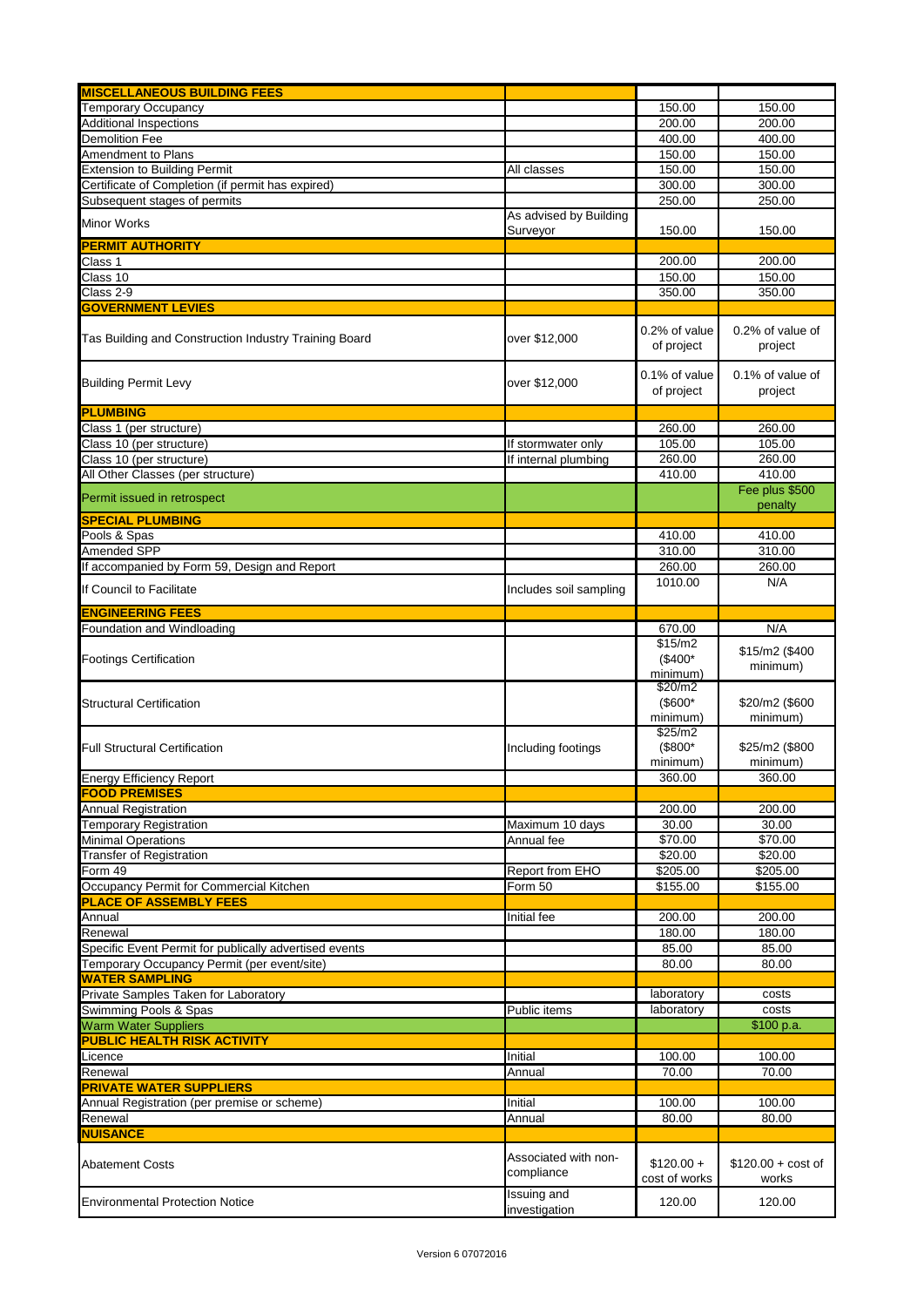| <b>MISCELLANEOUS BUILDING FEES</b>                     |                                     |                              |                              |
|--------------------------------------------------------|-------------------------------------|------------------------------|------------------------------|
| Temporary Occupancy                                    |                                     | 150.00                       | 150.00                       |
| <b>Additional Inspections</b>                          |                                     | 200.00                       | 200.00                       |
| Demolition Fee                                         |                                     | 400.00                       | 400.00                       |
| Amendment to Plans                                     |                                     | 150.00                       | 150.00                       |
|                                                        |                                     |                              |                              |
| <b>Extension to Building Permit</b>                    | All classes                         | 150.00                       | 150.00                       |
| Certificate of Completion (if permit has expired)      |                                     | 300.00                       | 300.00                       |
| Subsequent stages of permits                           |                                     | 250.00                       | 250.00                       |
| <b>Minor Works</b>                                     | As advised by Building              |                              |                              |
|                                                        | Surveyor                            | 150.00                       | 150.00                       |
| <b>PERMIT AUTHORITY</b>                                |                                     |                              |                              |
| Class 1                                                |                                     | 200.00                       | 200.00                       |
| Class 10                                               |                                     | 150.00                       | 150.00                       |
| Class 2-9                                              |                                     | 350.00                       | 350.00                       |
| <b>GOVERNMENT LEVIES</b>                               |                                     |                              |                              |
| Tas Building and Construction Industry Training Board  | over \$12,000                       | 0.2% of value<br>of project  | 0.2% of value of<br>project  |
| <b>Building Permit Levy</b>                            | over \$12,000                       | 0.1% of value<br>of project  | 0.1% of value of<br>project  |
| <b>PLUMBING</b>                                        |                                     |                              |                              |
| Class 1 (per structure)                                |                                     | 260.00                       | 260.00                       |
| Class 10 (per structure)                               | If stormwater only                  | 105.00                       | 105.00                       |
| Class 10 (per structure)                               | If internal plumbing                | 260.00                       | 260.00                       |
| All Other Classes (per structure)                      |                                     | 410.00                       | 410.00                       |
|                                                        |                                     |                              | Fee plus \$500               |
| Permit issued in retrospect                            |                                     |                              | penalty                      |
| <b>SPECIAL PLUMBING</b>                                |                                     |                              |                              |
| Pools & Spas                                           |                                     | 410.00                       | 410.00                       |
| <b>Amended SPP</b>                                     |                                     | 310.00                       | 310.00                       |
| If accompanied by Form 59, Design and Report           |                                     | 260.00                       | 260.00                       |
|                                                        |                                     | 1010.00                      | N/A                          |
| If Council to Facilitate                               | Includes soil sampling              |                              |                              |
| <b>ENGINEERING FEES</b>                                |                                     |                              |                              |
| Foundation and Windloading                             |                                     | 670.00                       | N/A                          |
|                                                        |                                     | \$15/m2                      |                              |
| <b>Footings Certification</b>                          |                                     | $($400*$                     | \$15/m2 (\$400               |
|                                                        |                                     | minimum)                     | minimum)                     |
|                                                        |                                     | \$20/m2                      |                              |
| <b>Structural Certification</b>                        |                                     | (\$600*                      | \$20/m2 (\$600               |
|                                                        |                                     | minimum)                     | minimum)                     |
|                                                        |                                     | \$25/m2                      |                              |
| <b>Full Structural Certification</b>                   | Including footings                  | (\$800*                      | \$25/m2 (\$800               |
|                                                        |                                     | minimum)                     | minimum)                     |
| <b>Energy Efficiency Report</b>                        |                                     | 360.00                       | 360.00                       |
| <b>FOOD PREMISES</b>                                   |                                     |                              |                              |
| <b>Annual Registration</b>                             |                                     | 200.00                       | 200.00                       |
| Temporary Registration                                 | Maximum 10 days                     | 30.00                        | 30.00                        |
| <b>Minimal Operations</b>                              | Annual fee                          | \$70.00                      | \$70.00                      |
| <b>Transfer of Registration</b>                        |                                     | \$20.00                      | \$20.00                      |
| Form 49                                                | Report from EHO                     | \$205.00                     | \$205.00                     |
| Occupancy Permit for Commercial Kitchen                | Form 50                             | \$155.00                     | \$155.00                     |
| <b>PLACE OF ASSEMBLY FEES</b>                          |                                     |                              |                              |
| Annual                                                 | Initial fee                         | 200.00                       | 200.00                       |
| Renewal                                                |                                     | 180.00                       | 180.00                       |
| Specific Event Permit for publically advertised events |                                     | 85.00                        | 85.00                        |
| Temporary Occupancy Permit (per event/site)            |                                     | 80.00                        | 80.00                        |
| <b>WATER SAMPLING</b>                                  |                                     |                              |                              |
| Private Samples Taken for Laboratory                   |                                     | laboratory                   | costs                        |
| Swimming Pools & Spas                                  | Public items                        | laboratory                   | costs                        |
| <b>Warm Water Suppliers</b>                            |                                     |                              | \$100 p.a.                   |
| <b>PUBLIC HEALTH RISK ACTIVITY</b>                     |                                     |                              |                              |
| Licence                                                | Initial                             | 100.00                       | 100.00                       |
| Renewal                                                | Annual                              | 70.00                        | 70.00                        |
| <b>PRIVATE WATER SUPPLIERS</b>                         |                                     |                              |                              |
| Annual Registration (per premise or scheme)            | Initial                             | 100.00                       | 100.00                       |
| Renewal                                                | Annual                              | 80.00                        | 80.00                        |
| <b>NUISANCE</b>                                        |                                     |                              |                              |
|                                                        |                                     |                              |                              |
| <b>Abatement Costs</b>                                 | Associated with non-<br>compliance  | $$120.00 +$<br>cost of works | $$120.00 + cost of$<br>works |
| <b>Environmental Protection Notice</b>                 | <b>Issuing and</b><br>investigation | 120.00                       | 120.00                       |